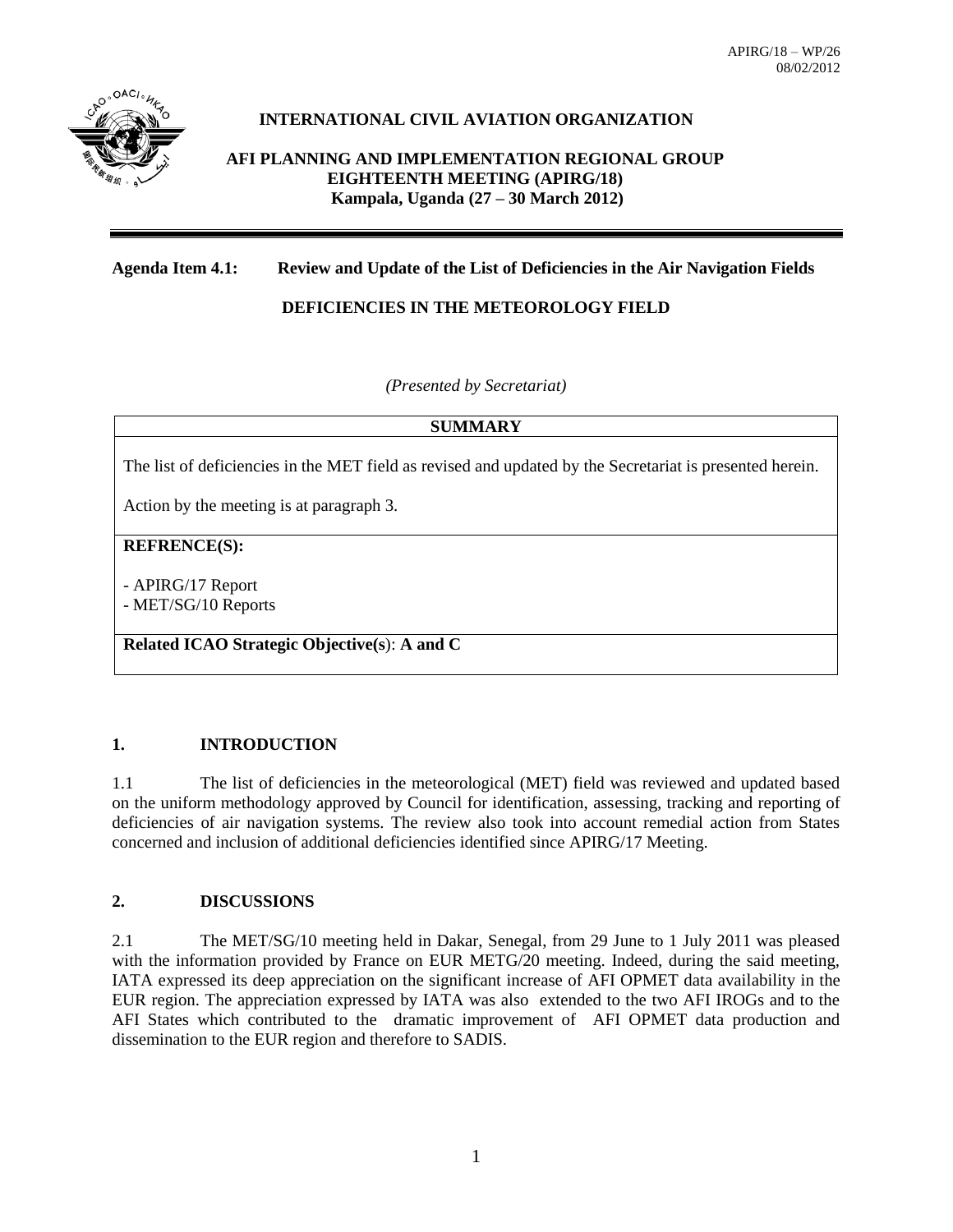

# **INTERNATIONAL CIVIL AVIATION ORGANIZATION**

**AFI PLANNING AND IMPLEMENTATION REGIONAL GROUP EIGHTEENTH MEETING (APIRG/18) Kampala, Uganda (27 – 30 March 2012)**

# **Agenda Item 4.1: Review and Update of the List of Deficiencies in the Air Navigation Fields**

# **DEFICIENCIES IN THE METEOROLOGY FIELD**

*(Presented by Secretariat)*

### **SUMMARY**

The list of deficiencies in the MET field as revised and updated by the Secretariat is presented herein.

Action by the meeting is at paragraph 3.

### **REFRENCE(S):**

- APIRG/17 Report

- MET/SG/10 Reports

**Related ICAO Strategic Objective(s**): **A and C**

## **1. INTRODUCTION**

1.1 The list of deficiencies in the meteorological (MET) field was reviewed and updated based on the uniform methodology approved by Council for identification, assessing, tracking and reporting of deficiencies of air navigation systems. The review also took into account remedial action from States concerned and inclusion of additional deficiencies identified since APIRG/17 Meeting.

## **2. DISCUSSIONS**

2.1 The MET/SG/10 meeting held in Dakar, Senegal, from 29 June to 1 July 2011 was pleased with the information provided by France on EUR METG/20 meeting. Indeed, during the said meeting, IATA expressed its deep appreciation on the significant increase of AFI OPMET data availability in the EUR region. The appreciation expressed by IATA was also extended to the two AFI IROGs and to the AFI States which contributed to the dramatic improvement of AFI OPMET data production and dissemination to the EUR region and therefore to SADIS.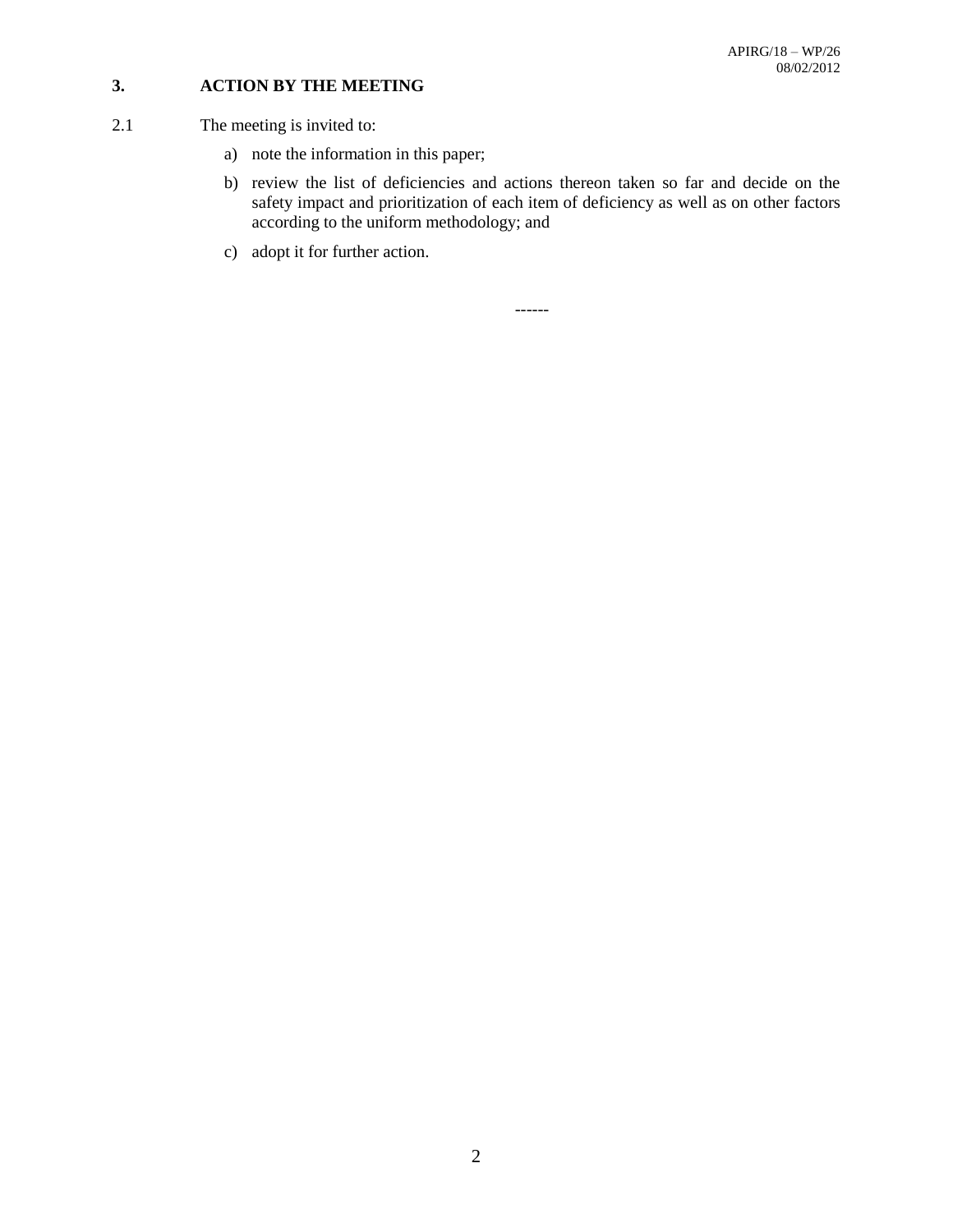# **3. ACTION BY THE MEETING**

- 2.1 The meeting is invited to:
	- a) note the information in this paper;
	- b) review the list of deficiencies and actions thereon taken so far and decide on the safety impact and prioritization of each item of deficiency as well as on other factors according to the uniform methodology; and
	- c) adopt it for further action.

------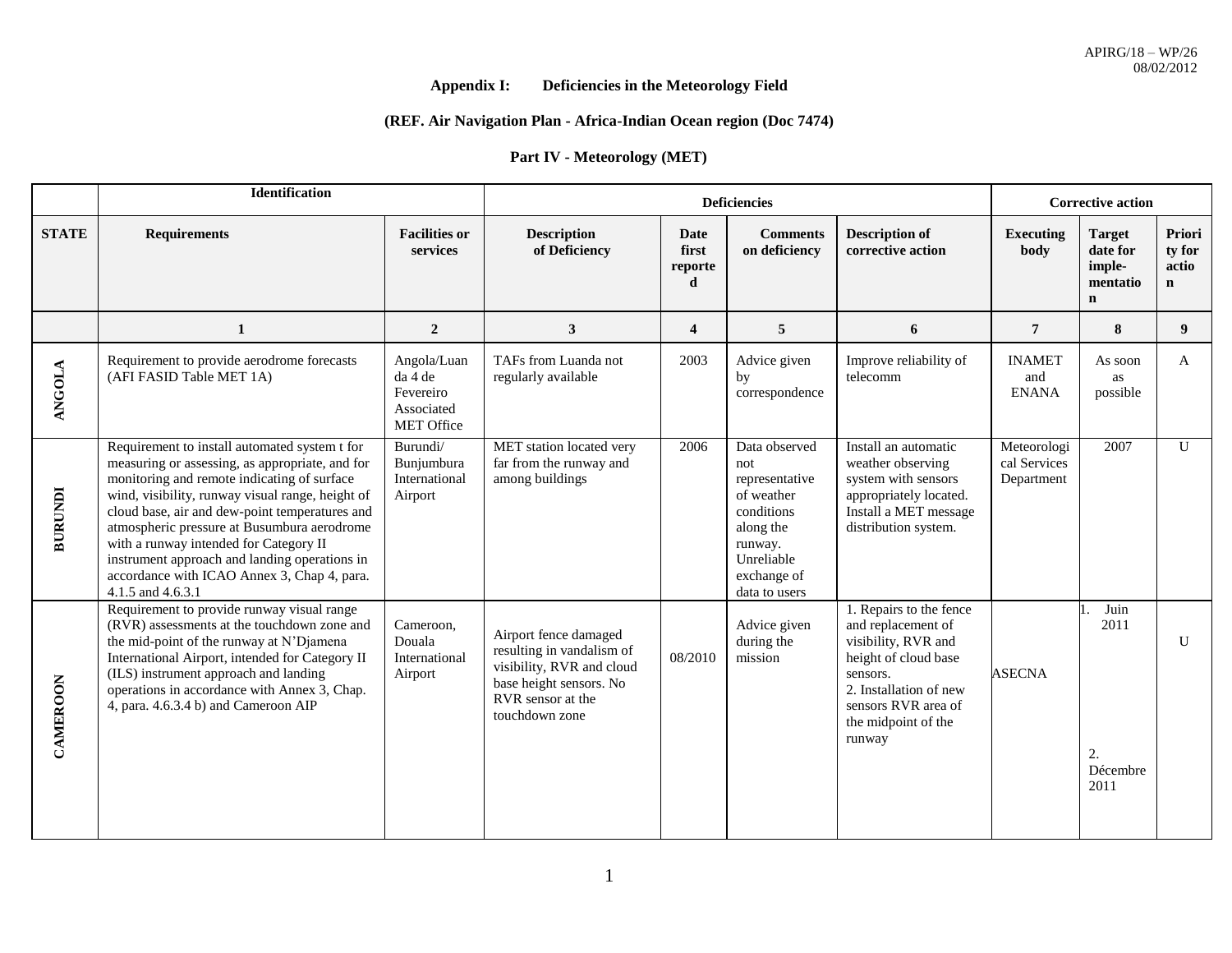# **Appendix I: Deficiencies in the Meteorology Field**

# **(REF. Air Navigation Plan - Africa-Indian Ocean region (Doc 7474)**

### **Part IV - Meteorology (MET)**

|                | Identification                                                                                                                                                                                                                                                                                                                                                                                                                                                      |                                                                 |                                                                                                                                                   |                               | <b>Corrective action</b>                                                                                                                 |                                                                                                                                                                                            |                                           |                                                                |                                          |
|----------------|---------------------------------------------------------------------------------------------------------------------------------------------------------------------------------------------------------------------------------------------------------------------------------------------------------------------------------------------------------------------------------------------------------------------------------------------------------------------|-----------------------------------------------------------------|---------------------------------------------------------------------------------------------------------------------------------------------------|-------------------------------|------------------------------------------------------------------------------------------------------------------------------------------|--------------------------------------------------------------------------------------------------------------------------------------------------------------------------------------------|-------------------------------------------|----------------------------------------------------------------|------------------------------------------|
| <b>STATE</b>   | <b>Requirements</b>                                                                                                                                                                                                                                                                                                                                                                                                                                                 | <b>Facilities or</b><br>services                                | <b>Description</b><br>of Deficiency                                                                                                               | Date<br>first<br>reporte<br>d | <b>Comments</b><br>on deficiency                                                                                                         | <b>Description of</b><br>corrective action                                                                                                                                                 | <b>Executing</b><br>body                  | <b>Target</b><br>date for<br>imple-<br>mentatio<br>$\mathbf n$ | Priori<br>ty for<br>actio<br>$\mathbf n$ |
|                | $\mathbf{1}$                                                                                                                                                                                                                                                                                                                                                                                                                                                        | $\boldsymbol{2}$                                                | 3                                                                                                                                                 | $\overline{\mathbf{4}}$       | 5                                                                                                                                        | 6                                                                                                                                                                                          | $\overline{7}$                            | 8                                                              | 9                                        |
| <b>ANGOLA</b>  | Requirement to provide aerodrome forecasts<br>(AFI FASID Table MET 1A)                                                                                                                                                                                                                                                                                                                                                                                              | Angola/Luan<br>da 4 de<br>Fevereiro<br>Associated<br>MET Office | TAFs from Luanda not<br>regularly available                                                                                                       | 2003                          | Advice given<br>by<br>correspondence                                                                                                     | Improve reliability of<br>telecomm                                                                                                                                                         | <b>INAMET</b><br>and<br><b>ENANA</b>      | As soon<br>as<br>possible                                      | A                                        |
| <b>BURUNDI</b> | Requirement to install automated system t for<br>measuring or assessing, as appropriate, and for<br>monitoring and remote indicating of surface<br>wind, visibility, runway visual range, height of<br>cloud base, air and dew-point temperatures and<br>atmospheric pressure at Busumbura aerodrome<br>with a runway intended for Category II<br>instrument approach and landing operations in<br>accordance with ICAO Annex 3, Chap 4, para.<br>4.1.5 and 4.6.3.1 | Burundi/<br>Bunjumbura<br>International<br>Airport              | MET station located very<br>far from the runway and<br>among buildings                                                                            | 2006                          | Data observed<br>not<br>representative<br>of weather<br>conditions<br>along the<br>runway.<br>Unreliable<br>exchange of<br>data to users | Install an automatic<br>weather observing<br>system with sensors<br>appropriately located.<br>Install a MET message<br>distribution system.                                                | Meteorologi<br>cal Services<br>Department | 2007                                                           | $\mathbf U$                              |
| CAMEROON       | Requirement to provide runway visual range<br>(RVR) assessments at the touchdown zone and<br>the mid-point of the runway at N'Djamena<br>International Airport, intended for Category II<br>(ILS) instrument approach and landing<br>operations in accordance with Annex 3, Chap.<br>4, para. 4.6.3.4 b) and Cameroon AIP                                                                                                                                           | Cameroon,<br>Douala<br>International<br>Airport                 | Airport fence damaged<br>resulting in vandalism of<br>visibility, RVR and cloud<br>base height sensors. No<br>RVR sensor at the<br>touchdown zone | 08/2010                       | Advice given<br>during the<br>mission                                                                                                    | 1. Repairs to the fence<br>and replacement of<br>visibility, RVR and<br>height of cloud base<br>sensors.<br>2. Installation of new<br>sensors RVR area of<br>the midpoint of the<br>runway | <b>ASECNA</b>                             | Juin<br>2011<br>2.<br>Décembre<br>2011                         | U                                        |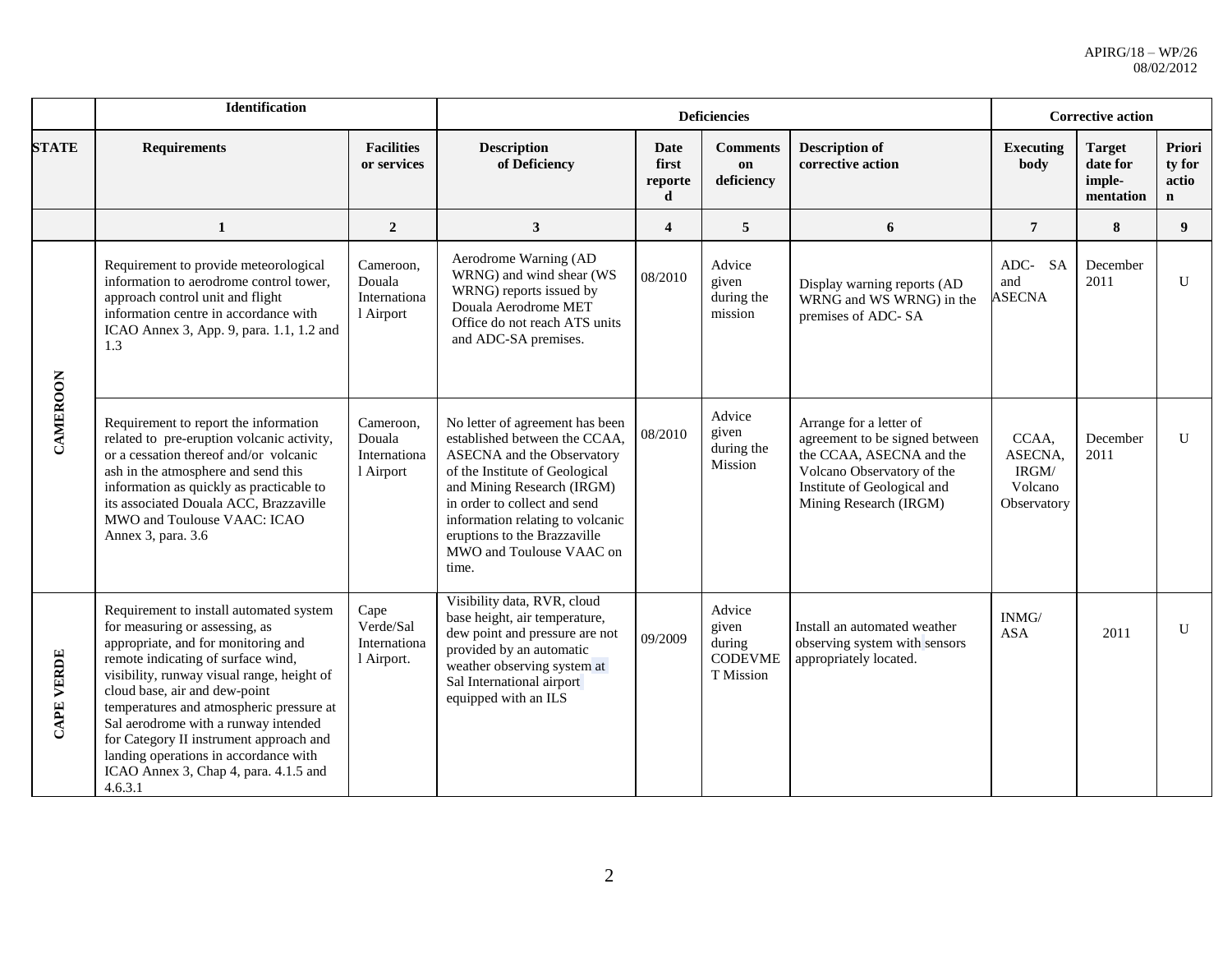|                   | Identification                                                                                                                                                                                                                                                                                                                                                                                                                                                    |                                                  |                                                                                                                                                                                                                                                                                                                |                               | <b>Deficiencies</b>                                      |                                                                                                                                                                              | <b>Corrective action</b>                            |                                                  |                                          |
|-------------------|-------------------------------------------------------------------------------------------------------------------------------------------------------------------------------------------------------------------------------------------------------------------------------------------------------------------------------------------------------------------------------------------------------------------------------------------------------------------|--------------------------------------------------|----------------------------------------------------------------------------------------------------------------------------------------------------------------------------------------------------------------------------------------------------------------------------------------------------------------|-------------------------------|----------------------------------------------------------|------------------------------------------------------------------------------------------------------------------------------------------------------------------------------|-----------------------------------------------------|--------------------------------------------------|------------------------------------------|
| <b>STATE</b>      | <b>Requirements</b>                                                                                                                                                                                                                                                                                                                                                                                                                                               | <b>Facilities</b><br>or services                 | <b>Description</b><br>of Deficiency                                                                                                                                                                                                                                                                            | Date<br>first<br>reporte<br>d | <b>Comments</b><br>on<br>deficiency                      | <b>Description of</b><br>corrective action                                                                                                                                   | <b>Executing</b><br>body                            | <b>Target</b><br>date for<br>imple-<br>mentation | Priori<br>ty for<br>actio<br>$\mathbf n$ |
|                   | $\mathbf{1}$                                                                                                                                                                                                                                                                                                                                                                                                                                                      | $\overline{2}$                                   | 3                                                                                                                                                                                                                                                                                                              | $\overline{4}$                | 5                                                        | 6                                                                                                                                                                            | $\overline{7}$                                      | 8                                                | 9                                        |
|                   | Requirement to provide meteorological<br>information to aerodrome control tower,<br>approach control unit and flight<br>information centre in accordance with<br>ICAO Annex 3, App. 9, para. 1.1, 1.2 and<br>1.3                                                                                                                                                                                                                                                  | Cameroon,<br>Douala<br>Internationa<br>1 Airport | Aerodrome Warning (AD<br>WRNG) and wind shear (WS<br>WRNG) reports issued by<br>Douala Aerodrome MET<br>Office do not reach ATS units<br>and ADC-SA premises.                                                                                                                                                  | 08/2010                       | Advice<br>given<br>during the<br>mission                 | Display warning reports (AD<br>WRNG and WS WRNG) in the<br>premises of ADC-SA                                                                                                | ADC-SA<br>and<br><b>ASECNA</b>                      | December<br>2011                                 | U                                        |
| CAMEROON          | Requirement to report the information<br>related to pre-eruption volcanic activity,<br>or a cessation thereof and/or volcanic<br>ash in the atmosphere and send this<br>information as quickly as practicable to<br>its associated Douala ACC, Brazzaville<br>MWO and Toulouse VAAC: ICAO<br>Annex 3, para. 3.6                                                                                                                                                   | Cameroon,<br>Douala<br>Internationa<br>1 Airport | No letter of agreement has been<br>established between the CCAA,<br><b>ASECNA</b> and the Observatory<br>of the Institute of Geological<br>and Mining Research (IRGM)<br>in order to collect and send<br>information relating to volcanic<br>eruptions to the Brazzaville<br>MWO and Toulouse VAAC on<br>time. | 08/2010                       | Advice<br>given<br>during the<br>Mission                 | Arrange for a letter of<br>agreement to be signed between<br>the CCAA, ASECNA and the<br>Volcano Observatory of the<br>Institute of Geological and<br>Mining Research (IRGM) | CCAA,<br>ASECNA,<br>IRGM/<br>Volcano<br>Observatory | December<br>2011                                 | $\mathbf{U}$                             |
| <b>CAPE VERDE</b> | Requirement to install automated system<br>for measuring or assessing, as<br>appropriate, and for monitoring and<br>remote indicating of surface wind,<br>visibility, runway visual range, height of<br>cloud base, air and dew-point<br>temperatures and atmospheric pressure at<br>Sal aerodrome with a runway intended<br>for Category II instrument approach and<br>landing operations in accordance with<br>ICAO Annex 3, Chap 4, para. 4.1.5 and<br>4.6.3.1 | Cape<br>Verde/Sal<br>Internationa<br>l Airport.  | Visibility data, RVR, cloud<br>base height, air temperature,<br>dew point and pressure are not<br>provided by an automatic<br>weather observing system at<br>Sal International airport<br>equipped with an ILS                                                                                                 | 09/2009                       | Advice<br>given<br>during<br><b>CODEVME</b><br>T Mission | Install an automated weather<br>observing system with sensors<br>appropriately located.                                                                                      | INMG/<br><b>ASA</b>                                 | 2011                                             | U                                        |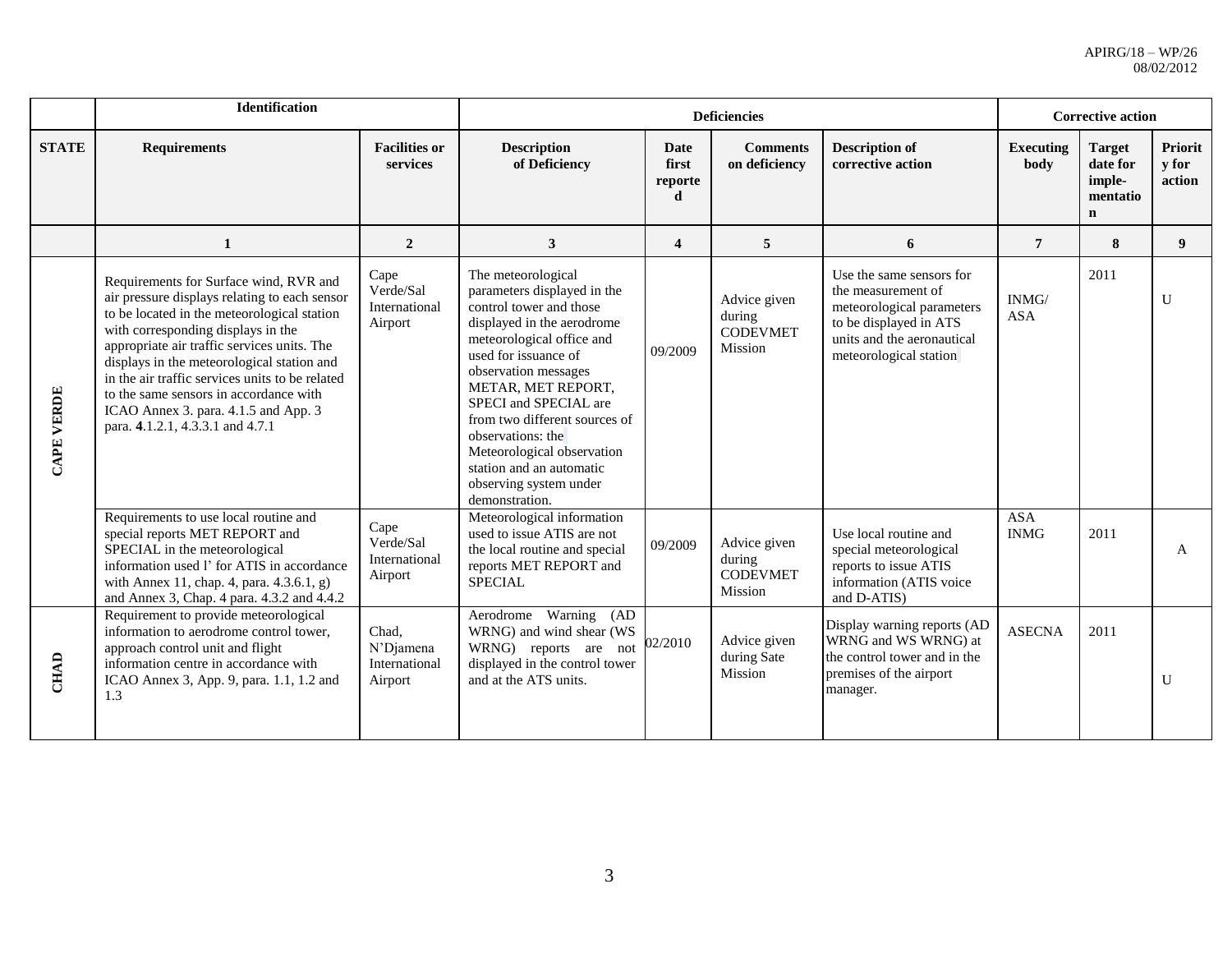|              | <b>Identification</b>                                                                                                                                                                                                                                                                                                                                                                                                                              |                                                |                                                                                                                                                                                                                                                                                                                                                                                                    |                               | <b>Deficiencies</b>                                  |                                                                                                                                                               | <b>Corrective action</b>  |                                                                |                                          |
|--------------|----------------------------------------------------------------------------------------------------------------------------------------------------------------------------------------------------------------------------------------------------------------------------------------------------------------------------------------------------------------------------------------------------------------------------------------------------|------------------------------------------------|----------------------------------------------------------------------------------------------------------------------------------------------------------------------------------------------------------------------------------------------------------------------------------------------------------------------------------------------------------------------------------------------------|-------------------------------|------------------------------------------------------|---------------------------------------------------------------------------------------------------------------------------------------------------------------|---------------------------|----------------------------------------------------------------|------------------------------------------|
| <b>STATE</b> | <b>Requirements</b>                                                                                                                                                                                                                                                                                                                                                                                                                                | <b>Facilities or</b><br>services               | <b>Description</b><br>of Deficiency                                                                                                                                                                                                                                                                                                                                                                | Date<br>first<br>reporte<br>d | <b>Comments</b><br>on deficiency                     | <b>Description of</b><br>corrective action                                                                                                                    | <b>Executing</b><br>body  | <b>Target</b><br>date for<br>imple-<br>mentatio<br>$\mathbf n$ | <b>Priorit</b><br><b>v</b> for<br>action |
|              | 1                                                                                                                                                                                                                                                                                                                                                                                                                                                  | $\overline{2}$                                 | 3                                                                                                                                                                                                                                                                                                                                                                                                  | $\overline{\mathbf{4}}$       | 5                                                    | 6                                                                                                                                                             | $\overline{7}$            | 8                                                              | 9 <sup>°</sup>                           |
| CAPE VERDE   | Requirements for Surface wind, RVR and<br>air pressure displays relating to each sensor<br>to be located in the meteorological station<br>with corresponding displays in the<br>appropriate air traffic services units. The<br>displays in the meteorological station and<br>in the air traffic services units to be related<br>to the same sensors in accordance with<br>ICAO Annex 3. para. 4.1.5 and App. 3<br>para. 4.1.2.1, 4.3.3.1 and 4.7.1 | Cape<br>Verde/Sal<br>International<br>Airport  | The meteorological<br>parameters displayed in the<br>control tower and those<br>displayed in the aerodrome<br>meteorological office and<br>used for issuance of<br>observation messages<br>METAR, MET REPORT,<br>SPECI and SPECIAL are<br>from two different sources of<br>observations: the<br>Meteorological observation<br>station and an automatic<br>observing system under<br>demonstration. | 09/2009                       | Advice given<br>during<br><b>CODEVMET</b><br>Mission | Use the same sensors for<br>the measurement of<br>meteorological parameters<br>to be displayed in ATS<br>units and the aeronautical<br>meteorological station | INMG/<br><b>ASA</b>       | 2011                                                           | U                                        |
|              | Requirements to use local routine and<br>special reports MET REPORT and<br>SPECIAL in the meteorological<br>information used l' for ATIS in accordance<br>with Annex 11, chap. 4, para. 4.3.6.1, g)<br>and Annex 3, Chap. 4 para. 4.3.2 and 4.4.2                                                                                                                                                                                                  | Cape<br>Verde/Sal<br>International<br>Airport  | Meteorological information<br>used to issue ATIS are not<br>the local routine and special<br>reports MET REPORT and<br><b>SPECIAL</b>                                                                                                                                                                                                                                                              | 09/2009                       | Advice given<br>during<br><b>CODEVMET</b><br>Mission | Use local routine and<br>special meteorological<br>reports to issue ATIS<br>information (ATIS voice<br>and D-ATIS)                                            | <b>ASA</b><br><b>INMG</b> | 2011                                                           | A                                        |
| <b>CHAD</b>  | Requirement to provide meteorological<br>information to aerodrome control tower.<br>approach control unit and flight<br>information centre in accordance with<br>ICAO Annex 3, App. 9, para. 1.1, 1.2 and<br>1.3                                                                                                                                                                                                                                   | Chad.<br>N'Diamena<br>International<br>Airport | Aerodrome Warning<br>(AD)<br>WRNG) and wind shear (WS<br>WRNG) reports are not<br>displayed in the control tower<br>and at the ATS units.                                                                                                                                                                                                                                                          | 02/2010                       | Advice given<br>during Sate<br>Mission               | Display warning reports (AD<br>WRNG and WS WRNG) at<br>the control tower and in the<br>premises of the airport<br>manager.                                    | <b>ASECNA</b>             | 2011                                                           | U                                        |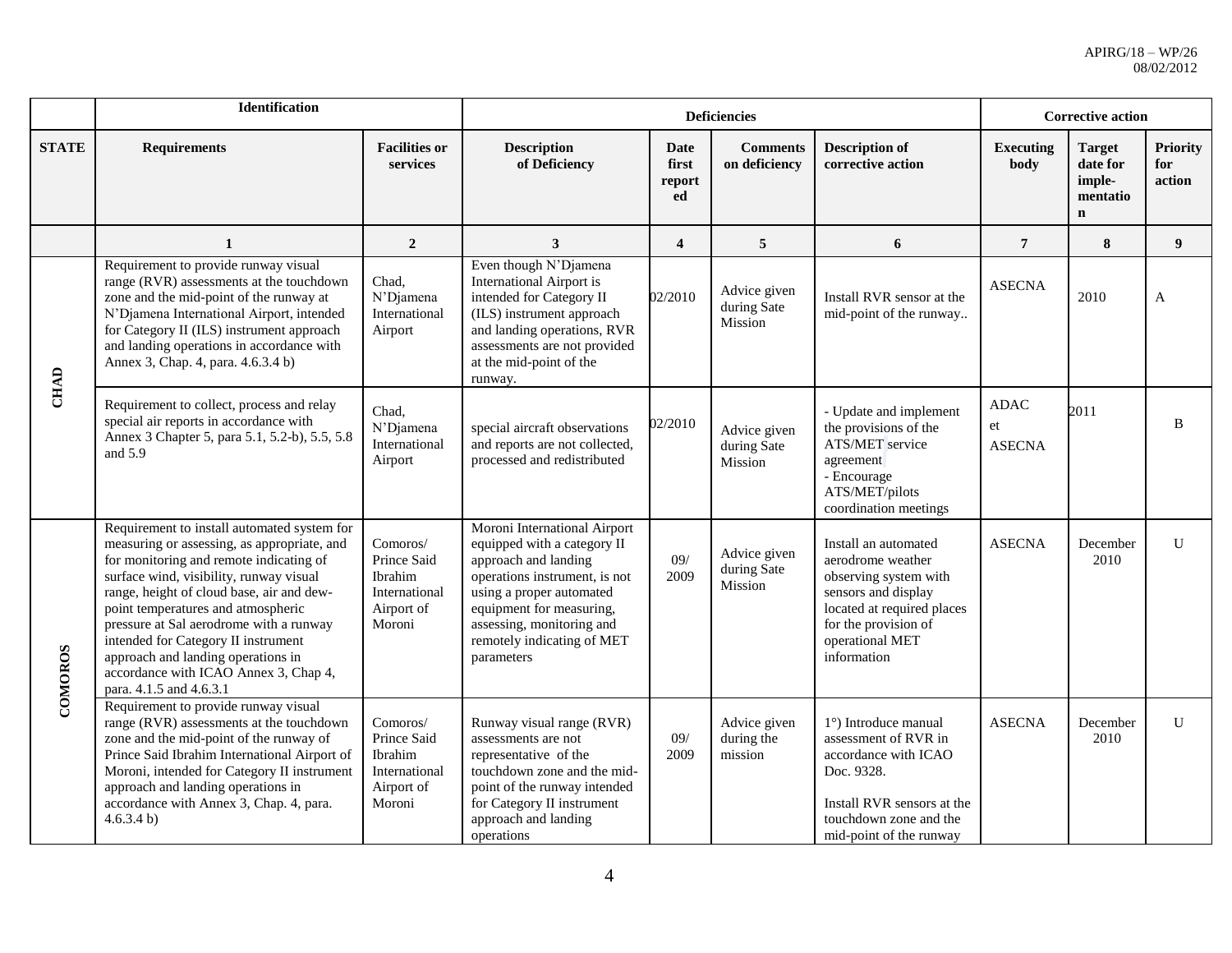|              | <b>Identification</b>                                                                                                                                                                                                                                                                                                                                                                                                                                           |                                                                             |                                                                                                                                                                                                                                                       |                               | <b>Deficiencies</b>                    |                                                                                                                                                                                   | <b>Corrective action</b>           |                                                                 |                                  |
|--------------|-----------------------------------------------------------------------------------------------------------------------------------------------------------------------------------------------------------------------------------------------------------------------------------------------------------------------------------------------------------------------------------------------------------------------------------------------------------------|-----------------------------------------------------------------------------|-------------------------------------------------------------------------------------------------------------------------------------------------------------------------------------------------------------------------------------------------------|-------------------------------|----------------------------------------|-----------------------------------------------------------------------------------------------------------------------------------------------------------------------------------|------------------------------------|-----------------------------------------------------------------|----------------------------------|
| <b>STATE</b> | <b>Requirements</b>                                                                                                                                                                                                                                                                                                                                                                                                                                             | <b>Facilities or</b><br>services                                            | <b>Description</b><br>of Deficiency                                                                                                                                                                                                                   | Date<br>first<br>report<br>ed | <b>Comments</b><br>on deficiency       | <b>Description of</b><br>corrective action                                                                                                                                        | <b>Executing</b><br>body           | <b>Target</b><br>date for<br>imple-<br>mentatio<br>$\mathbf{n}$ | <b>Priority</b><br>for<br>action |
|              | $\mathbf{1}$                                                                                                                                                                                                                                                                                                                                                                                                                                                    | $\overline{2}$                                                              | $\mathbf{3}$                                                                                                                                                                                                                                          | $\overline{\mathbf{4}}$       | 5                                      | 6                                                                                                                                                                                 | $\overline{7}$                     | 8                                                               | 9                                |
|              | Requirement to provide runway visual<br>range (RVR) assessments at the touchdown<br>zone and the mid-point of the runway at<br>N'Djamena International Airport, intended<br>for Category II (ILS) instrument approach<br>and landing operations in accordance with<br>Annex 3, Chap. 4, para. 4.6.3.4 b)                                                                                                                                                        | Chad,<br>N'Djamena<br>International<br>Airport                              | Even though N'Djamena<br><b>International Airport is</b><br>intended for Category II<br>(ILS) instrument approach<br>and landing operations, RVR<br>assessments are not provided<br>at the mid-point of the<br>runway.                                | 02/2010                       | Advice given<br>during Sate<br>Mission | Install RVR sensor at the<br>mid-point of the runway                                                                                                                              | <b>ASECNA</b>                      | 2010                                                            | A                                |
| <b>CHAD</b>  | Requirement to collect, process and relay<br>special air reports in accordance with<br>Annex 3 Chapter 5, para 5.1, 5.2-b), 5.5, 5.8<br>and 5.9                                                                                                                                                                                                                                                                                                                 | Chad,<br>N'Djamena<br>International<br>Airport                              | special aircraft observations<br>and reports are not collected,<br>processed and redistributed                                                                                                                                                        | 02/2010                       | Advice given<br>during Sate<br>Mission | - Update and implement<br>the provisions of the<br><b>ATS/MET</b> service<br>agreement<br>- Encourage<br>ATS/MET/pilots<br>coordination meetings                                  | <b>ADAC</b><br>et<br><b>ASECNA</b> | 2011                                                            | B                                |
| COMOROS      | Requirement to install automated system for<br>measuring or assessing, as appropriate, and<br>for monitoring and remote indicating of<br>surface wind, visibility, runway visual<br>range, height of cloud base, air and dew-<br>point temperatures and atmospheric<br>pressure at Sal aerodrome with a runway<br>intended for Category II instrument<br>approach and landing operations in<br>accordance with ICAO Annex 3, Chap 4,<br>para. 4.1.5 and 4.6.3.1 | Comoros/<br>Prince Said<br>Ibrahim<br>International<br>Airport of<br>Moroni | Moroni International Airport<br>equipped with a category II<br>approach and landing<br>operations instrument, is not<br>using a proper automated<br>equipment for measuring,<br>assessing, monitoring and<br>remotely indicating of MET<br>parameters | 09/<br>2009                   | Advice given<br>during Sate<br>Mission | Install an automated<br>aerodrome weather<br>observing system with<br>sensors and display<br>located at required places<br>for the provision of<br>operational MET<br>information | <b>ASECNA</b>                      | December<br>2010                                                | $\mathbf{U}$                     |
|              | Requirement to provide runway visual<br>range (RVR) assessments at the touchdown<br>zone and the mid-point of the runway of<br>Prince Said Ibrahim International Airport of<br>Moroni, intended for Category II instrument<br>approach and landing operations in<br>accordance with Annex 3, Chap. 4, para.<br>4.6.3.4 b)                                                                                                                                       | Comoros/<br>Prince Said<br>Ibrahim<br>International<br>Airport of<br>Moroni | Runway visual range (RVR)<br>assessments are not<br>representative of the<br>touchdown zone and the mid-<br>point of the runway intended<br>for Category II instrument<br>approach and landing<br>operations                                          | 09/<br>2009                   | Advice given<br>during the<br>mission  | 1°) Introduce manual<br>assessment of RVR in<br>accordance with ICAO<br>Doc. 9328.<br>Install RVR sensors at the<br>touchdown zone and the<br>mid-point of the runway             | <b>ASECNA</b>                      | December<br>2010                                                | $\mathbf{U}$                     |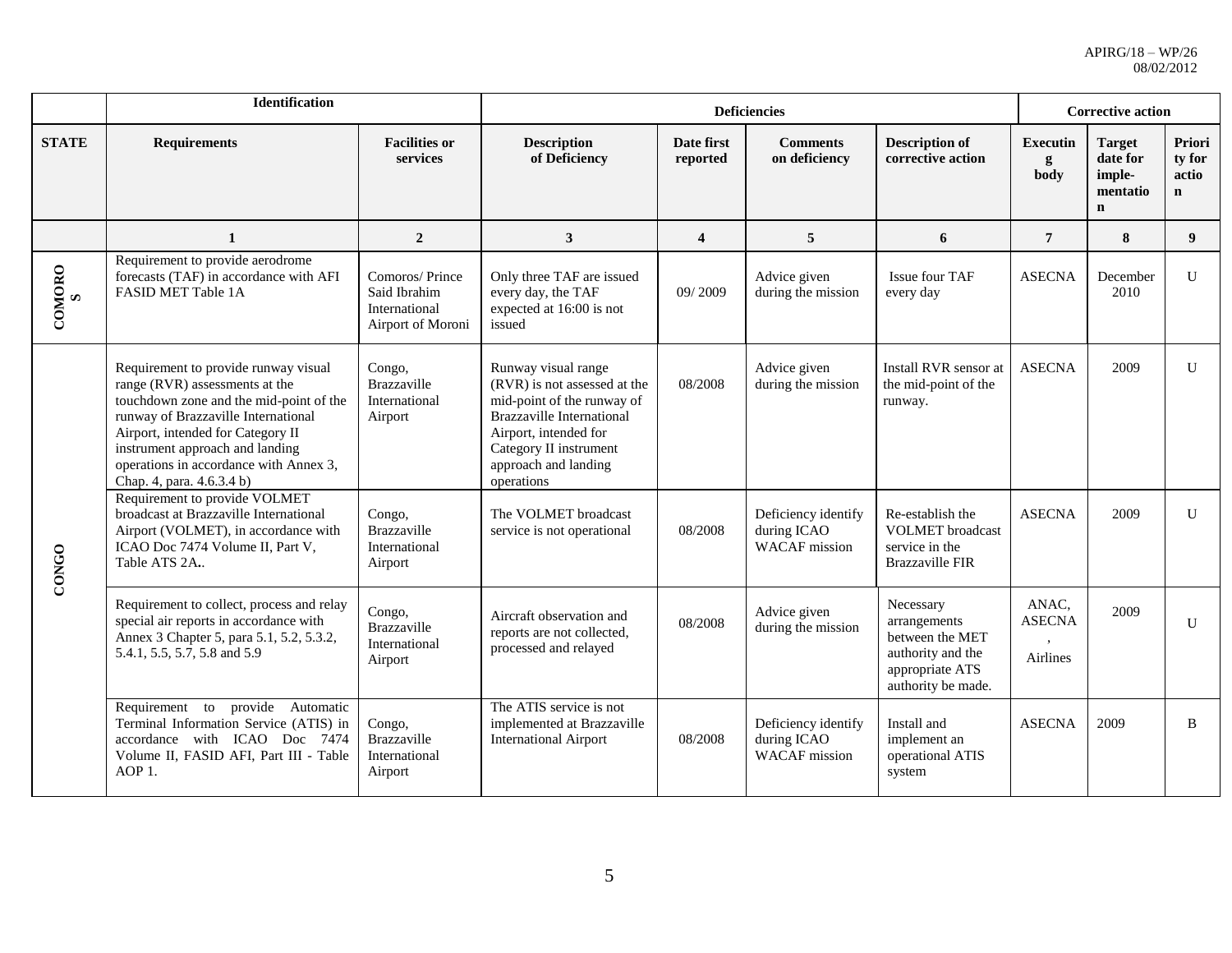|              | Identification                                                                                                                                                                                                                                                                                                                                               |                                                                      |                                                                                                                                                                                                                |                         | <b>Deficiencies</b>                                        |                                                                                                            | <b>Corrective action</b>                  |                                                                |                                          |
|--------------|--------------------------------------------------------------------------------------------------------------------------------------------------------------------------------------------------------------------------------------------------------------------------------------------------------------------------------------------------------------|----------------------------------------------------------------------|----------------------------------------------------------------------------------------------------------------------------------------------------------------------------------------------------------------|-------------------------|------------------------------------------------------------|------------------------------------------------------------------------------------------------------------|-------------------------------------------|----------------------------------------------------------------|------------------------------------------|
| <b>STATE</b> | <b>Requirements</b>                                                                                                                                                                                                                                                                                                                                          | <b>Facilities or</b><br>services                                     | <b>Description</b><br>of Deficiency                                                                                                                                                                            | Date first<br>reported  | <b>Comments</b><br>on deficiency                           | <b>Description of</b><br>corrective action                                                                 | <b>Executin</b><br>g<br>body              | <b>Target</b><br>date for<br>imple-<br>mentatio<br>$\mathbf n$ | Priori<br>ty for<br>actio<br>$\mathbf n$ |
|              | 1                                                                                                                                                                                                                                                                                                                                                            | $\overline{2}$                                                       | 3 <sup>1</sup>                                                                                                                                                                                                 | $\overline{\mathbf{4}}$ | 5                                                          | 6                                                                                                          | $\overline{7}$                            | 8                                                              | 9                                        |
| COMORO<br>S  | Requirement to provide aerodrome<br>forecasts (TAF) in accordance with AFI<br>FASID MET Table 1A                                                                                                                                                                                                                                                             | Comoros/Prince<br>Said Ibrahim<br>International<br>Airport of Moroni | Only three TAF are issued<br>every day, the TAF<br>expected at 16:00 is not<br>issued                                                                                                                          | 09/2009                 | Advice given<br>during the mission                         | Issue four TAF<br>every day                                                                                | <b>ASECNA</b>                             | December<br>2010                                               | U                                        |
| CONGO        | Requirement to provide runway visual<br>Congo,<br>range (RVR) assessments at the<br>Brazzaville<br>touchdown zone and the mid-point of the<br>International<br>runway of Brazzaville International<br>Airport<br>Airport, intended for Category II<br>instrument approach and landing<br>operations in accordance with Annex 3,<br>Chap. 4, para. 4.6.3.4 b) |                                                                      | Runway visual range<br>(RVR) is not assessed at the<br>mid-point of the runway of<br><b>Brazzaville International</b><br>Airport, intended for<br>Category II instrument<br>approach and landing<br>operations | 08/2008                 | Advice given<br>during the mission                         | Install RVR sensor at<br>the mid-point of the<br>runway.                                                   | <b>ASECNA</b>                             | 2009                                                           | U                                        |
|              | Requirement to provide VOLMET<br>broadcast at Brazzaville International<br>Airport (VOLMET), in accordance with<br>ICAO Doc 7474 Volume II, Part V,<br>Table ATS 2A.                                                                                                                                                                                         | Congo,<br>Brazzaville<br>International<br>Airport                    | The VOLMET broadcast<br>service is not operational                                                                                                                                                             | 08/2008                 | Deficiency identify<br>during ICAO<br><b>WACAF</b> mission | Re-establish the<br><b>VOLMET</b> broadcast<br>service in the<br><b>Brazzaville FIR</b>                    | <b>ASECNA</b>                             | 2009                                                           | U                                        |
|              | Requirement to collect, process and relay<br>special air reports in accordance with<br>Annex 3 Chapter 5, para 5.1, 5.2, 5.3.2,<br>5.4.1, 5.5, 5.7, 5.8 and 5.9                                                                                                                                                                                              | Congo,<br><b>Brazzaville</b><br>International<br>Airport             | Aircraft observation and<br>reports are not collected,<br>processed and relayed                                                                                                                                | 08/2008                 | Advice given<br>during the mission                         | Necessary<br>arrangements<br>between the MET<br>authority and the<br>appropriate ATS<br>authority be made. | ANAC,<br><b>ASECNA</b><br><b>Airlines</b> | 2009                                                           | U                                        |
|              | Requirement to provide Automatic<br>Terminal Information Service (ATIS) in<br>accordance with ICAO Doc 7474<br>Volume II, FASID AFI, Part III - Table<br>AOP 1.                                                                                                                                                                                              | Congo,<br>Brazzaville<br>International<br>Airport                    | The ATIS service is not<br>implemented at Brazzaville<br><b>International Airport</b>                                                                                                                          | 08/2008                 | Deficiency identify<br>during ICAO<br><b>WACAF</b> mission | Install and<br>implement an<br>operational ATIS<br>system                                                  | <b>ASECNA</b>                             | 2009                                                           | $\mathbf{B}$                             |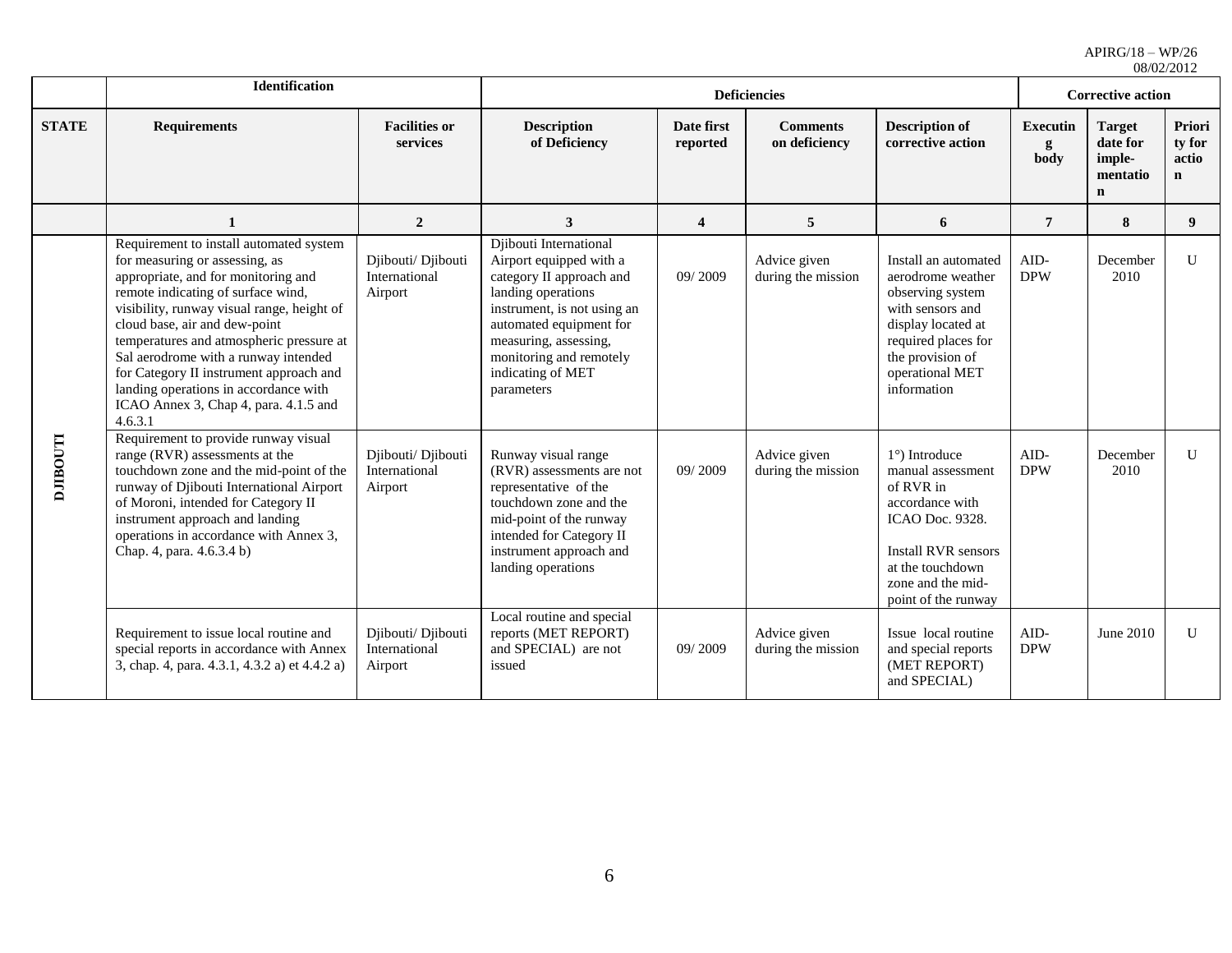|                | <b>Identification</b>                                                                                                                                                                                                                                                                                                                                                                                                                                             |                                                |                                                                                                                                                                                                                                                      |                         | <b>Deficiencies</b>                |                                                                                                                                                                                               | $0\delta/0$ <i>Z</i> / <i>Z</i> $01$ <i>Z</i><br><b>Corrective action</b> |                                                                |                                           |  |
|----------------|-------------------------------------------------------------------------------------------------------------------------------------------------------------------------------------------------------------------------------------------------------------------------------------------------------------------------------------------------------------------------------------------------------------------------------------------------------------------|------------------------------------------------|------------------------------------------------------------------------------------------------------------------------------------------------------------------------------------------------------------------------------------------------------|-------------------------|------------------------------------|-----------------------------------------------------------------------------------------------------------------------------------------------------------------------------------------------|---------------------------------------------------------------------------|----------------------------------------------------------------|-------------------------------------------|--|
| <b>STATE</b>   | <b>Requirements</b>                                                                                                                                                                                                                                                                                                                                                                                                                                               | <b>Facilities or</b><br>services               | <b>Description</b><br>of Deficiency                                                                                                                                                                                                                  | Date first<br>reported  | <b>Comments</b><br>on deficiency   | <b>Description of</b><br>corrective action                                                                                                                                                    | <b>Executin</b><br>g<br>body                                              | <b>Target</b><br>date for<br>imple-<br>mentatio<br>$\mathbf n$ | Priori<br>ty for<br>actio<br>$\mathbf{n}$ |  |
|                | 1                                                                                                                                                                                                                                                                                                                                                                                                                                                                 | $\overline{2}$                                 | $\mathbf{3}$                                                                                                                                                                                                                                         | $\overline{\mathbf{4}}$ | 5                                  | 6                                                                                                                                                                                             | $\overline{7}$                                                            | 8                                                              | 9                                         |  |
|                | Requirement to install automated system<br>for measuring or assessing, as<br>appropriate, and for monitoring and<br>remote indicating of surface wind,<br>visibility, runway visual range, height of<br>cloud base, air and dew-point<br>temperatures and atmospheric pressure at<br>Sal aerodrome with a runway intended<br>for Category II instrument approach and<br>landing operations in accordance with<br>ICAO Annex 3, Chap 4, para. 4.1.5 and<br>4.6.3.1 | Djibouti/ Djibouti<br>International<br>Airport | Djibouti International<br>Airport equipped with a<br>category II approach and<br>landing operations<br>instrument, is not using an<br>automated equipment for<br>measuring, assessing,<br>monitoring and remotely<br>indicating of MET<br>parameters | 09/2009                 | Advice given<br>during the mission | Install an automated<br>aerodrome weather<br>observing system<br>with sensors and<br>display located at<br>required places for<br>the provision of<br>operational MET<br>information          | $AID-$<br><b>DPW</b>                                                      | December<br>2010                                               | U                                         |  |
| <b>LLOOHIT</b> | Requirement to provide runway visual<br>range (RVR) assessments at the<br>touchdown zone and the mid-point of the<br>runway of Djibouti International Airport<br>of Moroni, intended for Category II<br>instrument approach and landing<br>operations in accordance with Annex 3,<br>Chap. 4, para. 4.6.3.4 b)                                                                                                                                                    | Djibouti/ Djibouti<br>International<br>Airport | Runway visual range<br>(RVR) assessments are not<br>representative of the<br>touchdown zone and the<br>mid-point of the runway<br>intended for Category II<br>instrument approach and<br>landing operations                                          | 09/2009                 | Advice given<br>during the mission | $1^{\circ}$ ) Introduce<br>manual assessment<br>of RVR in<br>accordance with<br>ICAO Doc. 9328.<br><b>Install RVR sensors</b><br>at the touchdown<br>zone and the mid-<br>point of the runway | AID-<br><b>DPW</b>                                                        | December<br>2010                                               | $\mathbf{U}$                              |  |
|                | Requirement to issue local routine and<br>special reports in accordance with Annex<br>3, chap. 4, para. 4.3.1, 4.3.2 a) et 4.4.2 a)                                                                                                                                                                                                                                                                                                                               | Djibouti/ Djibouti<br>International<br>Airport | Local routine and special<br>reports (MET REPORT)<br>and SPECIAL) are not<br>issued                                                                                                                                                                  | 09/2009                 | Advice given<br>during the mission | Issue local routine<br>and special reports<br>(MET REPORT)<br>and SPECIAL)                                                                                                                    | $AID-$<br><b>DPW</b>                                                      | June 2010                                                      | U                                         |  |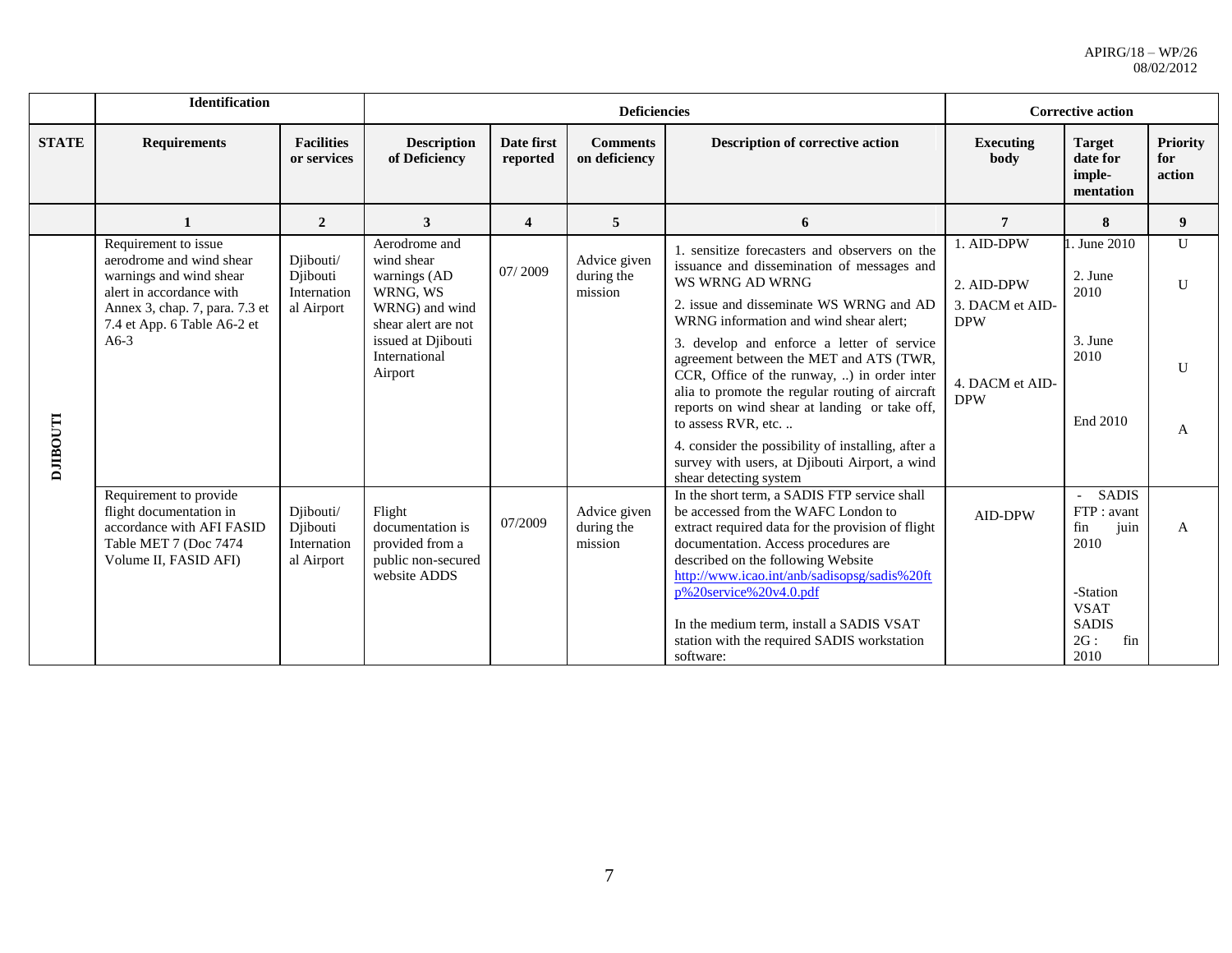|                 | <b>Identification</b>                                                                                                                                                              |                                                    |                                                                                                                                                    |                         | <b>Deficiencies</b>                   |                                                                                                                                                                                                                                                                                                                                                                                                                                                                                                                                                                                                          | <b>Corrective action</b>                                                                   |                                                                                                                    |                                                   |
|-----------------|------------------------------------------------------------------------------------------------------------------------------------------------------------------------------------|----------------------------------------------------|----------------------------------------------------------------------------------------------------------------------------------------------------|-------------------------|---------------------------------------|----------------------------------------------------------------------------------------------------------------------------------------------------------------------------------------------------------------------------------------------------------------------------------------------------------------------------------------------------------------------------------------------------------------------------------------------------------------------------------------------------------------------------------------------------------------------------------------------------------|--------------------------------------------------------------------------------------------|--------------------------------------------------------------------------------------------------------------------|---------------------------------------------------|
| <b>STATE</b>    | <b>Requirements</b>                                                                                                                                                                | <b>Facilities</b><br>or services                   | <b>Description</b><br>of Deficiency                                                                                                                | Date first<br>reported  | <b>Comments</b><br>on deficiency      | <b>Description of corrective action</b>                                                                                                                                                                                                                                                                                                                                                                                                                                                                                                                                                                  | <b>Executing</b><br>body                                                                   | <b>Target</b><br>date for<br>imple-<br>mentation                                                                   | <b>Priority</b><br>for<br>action                  |
|                 | $\mathbf{1}$                                                                                                                                                                       | $\overline{2}$                                     | 3                                                                                                                                                  | $\overline{\mathbf{4}}$ | 5                                     | 6                                                                                                                                                                                                                                                                                                                                                                                                                                                                                                                                                                                                        | $\overline{7}$                                                                             | 8                                                                                                                  | 9                                                 |
| <b>LLOGILIO</b> | Requirement to issue<br>aerodrome and wind shear<br>warnings and wind shear<br>alert in accordance with<br>Annex 3, chap. 7, para. 7.3 et<br>7.4 et App. 6 Table A6-2 et<br>$A6-3$ | Djibouti/<br>Diibouti<br>Internation<br>al Airport | Aerodrome and<br>wind shear<br>warnings (AD<br>WRNG, WS<br>WRNG) and wind<br>shear alert are not<br>issued at Djibouti<br>International<br>Airport | 07/2009                 | Advice given<br>during the<br>mission | 1. sensitize forecasters and observers on the<br>issuance and dissemination of messages and<br>WS WRNG AD WRNG<br>2. issue and disseminate WS WRNG and AD<br>WRNG information and wind shear alert:<br>3. develop and enforce a letter of service<br>agreement between the MET and ATS (TWR,<br>CCR, Office of the runway, ) in order inter<br>alia to promote the regular routing of aircraft<br>reports on wind shear at landing or take off,<br>to assess RVR, etc.<br>4. consider the possibility of installing, after a<br>survey with users, at Djibouti Airport, a wind<br>shear detecting system | 1. AID-DPW<br>2. AID-DPW<br>3. DACM et AID-<br><b>DPW</b><br>4. DACM et AID-<br><b>DPW</b> | 1. June 2010<br>2. June<br>2010<br>3. June<br>2010<br>End 2010                                                     | $\mathbf{U}$<br>$\mathbf{U}$<br>$\mathbf{U}$<br>A |
|                 | Requirement to provide<br>flight documentation in<br>accordance with AFI FASID<br>Table MET 7 (Doc 7474)<br>Volume II, FASID AFI)                                                  | Djibouti/<br>Djibouti<br>Internation<br>al Airport | Flight<br>documentation is<br>provided from a<br>public non-secured<br>website ADDS                                                                | 07/2009                 | Advice given<br>during the<br>mission | In the short term, a SADIS FTP service shall<br>be accessed from the WAFC London to<br>extract required data for the provision of flight<br>documentation. Access procedures are<br>described on the following Website<br>http://www.icao.int/anb/sadisopsg/sadis%20ft<br>p%20service%20v4.0.pdf<br>In the medium term, install a SADIS VSAT<br>station with the required SADIS workstation<br>software:                                                                                                                                                                                                 | <b>AID-DPW</b>                                                                             | <b>SADIS</b><br>FTP: avant<br>juin<br>fin<br>2010<br>-Station<br><b>VSAT</b><br><b>SADIS</b><br>2G:<br>fin<br>2010 | A                                                 |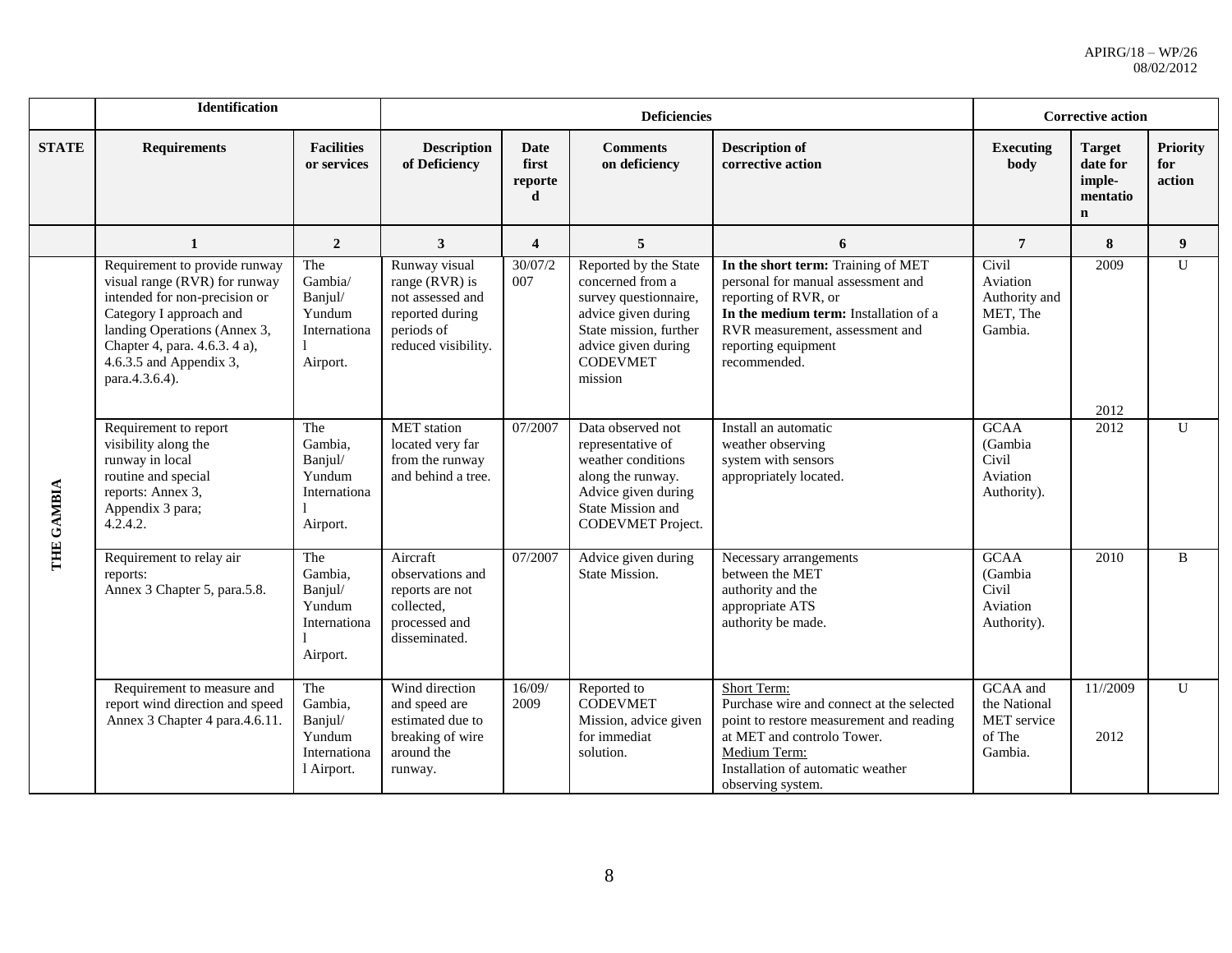|              | Identification                                                                                                                                                                                                                             |                                                                   |                                                                                                             |                                | <b>Deficiencies</b>                                                                                                                                                      |                                                                                                                                                                                                                     |                                                              | <b>Corrective action</b>                                       |                                  |
|--------------|--------------------------------------------------------------------------------------------------------------------------------------------------------------------------------------------------------------------------------------------|-------------------------------------------------------------------|-------------------------------------------------------------------------------------------------------------|--------------------------------|--------------------------------------------------------------------------------------------------------------------------------------------------------------------------|---------------------------------------------------------------------------------------------------------------------------------------------------------------------------------------------------------------------|--------------------------------------------------------------|----------------------------------------------------------------|----------------------------------|
| <b>STATE</b> | <b>Requirements</b>                                                                                                                                                                                                                        | <b>Facilities</b><br>or services                                  | <b>Description</b><br>of Deficiency                                                                         | Date<br>first<br>reporte<br>d. | <b>Comments</b><br>on deficiency                                                                                                                                         | <b>Description of</b><br>corrective action                                                                                                                                                                          | <b>Executing</b><br>body                                     | <b>Target</b><br>date for<br>imple-<br>mentatio<br>$\mathbf n$ | <b>Priority</b><br>for<br>action |
|              | $\mathbf{1}$                                                                                                                                                                                                                               | $\overline{2}$                                                    | $\mathbf{3}$                                                                                                | $\overline{\mathbf{4}}$        | 5                                                                                                                                                                        | 6                                                                                                                                                                                                                   | $7\phantom{.0}$                                              | 8                                                              | 9                                |
|              | Requirement to provide runway<br>visual range (RVR) for runway<br>intended for non-precision or<br>Category I approach and<br>landing Operations (Annex 3,<br>Chapter 4, para. 4.6.3. 4 a),<br>$4.6.3.5$ and Appendix 3,<br>para.4.3.6.4). | The<br>Gambia/<br>Banjul/<br>Yundum<br>Internationa<br>Airport.   | Runway visual<br>range (RVR) is<br>not assessed and<br>reported during<br>periods of<br>reduced visibility. | 30/07/2<br>007                 | Reported by the State<br>concerned from a<br>survey questionnaire,<br>advice given during<br>State mission, further<br>advice given during<br><b>CODEVMET</b><br>mission | In the short term: Training of MET<br>personal for manual assessment and<br>reporting of RVR, or<br>In the medium term: Installation of a<br>RVR measurement, assessment and<br>reporting equipment<br>recommended. | Civil<br>Aviation<br>Authority and<br>MET, The<br>Gambia.    | 2009                                                           | U                                |
| THE GAMBIA   | Requirement to report<br>visibility along the<br>runway in local<br>routine and special<br>reports: Annex 3,<br>Appendix 3 para;<br>4.2.4.2.                                                                                               | The<br>Gambia,<br>Banjul/<br>Yundum<br>Internationa<br>Airport.   | <b>MET</b> station<br>located very far<br>from the runway<br>and behind a tree.                             | 07/2007                        | Data observed not<br>representative of<br>weather conditions<br>along the runway.<br>Advice given during<br>State Mission and<br>CODEVMET Project.                       | Install an automatic<br>weather observing<br>system with sensors<br>appropriately located.                                                                                                                          | <b>GCAA</b><br>(Gambia<br>Civil<br>Aviation<br>Authority).   | 2012<br>2012                                                   | $\mathbf{U}$                     |
|              | Requirement to relay air<br>reports:<br>Annex 3 Chapter 5, para.5.8.                                                                                                                                                                       | The<br>Gambia,<br>Banjul/<br>Yundum<br>Internationa<br>Airport.   | Aircraft<br>observations and<br>reports are not<br>collected,<br>processed and<br>disseminated.             | 07/2007                        | Advice given during<br>State Mission.                                                                                                                                    | Necessary arrangements<br>between the MET<br>authority and the<br>appropriate ATS<br>authority be made.                                                                                                             | <b>GCAA</b><br>(Gambia<br>Civil<br>Aviation<br>Authority).   | 2010                                                           | $\mathbf{B}$                     |
|              | Requirement to measure and<br>report wind direction and speed<br>Annex 3 Chapter 4 para.4.6.11.                                                                                                                                            | The<br>Gambia,<br>Banjul/<br>Yundum<br>Internationa<br>1 Airport. | Wind direction<br>and speed are<br>estimated due to<br>breaking of wire<br>around the<br>runway.            | 16/09/<br>2009                 | Reported to<br><b>CODEVMET</b><br>Mission, advice given<br>for immediat<br>solution.                                                                                     | Short Term:<br>Purchase wire and connect at the selected<br>point to restore measurement and reading<br>at MET and controlo Tower.<br>Medium Term:<br>Installation of automatic weather<br>observing system.        | GCAA and<br>the National<br>MET service<br>of The<br>Gambia. | 11//2009<br>2012                                               | $\mathbf{U}$                     |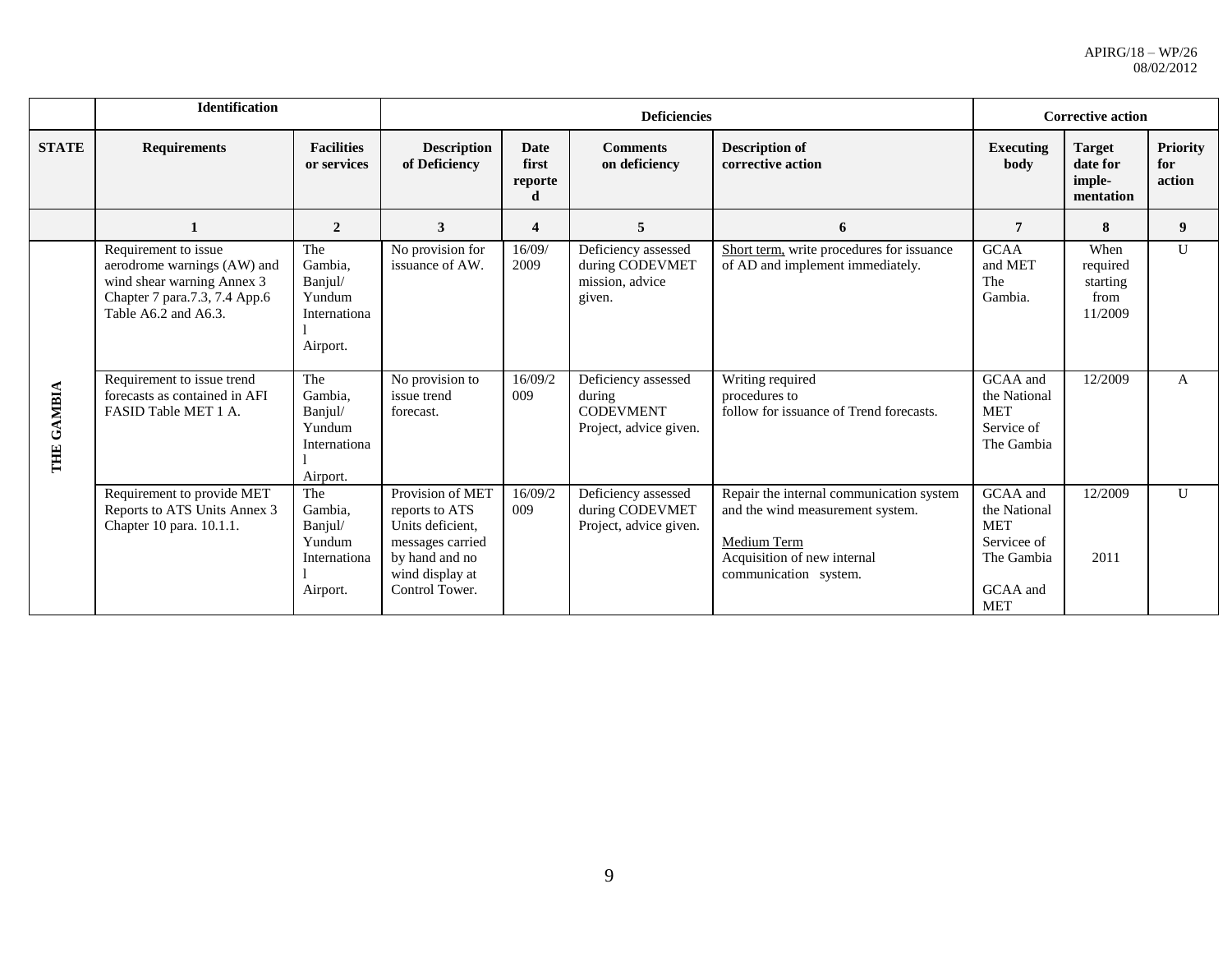|              | <b>Identification</b>                                                                                                                      |                                                                 |                                                                                                                                   |                                      | <b>Deficiencies</b>                                                         |                                                                                                                                                     | <b>Corrective action</b>                                                                      |                                                  |                                  |
|--------------|--------------------------------------------------------------------------------------------------------------------------------------------|-----------------------------------------------------------------|-----------------------------------------------------------------------------------------------------------------------------------|--------------------------------------|-----------------------------------------------------------------------------|-----------------------------------------------------------------------------------------------------------------------------------------------------|-----------------------------------------------------------------------------------------------|--------------------------------------------------|----------------------------------|
| <b>STATE</b> | <b>Requirements</b>                                                                                                                        | <b>Facilities</b><br>or services                                | <b>Description</b><br>of Deficiency                                                                                               | <b>Date</b><br>first<br>reporte<br>d | <b>Comments</b><br>on deficiency                                            | <b>Description of</b><br>corrective action                                                                                                          | <b>Executing</b><br>body                                                                      | <b>Target</b><br>date for<br>imple-<br>mentation | <b>Priority</b><br>for<br>action |
|              |                                                                                                                                            | $\overline{2}$                                                  | $\overline{\mathbf{3}}$                                                                                                           | 4                                    | 5                                                                           | 6                                                                                                                                                   | $\overline{7}$                                                                                | 8                                                | 9                                |
|              | Requirement to issue<br>aerodrome warnings (AW) and<br>wind shear warning Annex 3<br>Chapter 7 para.7.3, 7.4 App.6<br>Table A6.2 and A6.3. | The<br>Gambia,<br>Banjul/<br>Yundum<br>Internationa<br>Airport. | No provision for<br>issuance of AW.                                                                                               | 16/09/<br>2009                       | Deficiency assessed<br>during CODEVMET<br>mission, advice<br>given.         | Short term, write procedures for issuance<br>of AD and implement immediately.                                                                       | <b>GCAA</b><br>and MET<br>The<br>Gambia.                                                      | When<br>required<br>starting<br>from<br>11/2009  | $\mathbf{U}$                     |
| THE GAMBIA   | Requirement to issue trend<br>forecasts as contained in AFI<br>FASID Table MET 1 A.                                                        | The<br>Gambia.<br>Banjul/<br>Yundum<br>Internationa<br>Airport. | No provision to<br>issue trend<br>forecast.                                                                                       | 16/09/2<br>009                       | Deficiency assessed<br>during<br><b>CODEVMENT</b><br>Project, advice given. | Writing required<br>procedures to<br>follow for issuance of Trend forecasts.                                                                        | GCAA and<br>the National<br><b>MET</b><br>Service of<br>The Gambia                            | 12/2009                                          | A                                |
|              | Requirement to provide MET<br>Reports to ATS Units Annex 3<br>Chapter 10 para. 10.1.1.                                                     | The<br>Gambia,<br>Banjul/<br>Yundum<br>Internationa<br>Airport. | Provision of MET<br>reports to ATS<br>Units deficient.<br>messages carried<br>by hand and no<br>wind display at<br>Control Tower. | 16/09/2<br>009                       | Deficiency assessed<br>during CODEVMET<br>Project, advice given.            | Repair the internal communication system<br>and the wind measurement system.<br>Medium Term<br>Acquisition of new internal<br>communication system. | GCAA and<br>the National<br><b>MET</b><br>Servicee of<br>The Gambia<br>GCAA and<br><b>MET</b> | 12/2009<br>2011                                  | $\mathbf{U}$                     |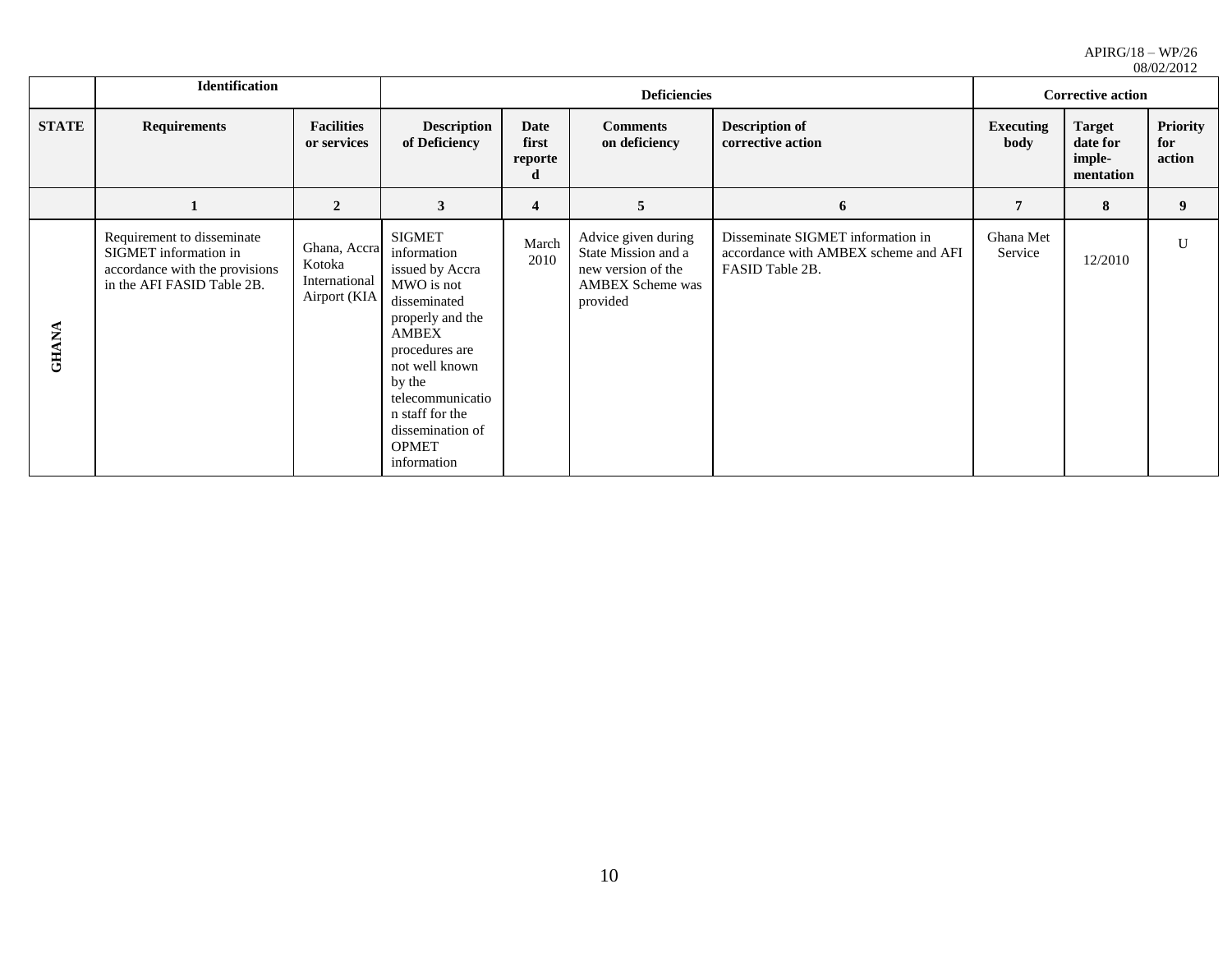|              | Identification                                                                                                      |                                                         |                                                                                                                                                                                                                                                    |                                      | <b>Deficiencies</b>                                                                                     |                                                                                              | 00/02/2012<br><b>Corrective action</b> |                                                  |                                  |
|--------------|---------------------------------------------------------------------------------------------------------------------|---------------------------------------------------------|----------------------------------------------------------------------------------------------------------------------------------------------------------------------------------------------------------------------------------------------------|--------------------------------------|---------------------------------------------------------------------------------------------------------|----------------------------------------------------------------------------------------------|----------------------------------------|--------------------------------------------------|----------------------------------|
| <b>STATE</b> | <b>Requirements</b>                                                                                                 | <b>Facilities</b><br>or services                        | <b>Description</b><br>of Deficiency                                                                                                                                                                                                                | <b>Date</b><br>first<br>reporte<br>d | <b>Comments</b><br>on deficiency                                                                        | <b>Description of</b><br>corrective action                                                   | Executing<br>body                      | <b>Target</b><br>date for<br>imple-<br>mentation | <b>Priority</b><br>for<br>action |
|              |                                                                                                                     | $\mathbf{2}$                                            | 3                                                                                                                                                                                                                                                  | 4                                    | 5                                                                                                       | 6                                                                                            | 7                                      | 8                                                | 9 <sup>1</sup>                   |
| <b>GHANA</b> | Requirement to disseminate<br>SIGMET information in<br>accordance with the provisions<br>in the AFI FASID Table 2B. | Ghana, Accra<br>Kotoka<br>International<br>Airport (KIA | <b>SIGMET</b><br>information<br>issued by Accra<br>MWO is not<br>disseminated<br>properly and the<br>AMBEX<br>procedures are<br>not well known<br>by the<br>telecommunicatio<br>n staff for the<br>dissemination of<br><b>OPMET</b><br>information | March<br>2010                        | Advice given during<br>State Mission and a<br>new version of the<br><b>AMBEX Scheme was</b><br>provided | Disseminate SIGMET information in<br>accordance with AMBEX scheme and AFI<br>FASID Table 2B. | Ghana Met<br>Service                   | 12/2010                                          | U                                |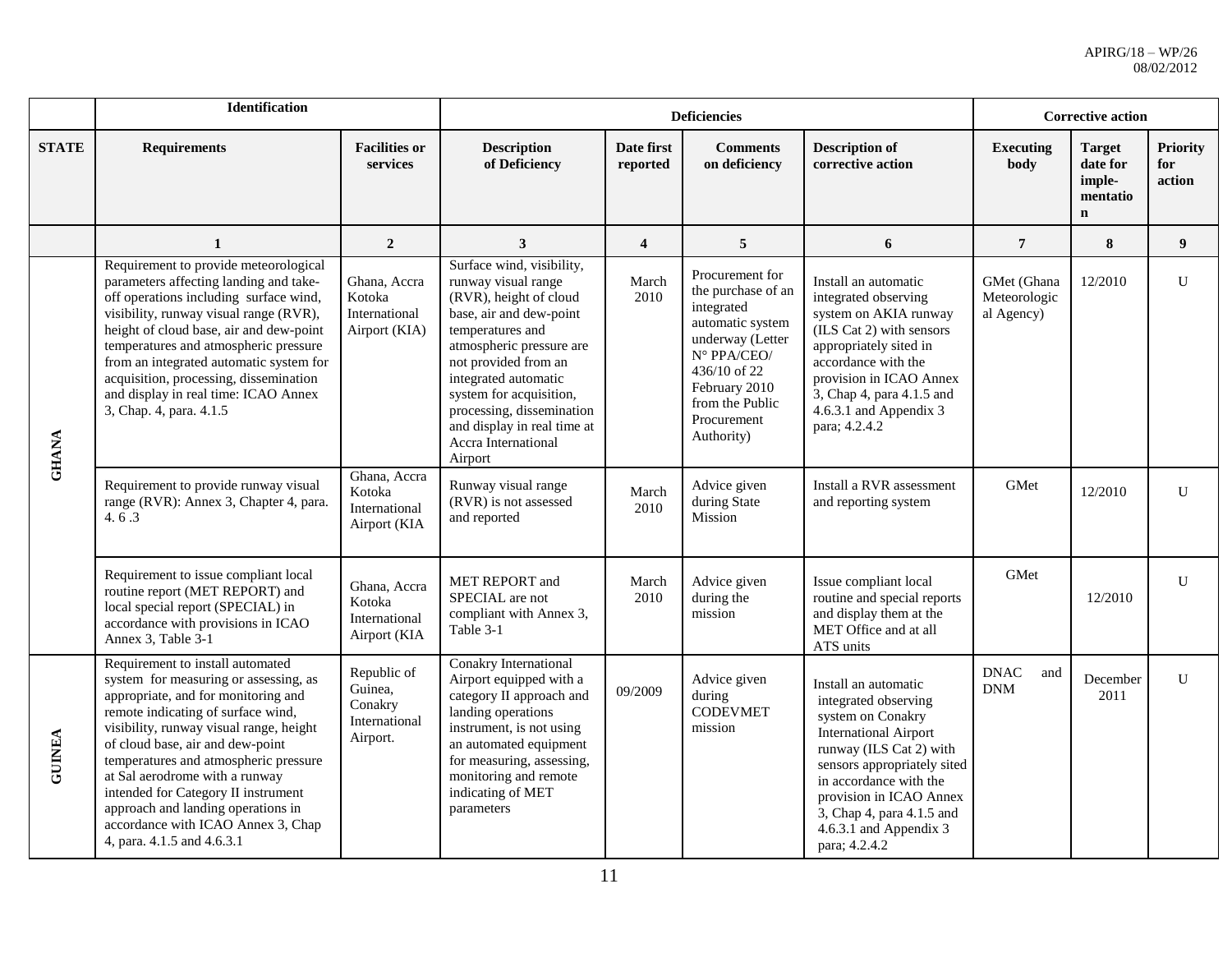|               | <b>Identification</b>                                                                                                                                                                                                                                                                                                                                                                                                                                             |                                                                |                                                                                                                                                                                                                                                                                                                                |                         | <b>Deficiencies</b>                                                                                                                                                                         |                                                                                                                                                                                                                                                                                          | <b>Corrective action</b>                  |                                                                |                                  |
|---------------|-------------------------------------------------------------------------------------------------------------------------------------------------------------------------------------------------------------------------------------------------------------------------------------------------------------------------------------------------------------------------------------------------------------------------------------------------------------------|----------------------------------------------------------------|--------------------------------------------------------------------------------------------------------------------------------------------------------------------------------------------------------------------------------------------------------------------------------------------------------------------------------|-------------------------|---------------------------------------------------------------------------------------------------------------------------------------------------------------------------------------------|------------------------------------------------------------------------------------------------------------------------------------------------------------------------------------------------------------------------------------------------------------------------------------------|-------------------------------------------|----------------------------------------------------------------|----------------------------------|
| <b>STATE</b>  | <b>Requirements</b>                                                                                                                                                                                                                                                                                                                                                                                                                                               | <b>Facilities or</b><br>services                               | <b>Description</b><br>of Deficiency                                                                                                                                                                                                                                                                                            | Date first<br>reported  | <b>Comments</b><br>on deficiency                                                                                                                                                            | <b>Description of</b><br>corrective action                                                                                                                                                                                                                                               | <b>Executing</b><br>body                  | <b>Target</b><br>date for<br>imple-<br>mentatio<br>$\mathbf n$ | <b>Priority</b><br>for<br>action |
|               | 1                                                                                                                                                                                                                                                                                                                                                                                                                                                                 | $\overline{2}$                                                 | 3                                                                                                                                                                                                                                                                                                                              | $\overline{\mathbf{4}}$ | 5                                                                                                                                                                                           | 6                                                                                                                                                                                                                                                                                        | $\overline{7}$                            | 8                                                              | 9                                |
| <b>GHANA</b>  | Requirement to provide meteorological<br>parameters affecting landing and take-<br>off operations including surface wind,<br>visibility, runway visual range (RVR),<br>height of cloud base, air and dew-point<br>temperatures and atmospheric pressure<br>from an integrated automatic system for<br>acquisition, processing, dissemination<br>and display in real time: ICAO Annex<br>3, Chap. 4, para. 4.1.5                                                   | Ghana, Accra<br>Kotoka<br>International<br>Airport (KIA)       | Surface wind, visibility,<br>runway visual range<br>(RVR), height of cloud<br>base, air and dew-point<br>temperatures and<br>atmospheric pressure are<br>not provided from an<br>integrated automatic<br>system for acquisition,<br>processing, dissemination<br>and display in real time at<br>Accra International<br>Airport | March<br>2010           | Procurement for<br>the purchase of an<br>integrated<br>automatic system<br>underway (Letter<br>N° PPA/CEO/<br>436/10 of 22<br>February 2010<br>from the Public<br>Procurement<br>Authority) | Install an automatic<br>integrated observing<br>system on AKIA runway<br>(ILS Cat 2) with sensors<br>appropriately sited in<br>accordance with the<br>provision in ICAO Annex<br>3, Chap 4, para 4.1.5 and<br>4.6.3.1 and Appendix 3<br>para; 4.2.4.2                                    | GMet (Ghana<br>Meteorologic<br>al Agency) | 12/2010                                                        | U                                |
|               | Requirement to provide runway visual<br>range (RVR): Annex 3, Chapter 4, para.<br>4.6.3                                                                                                                                                                                                                                                                                                                                                                           | Ghana, Accra<br>Kotoka<br>International<br>Airport (KIA        | Runway visual range<br>(RVR) is not assessed<br>and reported                                                                                                                                                                                                                                                                   | March<br>2010           | Advice given<br>during State<br>Mission                                                                                                                                                     | Install a RVR assessment<br>and reporting system                                                                                                                                                                                                                                         | GMet                                      | 12/2010                                                        | U                                |
|               | Requirement to issue compliant local<br>routine report (MET REPORT) and<br>local special report (SPECIAL) in<br>accordance with provisions in ICAO<br>Annex 3, Table 3-1                                                                                                                                                                                                                                                                                          | Ghana, Accra<br>Kotoka<br>International<br>Airport (KIA        | <b>MET REPORT and</b><br>SPECIAL are not<br>compliant with Annex 3,<br>Table 3-1                                                                                                                                                                                                                                               | March<br>2010           | Advice given<br>during the<br>mission                                                                                                                                                       | Issue compliant local<br>routine and special reports<br>and display them at the<br>MET Office and at all<br>ATS units                                                                                                                                                                    | GMet                                      | 12/2010                                                        | U                                |
| <b>GUINEA</b> | Requirement to install automated<br>system for measuring or assessing, as<br>appropriate, and for monitoring and<br>remote indicating of surface wind,<br>visibility, runway visual range, height<br>of cloud base, air and dew-point<br>temperatures and atmospheric pressure<br>at Sal aerodrome with a runway<br>intended for Category II instrument<br>approach and landing operations in<br>accordance with ICAO Annex 3, Chap<br>4, para. 4.1.5 and 4.6.3.1 | Republic of<br>Guinea,<br>Conakry<br>International<br>Airport. | Conakry International<br>Airport equipped with a<br>category II approach and<br>landing operations<br>instrument, is not using<br>an automated equipment<br>for measuring, assessing,<br>monitoring and remote<br>indicating of MET<br>parameters                                                                              | 09/2009                 | Advice given<br>during<br><b>CODEVMET</b><br>mission                                                                                                                                        | Install an automatic<br>integrated observing<br>system on Conakry<br><b>International Airport</b><br>runway (ILS Cat 2) with<br>sensors appropriately sited<br>in accordance with the<br>provision in ICAO Annex<br>3, Chap 4, para 4.1.5 and<br>4.6.3.1 and Appendix 3<br>para; 4.2.4.2 | <b>DNAC</b><br>and<br><b>DNM</b>          | December<br>2011                                               | $\mathbf{U}$                     |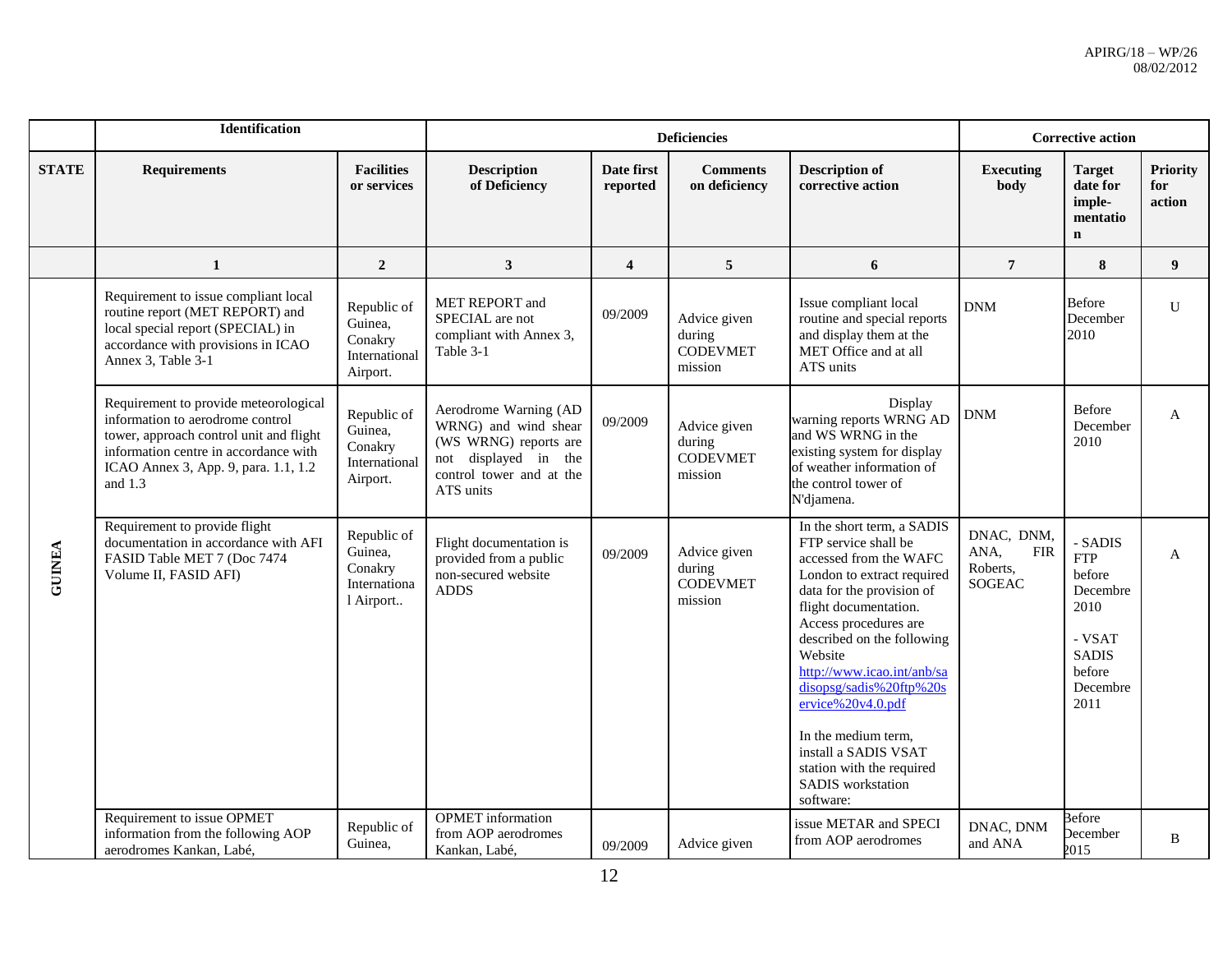|              | Identification                                                                                                                                                                                                     |                                                                |                                                                                                                                            |                         | <b>Deficiencies</b>                                  |                                                                                                                                                                                                                                                                                                                                                                                                                                |                                                               | <b>Corrective action</b>                                                                                    |                                  |
|--------------|--------------------------------------------------------------------------------------------------------------------------------------------------------------------------------------------------------------------|----------------------------------------------------------------|--------------------------------------------------------------------------------------------------------------------------------------------|-------------------------|------------------------------------------------------|--------------------------------------------------------------------------------------------------------------------------------------------------------------------------------------------------------------------------------------------------------------------------------------------------------------------------------------------------------------------------------------------------------------------------------|---------------------------------------------------------------|-------------------------------------------------------------------------------------------------------------|----------------------------------|
| <b>STATE</b> | <b>Requirements</b>                                                                                                                                                                                                | <b>Facilities</b><br>or services                               | <b>Description</b><br>of Deficiency                                                                                                        | Date first<br>reported  | <b>Comments</b><br>on deficiency                     | <b>Description of</b><br>corrective action                                                                                                                                                                                                                                                                                                                                                                                     | <b>Executing</b><br>body                                      | <b>Target</b><br>date for<br>imple-<br>mentatio<br>$\mathbf n$                                              | <b>Priority</b><br>for<br>action |
|              | $\mathbf{1}$                                                                                                                                                                                                       | $\boldsymbol{2}$                                               | $\mathbf{3}$                                                                                                                               | $\overline{\mathbf{4}}$ | 5                                                    | 6                                                                                                                                                                                                                                                                                                                                                                                                                              | $\overline{7}$                                                | 8                                                                                                           | $\boldsymbol{9}$                 |
|              | Requirement to issue compliant local<br>routine report (MET REPORT) and<br>local special report (SPECIAL) in<br>accordance with provisions in ICAO<br>Annex 3, Table 3-1                                           | Republic of<br>Guinea,<br>Conakry<br>International<br>Airport. | MET REPORT and<br>SPECIAL are not<br>compliant with Annex 3,<br>Table 3-1                                                                  | 09/2009                 | Advice given<br>during<br><b>CODEVMET</b><br>mission | Issue compliant local<br>routine and special reports<br>and display them at the<br>MET Office and at all<br>ATS units                                                                                                                                                                                                                                                                                                          | <b>DNM</b>                                                    | Before<br>December<br>2010                                                                                  | $\mathbf{U}$                     |
|              | Requirement to provide meteorological<br>information to aerodrome control<br>tower, approach control unit and flight<br>information centre in accordance with<br>ICAO Annex 3, App. 9, para. 1.1, 1.2<br>and $1.3$ | Republic of<br>Guinea,<br>Conakry<br>International<br>Airport. | Aerodrome Warning (AD<br>WRNG) and wind shear<br>(WS WRNG) reports are<br>displayed in the<br>not<br>control tower and at the<br>ATS units | 09/2009                 | Advice given<br>during<br><b>CODEVMET</b><br>mission | Display<br>warning reports WRNG AD<br>and WS WRNG in the<br>existing system for display<br>of weather information of<br>the control tower of<br>N'djamena.                                                                                                                                                                                                                                                                     | DNM                                                           | Before<br>December<br>2010                                                                                  | $\mathbf{A}$                     |
| GUINEA       | Requirement to provide flight<br>documentation in accordance with AFI<br>FASID Table MET 7 (Doc 7474)<br>Volume II, FASID AFI)                                                                                     | Republic of<br>Guinea,<br>Conakry<br>Internationa<br>1 Airport | Flight documentation is<br>provided from a public<br>non-secured website<br><b>ADDS</b>                                                    | 09/2009                 | Advice given<br>during<br><b>CODEVMET</b><br>mission | In the short term, a SADIS<br>FTP service shall be<br>accessed from the WAFC<br>London to extract required<br>data for the provision of<br>flight documentation.<br>Access procedures are<br>described on the following<br>Website<br>http://www.icao.int/anb/sa<br>disopsg/sadis%20ftp%20s<br>ervice%20v4.0.pdf<br>In the medium term,<br>install a SADIS VSAT<br>station with the required<br>SADIS workstation<br>software: | DNAC, DNM,<br>ANA,<br><b>FIR</b><br>Roberts,<br><b>SOGEAC</b> | - SADIS<br><b>FTP</b><br>before<br>Decembre<br>2010<br>- VSAT<br><b>SADIS</b><br>before<br>Decembre<br>2011 | A                                |
|              | Requirement to issue OPMET<br>information from the following AOP<br>aerodromes Kankan, Labé,                                                                                                                       | Republic of<br>Guinea,                                         | <b>OPMET</b> information<br>from AOP aerodromes<br>Kankan, Labé,                                                                           | 09/2009                 | Advice given                                         | issue METAR and SPECI<br>from AOP aerodromes                                                                                                                                                                                                                                                                                                                                                                                   | DNAC, DNM<br>and ANA                                          | Before<br>December<br>2015                                                                                  | B                                |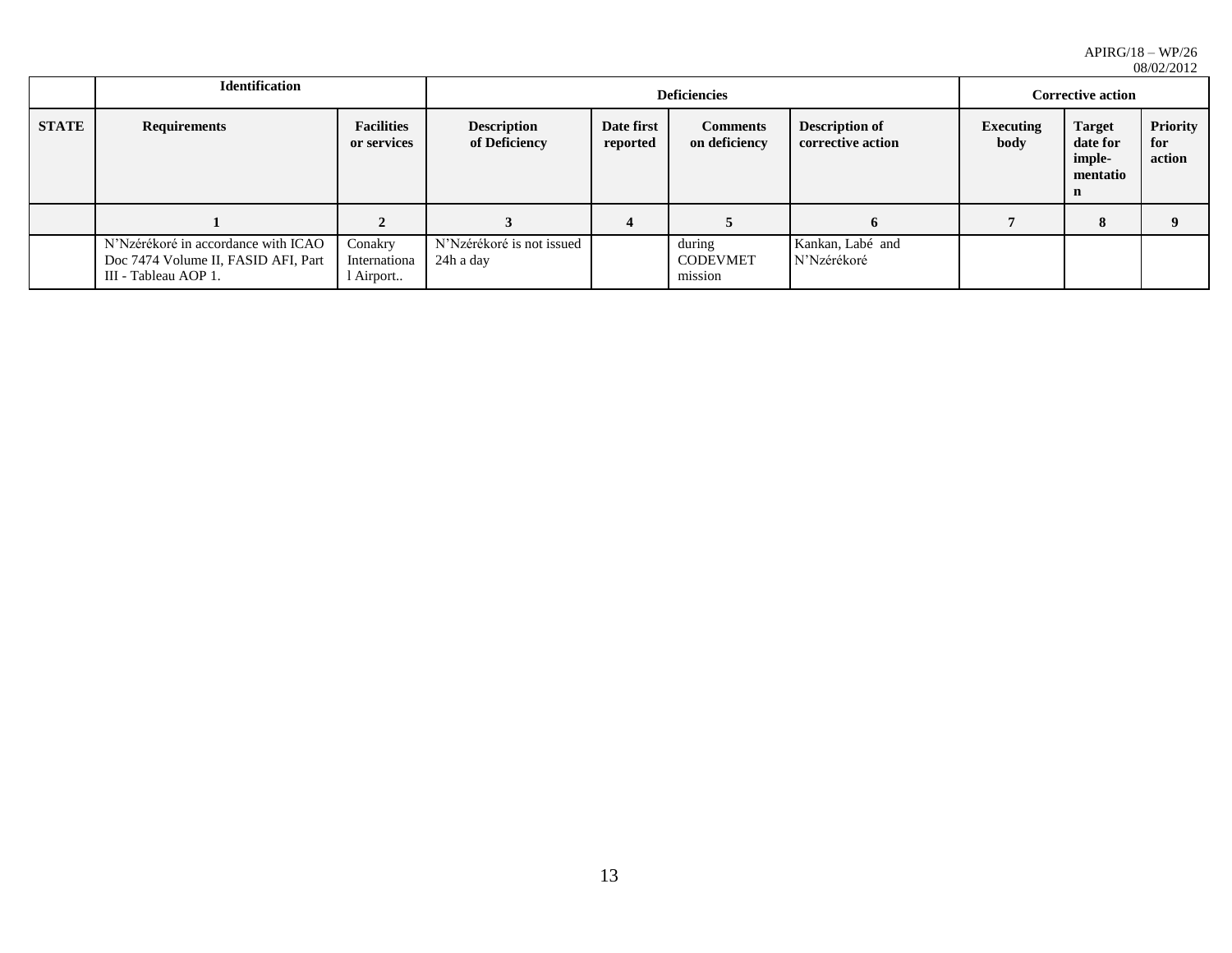|              |                                                                                                    |                                      | 00/04/2014                             |                        |                                      |                                            |                          |                                                                |                                  |
|--------------|----------------------------------------------------------------------------------------------------|--------------------------------------|----------------------------------------|------------------------|--------------------------------------|--------------------------------------------|--------------------------|----------------------------------------------------------------|----------------------------------|
|              | <b>Identification</b>                                                                              |                                      |                                        |                        | <b>Corrective action</b>             |                                            |                          |                                                                |                                  |
| <b>STATE</b> | <b>Requirements</b>                                                                                | <b>Facilities</b><br>or services     | <b>Description</b><br>of Deficiency    | Date first<br>reported | <b>Comments</b><br>on deficiency     | <b>Description of</b><br>corrective action | <b>Executing</b><br>body | <b>Target</b><br>date for<br>imple-<br>mentatio<br>$\mathbf n$ | <b>Priority</b><br>for<br>action |
|              |                                                                                                    | $\overline{2}$                       |                                        |                        |                                      | 6                                          |                          | 8                                                              |                                  |
|              | N'Nzérékoré in accordance with ICAO<br>Doc 7474 Volume II, FASID AFI, Part<br>III - Tableau AOP 1. | Conakry<br>Internationa<br>l Airport | N'Nzérékoré is not issued<br>24h a day |                        | during<br><b>CODEVMET</b><br>mission | Kankan, Labé and<br>N'Nzérékoré            |                          |                                                                |                                  |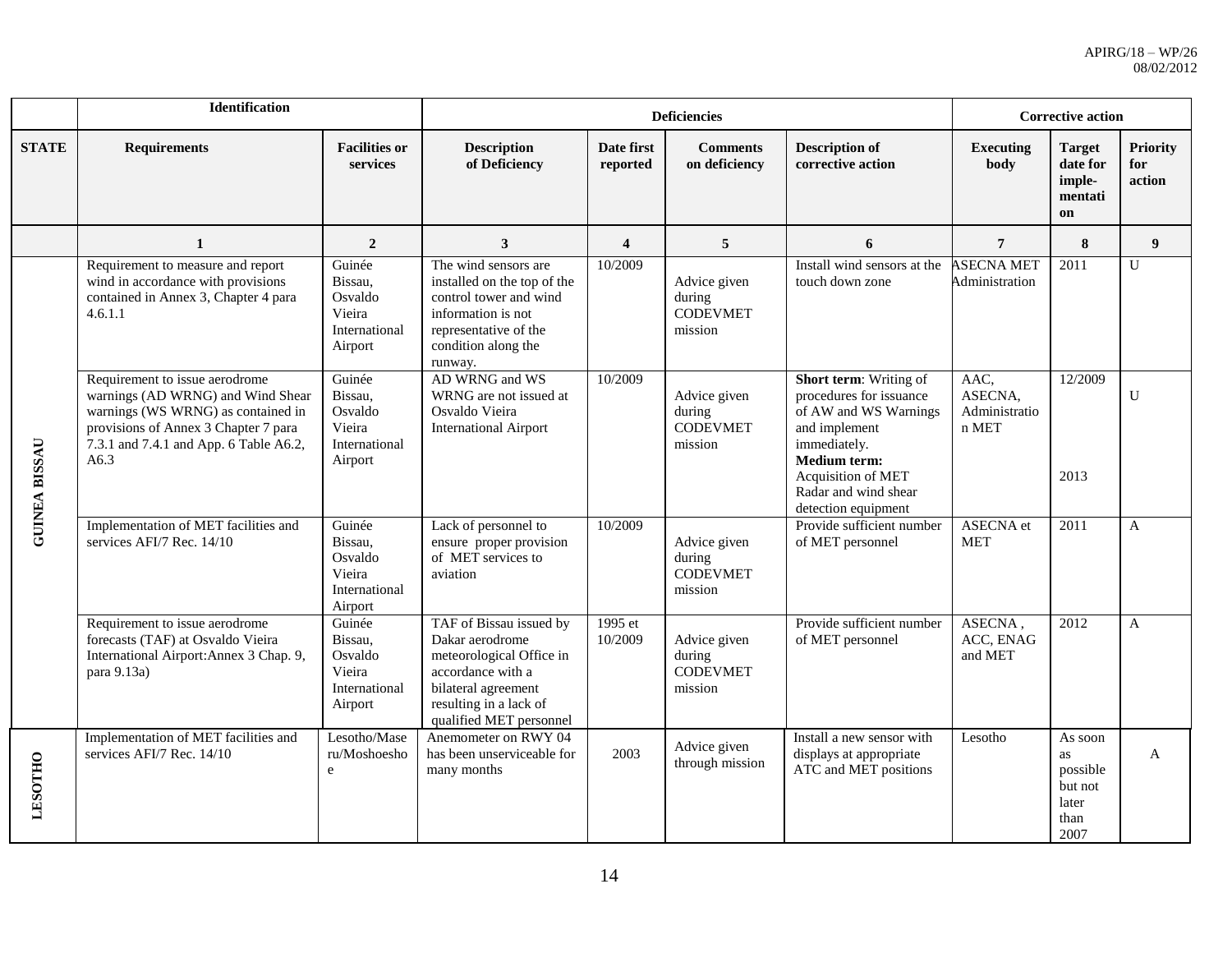|                      | <b>Identification</b>                                                                                                                                                                               |                                                                    |                                                                                                                                                                         |                         | <b>Deficiencies</b>                                  |                                                                                                                                                                                                         | <b>Corrective action</b>                  |                                                               |                                  |
|----------------------|-----------------------------------------------------------------------------------------------------------------------------------------------------------------------------------------------------|--------------------------------------------------------------------|-------------------------------------------------------------------------------------------------------------------------------------------------------------------------|-------------------------|------------------------------------------------------|---------------------------------------------------------------------------------------------------------------------------------------------------------------------------------------------------------|-------------------------------------------|---------------------------------------------------------------|----------------------------------|
| <b>STATE</b>         | <b>Requirements</b>                                                                                                                                                                                 | <b>Facilities or</b><br>services                                   | <b>Description</b><br>of Deficiency                                                                                                                                     | Date first<br>reported  | <b>Comments</b><br>on deficiency                     | <b>Description of</b><br>corrective action                                                                                                                                                              | <b>Executing</b><br>body                  | <b>Target</b><br>date for<br>imple-<br>mentati<br>on          | <b>Priority</b><br>for<br>action |
|                      | $\mathbf{1}$                                                                                                                                                                                        | $\overline{2}$                                                     | 3                                                                                                                                                                       | $\overline{\mathbf{4}}$ | 5                                                    | 6                                                                                                                                                                                                       | $7\phantom{.0}$                           | 8                                                             | 9                                |
|                      | Requirement to measure and report<br>wind in accordance with provisions<br>contained in Annex 3, Chapter 4 para<br>4.6.1.1                                                                          | Guinée<br>Bissau,<br>Osvaldo<br>Vieira<br>International<br>Airport | The wind sensors are<br>installed on the top of the<br>control tower and wind<br>information is not<br>representative of the<br>condition along the<br>runway.          | 10/2009                 | Advice given<br>during<br><b>CODEVMET</b><br>mission | Install wind sensors at the<br>touch down zone                                                                                                                                                          | <b>ASECNA MET</b><br>Administration       | 2011                                                          | U                                |
| <b>GUINEA BISSAU</b> | Requirement to issue aerodrome<br>warnings (AD WRNG) and Wind Shear<br>warnings (WS WRNG) as contained in<br>provisions of Annex 3 Chapter 7 para<br>7.3.1 and 7.4.1 and App. 6 Table A6.2,<br>A6.3 | Guinée<br>Bissau,<br>Osvaldo<br>Vieira<br>International<br>Airport | AD WRNG and WS<br>WRNG are not issued at<br>Osvaldo Vieira<br><b>International Airport</b>                                                                              | 10/2009                 | Advice given<br>during<br><b>CODEVMET</b><br>mission | Short term: Writing of<br>procedures for issuance<br>of AW and WS Warnings<br>and implement<br>immediately.<br>Medium term:<br><b>Acquisition of MET</b><br>Radar and wind shear<br>detection equipment | AAC,<br>ASECNA.<br>Administratio<br>n MET | 12/2009<br>2013                                               | U                                |
|                      | Implementation of MET facilities and<br>services AFI/7 Rec. 14/10                                                                                                                                   | Guinée<br>Bissau,<br>Osvaldo<br>Vieira<br>International<br>Airport | Lack of personnel to<br>ensure proper provision<br>of MET services to<br>aviation                                                                                       | 10/2009                 | Advice given<br>during<br><b>CODEVMET</b><br>mission | Provide sufficient number<br>of MET personnel                                                                                                                                                           | ASECNA et<br><b>MET</b>                   | 2011                                                          | $\mathsf{A}$                     |
|                      | Requirement to issue aerodrome<br>forecasts (TAF) at Osvaldo Vieira<br>International Airport: Annex 3 Chap. 9,<br>para $9.13a$                                                                      | Guinée<br>Bissau,<br>Osvaldo<br>Vieira<br>International<br>Airport | TAF of Bissau issued by<br>Dakar aerodrome<br>meteorological Office in<br>accordance with a<br>bilateral agreement<br>resulting in a lack of<br>qualified MET personnel | 1995 et<br>10/2009      | Advice given<br>during<br><b>CODEVMET</b><br>mission | Provide sufficient number<br>of MET personnel                                                                                                                                                           | ASECNA,<br>ACC, ENAG<br>and MET           | 2012                                                          | $\overline{A}$                   |
| <b>LESOTHO</b>       | Implementation of MET facilities and<br>services AFI/7 Rec. 14/10                                                                                                                                   | Lesotho/Mase<br>ru/Moshoesho<br>e                                  | Anemometer on RWY 04<br>has been unserviceable for<br>many months                                                                                                       | 2003                    | Advice given<br>through mission                      | Install a new sensor with<br>displays at appropriate<br>ATC and MET positions                                                                                                                           | Lesotho                                   | As soon<br>as<br>possible<br>but not<br>later<br>than<br>2007 | A                                |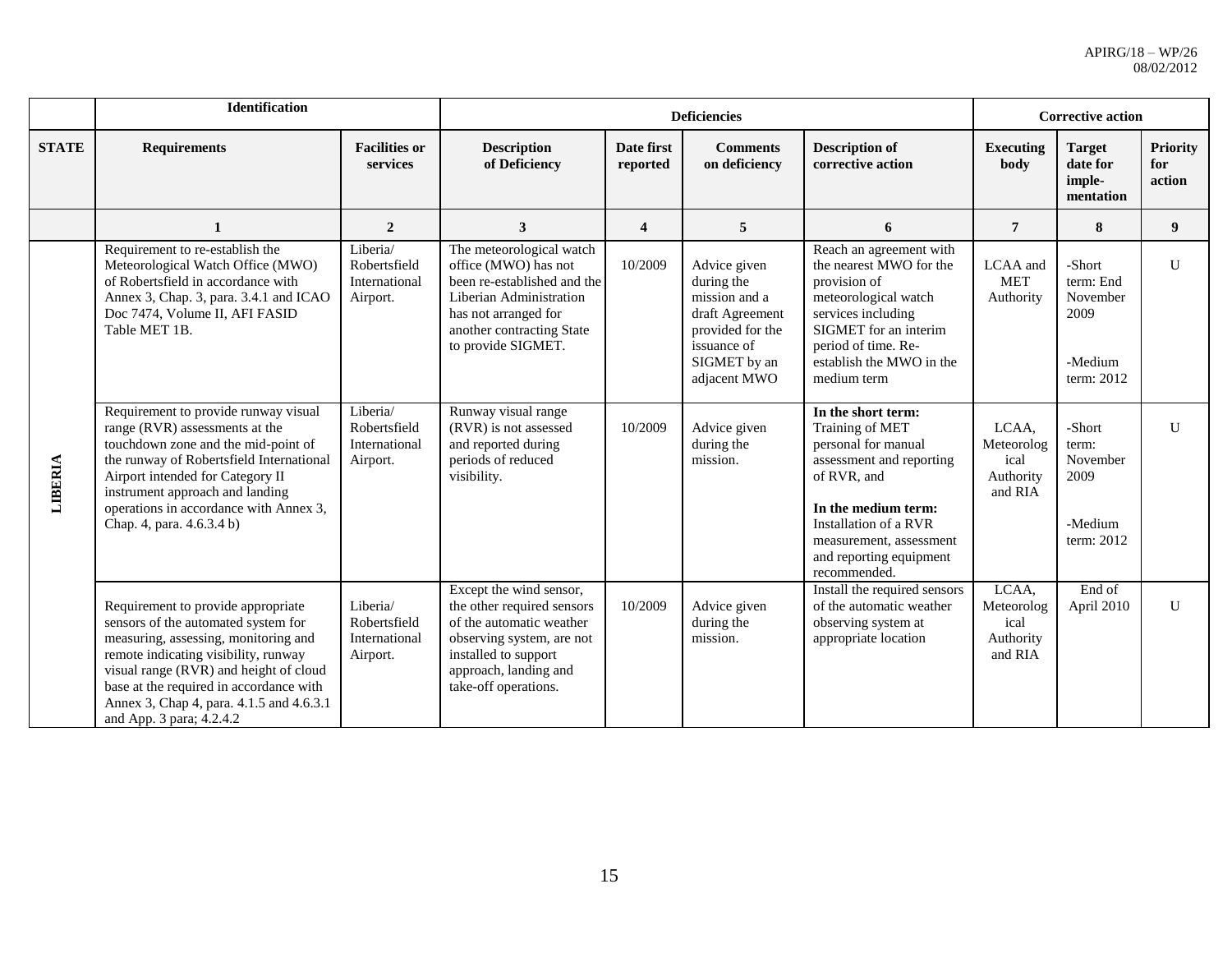|              | <b>Identification</b>                                                                                                                                                                                                                                                                                                  |                                                       |                                                                                                                                                                                         |                        | <b>Deficiencies</b>                                                                                                               |                                                                                                                                                                                                                               | <b>Corrective action</b>                            |                                                                  |                                  |
|--------------|------------------------------------------------------------------------------------------------------------------------------------------------------------------------------------------------------------------------------------------------------------------------------------------------------------------------|-------------------------------------------------------|-----------------------------------------------------------------------------------------------------------------------------------------------------------------------------------------|------------------------|-----------------------------------------------------------------------------------------------------------------------------------|-------------------------------------------------------------------------------------------------------------------------------------------------------------------------------------------------------------------------------|-----------------------------------------------------|------------------------------------------------------------------|----------------------------------|
| <b>STATE</b> | <b>Requirements</b>                                                                                                                                                                                                                                                                                                    | <b>Facilities or</b><br>services                      | <b>Description</b><br>of Deficiency                                                                                                                                                     | Date first<br>reported | <b>Comments</b><br>on deficiency                                                                                                  | <b>Description of</b><br>corrective action                                                                                                                                                                                    | <b>Executing</b><br>body                            | <b>Target</b><br>date for<br>imple-<br>mentation                 | <b>Priority</b><br>for<br>action |
|              | $\mathbf{1}$                                                                                                                                                                                                                                                                                                           | $\overline{2}$                                        | 3                                                                                                                                                                                       | 4                      | 5                                                                                                                                 | 6                                                                                                                                                                                                                             | $\overline{7}$                                      | 8                                                                | 9 <sup>°</sup>                   |
|              | Requirement to re-establish the<br>Meteorological Watch Office (MWO)<br>of Robertsfield in accordance with<br>Annex 3, Chap. 3, para. 3.4.1 and ICAO<br>Doc 7474, Volume II, AFI FASID<br>Table MET 1B.                                                                                                                | Liberia/<br>Robertsfield<br>International<br>Airport. | The meteorological watch<br>office (MWO) has not<br>been re-established and the<br>Liberian Administration<br>has not arranged for<br>another contracting State<br>to provide SIGMET.   | 10/2009                | Advice given<br>during the<br>mission and a<br>draft Agreement<br>provided for the<br>issuance of<br>SIGMET by an<br>adjacent MWO | Reach an agreement with<br>the nearest MWO for the<br>provision of<br>meteorological watch<br>services including<br>SIGMET for an interim<br>period of time. Re-<br>establish the MWO in the<br>medium term                   | LCAA and<br><b>MET</b><br>Authority                 | -Short<br>term: End<br>November<br>2009<br>-Medium<br>term: 2012 | U                                |
| LIBERIA      | Requirement to provide runway visual<br>range (RVR) assessments at the<br>touchdown zone and the mid-point of<br>the runway of Robertsfield International<br>Airport intended for Category II<br>instrument approach and landing<br>operations in accordance with Annex 3,<br>Chap. 4, para. 4.6.3.4 b)                | Liberia/<br>Robertsfield<br>International<br>Airport. | Runway visual range<br>(RVR) is not assessed<br>and reported during<br>periods of reduced<br>visibility.                                                                                | 10/2009                | Advice given<br>during the<br>mission.                                                                                            | In the short term:<br>Training of MET<br>personal for manual<br>assessment and reporting<br>of RVR, and<br>In the medium term:<br>Installation of a RVR<br>measurement, assessment<br>and reporting equipment<br>recommended. | LCAA,<br>Meteorolog<br>ical<br>Authority<br>and RIA | -Short<br>term:<br>November<br>2009<br>-Medium<br>term: 2012     | $\mathbf{U}$                     |
|              | Requirement to provide appropriate<br>sensors of the automated system for<br>measuring, assessing, monitoring and<br>remote indicating visibility, runway<br>visual range (RVR) and height of cloud<br>base at the required in accordance with<br>Annex 3, Chap 4, para. 4.1.5 and 4.6.3.1<br>and App. 3 para; 4.2.4.2 | Liberia/<br>Robertsfield<br>International<br>Airport. | Except the wind sensor,<br>the other required sensors<br>of the automatic weather<br>observing system, are not<br>installed to support<br>approach, landing and<br>take-off operations. | 10/2009                | Advice given<br>during the<br>mission.                                                                                            | Install the required sensors<br>of the automatic weather<br>observing system at<br>appropriate location                                                                                                                       | LCAA,<br>Meteorolog<br>ical<br>Authority<br>and RIA | End of<br>April 2010                                             | U                                |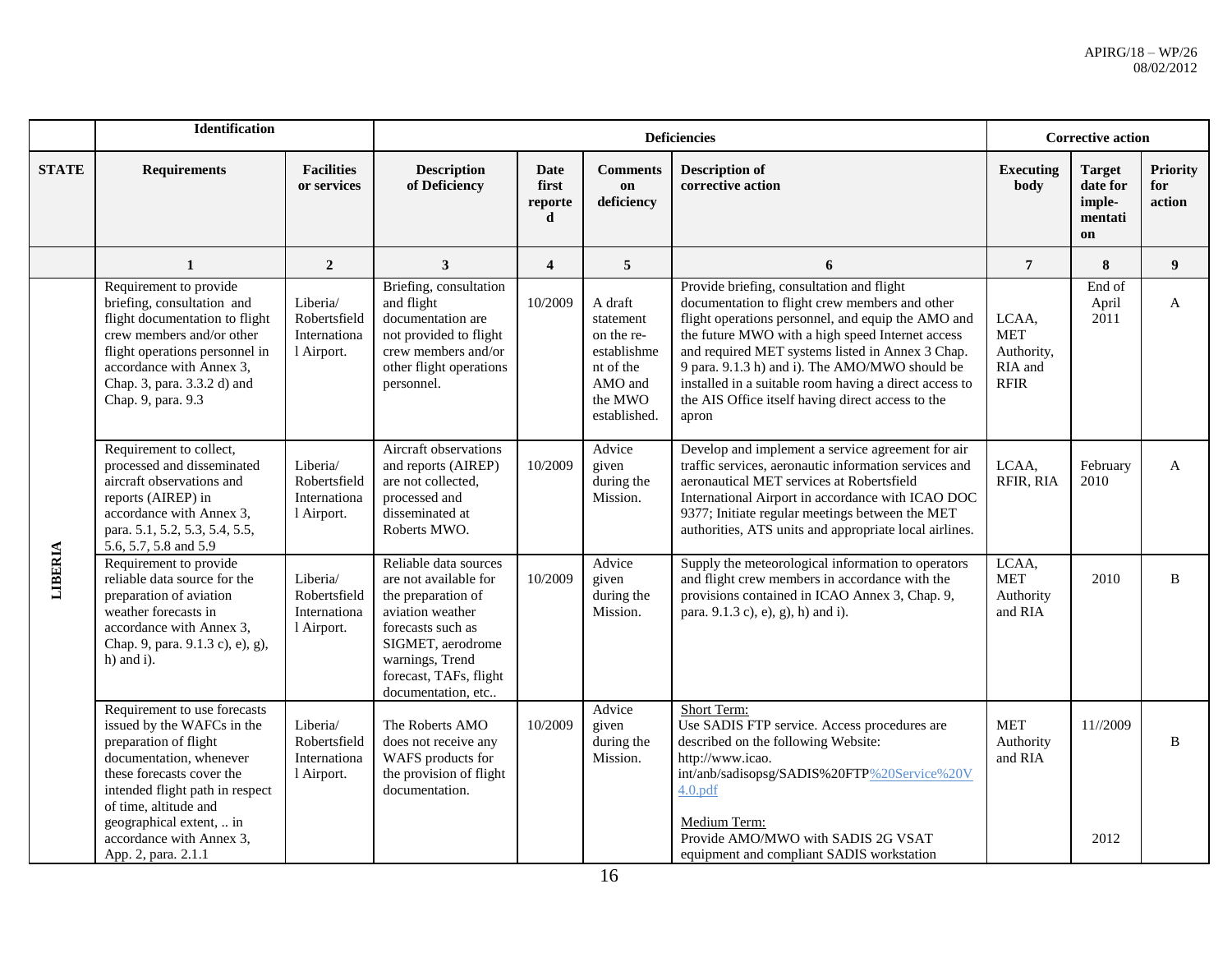|              | Identification                                                                                                                                                                                                                         |                                                        |                                                                                                                                                                                                       |                                      |                                                                                                      | <b>Deficiencies</b>                                                                                                                                                                                                                                                                                                                                                                                                                 |                                                             | <b>Corrective action</b>                      |                                  |
|--------------|----------------------------------------------------------------------------------------------------------------------------------------------------------------------------------------------------------------------------------------|--------------------------------------------------------|-------------------------------------------------------------------------------------------------------------------------------------------------------------------------------------------------------|--------------------------------------|------------------------------------------------------------------------------------------------------|-------------------------------------------------------------------------------------------------------------------------------------------------------------------------------------------------------------------------------------------------------------------------------------------------------------------------------------------------------------------------------------------------------------------------------------|-------------------------------------------------------------|-----------------------------------------------|----------------------------------|
| <b>STATE</b> | <b>Requirements</b>                                                                                                                                                                                                                    | <b>Facilities</b><br>or services                       | <b>Description</b><br>of Deficiency                                                                                                                                                                   | <b>Date</b><br>first<br>reporte<br>d | <b>Comments</b><br>on<br>deficiency                                                                  | <b>Description of</b><br>corrective action                                                                                                                                                                                                                                                                                                                                                                                          | <b>Executing</b><br><b>body</b>                             | Target<br>date for<br>imple-<br>mentati<br>on | <b>Priority</b><br>for<br>action |
|              | 1                                                                                                                                                                                                                                      | $\overline{2}$                                         | $\mathbf{3}$                                                                                                                                                                                          | $\overline{\mathbf{4}}$              | 5 <sup>5</sup>                                                                                       | 6                                                                                                                                                                                                                                                                                                                                                                                                                                   | $\overline{7}$                                              | 8                                             | $\boldsymbol{9}$                 |
|              | Requirement to provide<br>briefing, consultation and<br>flight documentation to flight<br>crew members and/or other<br>flight operations personnel in<br>accordance with Annex 3,<br>Chap. 3, para. 3.3.2 d) and<br>Chap. 9, para. 9.3 | Liberia/<br>Robertsfield<br>Internationa<br>1 Airport. | Briefing, consultation<br>and flight<br>documentation are<br>not provided to flight<br>crew members and/or<br>other flight operations<br>personnel.                                                   | 10/2009                              | A draft<br>statement<br>on the re-<br>establishme<br>nt of the<br>AMO and<br>the MWO<br>established. | Provide briefing, consultation and flight<br>documentation to flight crew members and other<br>flight operations personnel, and equip the AMO and<br>the future MWO with a high speed Internet access<br>and required MET systems listed in Annex 3 Chap.<br>9 para. 9.1.3 h) and i). The AMO/MWO should be<br>installed in a suitable room having a direct access to<br>the AIS Office itself having direct access to the<br>apron | LCAA,<br><b>MET</b><br>Authority,<br>RIA and<br><b>RFIR</b> | End of<br>April<br>2011                       | $\mathbf{A}$                     |
| LIBERIA      | Requirement to collect,<br>processed and disseminated<br>aircraft observations and<br>reports (AIREP) in<br>accordance with Annex 3,<br>para. 5.1, 5.2, 5.3, 5.4, 5.5,<br>5.6, 5.7, 5.8 and 5.9                                        | Liberia/<br>Robertsfield<br>Internationa<br>1 Airport. | Aircraft observations<br>and reports (AIREP)<br>are not collected,<br>processed and<br>disseminated at<br>Roberts MWO.                                                                                | 10/2009                              | Advice<br>given<br>during the<br>Mission.                                                            | Develop and implement a service agreement for air<br>traffic services, aeronautic information services and<br>aeronautical MET services at Robertsfield<br>International Airport in accordance with ICAO DOC<br>9377; Initiate regular meetings between the MET<br>authorities, ATS units and appropriate local airlines.                                                                                                           | LCAA,<br>RFIR, RIA                                          | February<br>2010                              | $\mathbf{A}$                     |
|              | Requirement to provide<br>reliable data source for the<br>preparation of aviation<br>weather forecasts in<br>accordance with Annex 3,<br>Chap. 9, para. 9.1.3 c), e), g),<br>$h)$ and i).                                              | Liberia/<br>Robertsfield<br>Internationa<br>1 Airport. | Reliable data sources<br>are not available for<br>the preparation of<br>aviation weather<br>forecasts such as<br>SIGMET, aerodrome<br>warnings, Trend<br>forecast, TAFs, flight<br>documentation, etc | 10/2009                              | Advice<br>given<br>during the<br>Mission.                                                            | Supply the meteorological information to operators<br>and flight crew members in accordance with the<br>provisions contained in ICAO Annex 3, Chap. 9,<br>para. 9.1.3 c), e), g), h) and i).                                                                                                                                                                                                                                        | LCAA,<br><b>MET</b><br>Authority<br>and RIA                 | 2010                                          | B                                |
|              | Requirement to use forecasts<br>issued by the WAFCs in the<br>preparation of flight<br>documentation, whenever<br>these forecasts cover the<br>intended flight path in respect<br>of time, altitude and                                | Liberia/<br>Robertsfield<br>Internationa<br>1 Airport. | The Roberts AMO<br>does not receive any<br>WAFS products for<br>the provision of flight<br>documentation.                                                                                             | 10/2009                              | Advice<br>given<br>during the<br>Mission.                                                            | Short Term:<br>Use SADIS FTP service. Access procedures are<br>described on the following Website:<br>http://www.icao.<br>int/anb/sadisopsg/SADIS%20FTP%20Service%20V<br>4.0.pdf                                                                                                                                                                                                                                                    | <b>MET</b><br>Authority<br>and RIA                          | 11//2009                                      | $\, {\bf B}$                     |
|              | geographical extent,  in<br>accordance with Annex 3,<br>App. 2, para. 2.1.1                                                                                                                                                            |                                                        |                                                                                                                                                                                                       |                                      |                                                                                                      | Medium Term:<br>Provide AMO/MWO with SADIS 2G VSAT<br>equipment and compliant SADIS workstation                                                                                                                                                                                                                                                                                                                                     |                                                             | 2012                                          |                                  |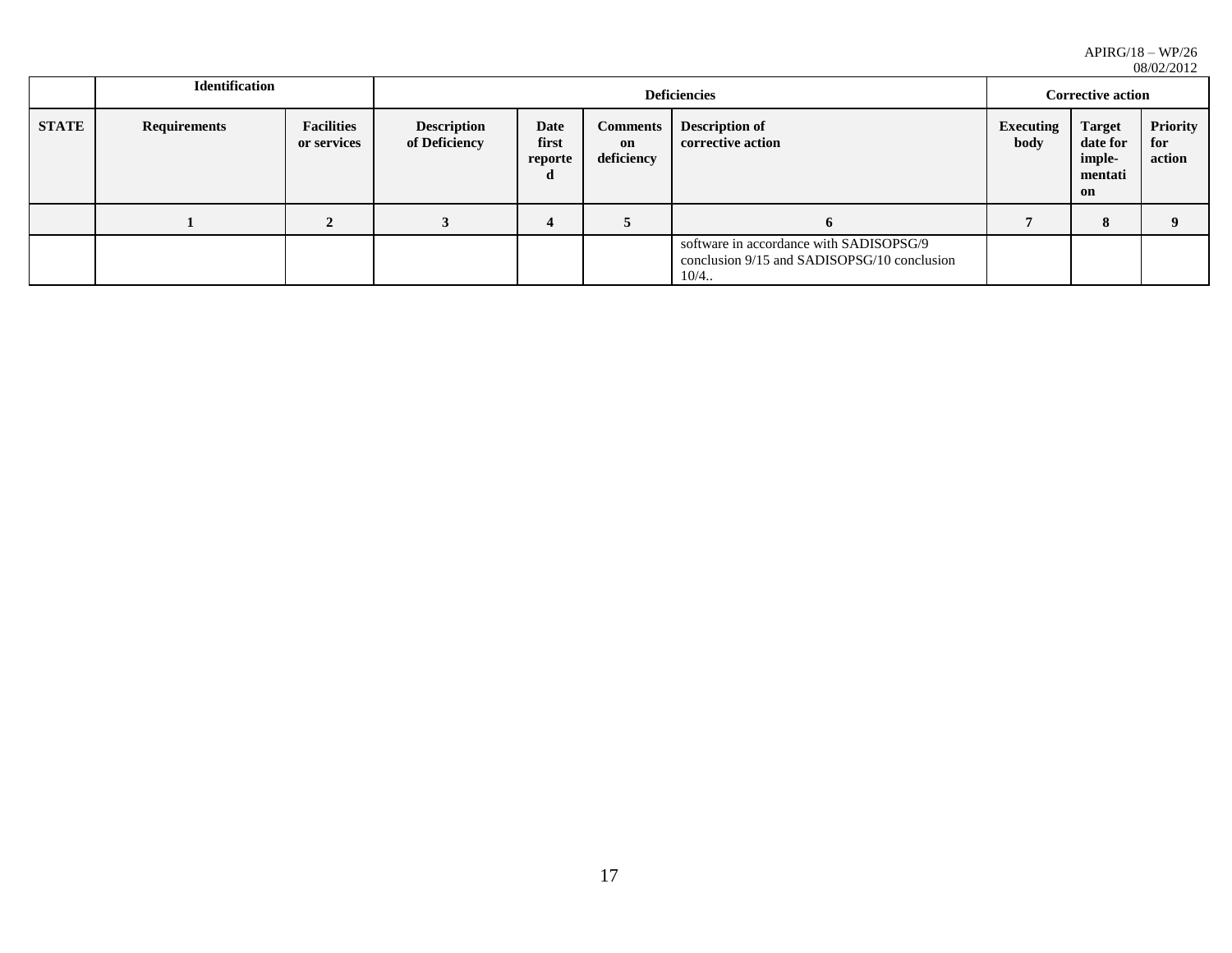|              | <b>Identification</b> |                                  |                                     |                                                                                                  |                                     | 00/0444014                                 |                          |                                                      |                           |
|--------------|-----------------------|----------------------------------|-------------------------------------|--------------------------------------------------------------------------------------------------|-------------------------------------|--------------------------------------------|--------------------------|------------------------------------------------------|---------------------------|
|              |                       |                                  |                                     |                                                                                                  |                                     | <b>Deficiencies</b>                        | <b>Corrective action</b> |                                                      |                           |
| <b>STATE</b> | <b>Requirements</b>   | <b>Facilities</b><br>or services | <b>Description</b><br>of Deficiency | Date<br>first<br>reporte<br>d                                                                    | <b>Comments</b><br>on<br>deficiency | <b>Description of</b><br>corrective action | Executing<br>body        | <b>Target</b><br>date for<br>imple-<br>mentati<br>on | Priority<br>for<br>action |
|              |                       |                                  |                                     |                                                                                                  |                                     | <sub>0</sub>                               |                          | 8                                                    |                           |
|              |                       |                                  |                                     | software in accordance with SADISOPSG/9<br>conclusion 9/15 and SADISOPSG/10 conclusion<br>$10/4$ |                                     |                                            |                          |                                                      |                           |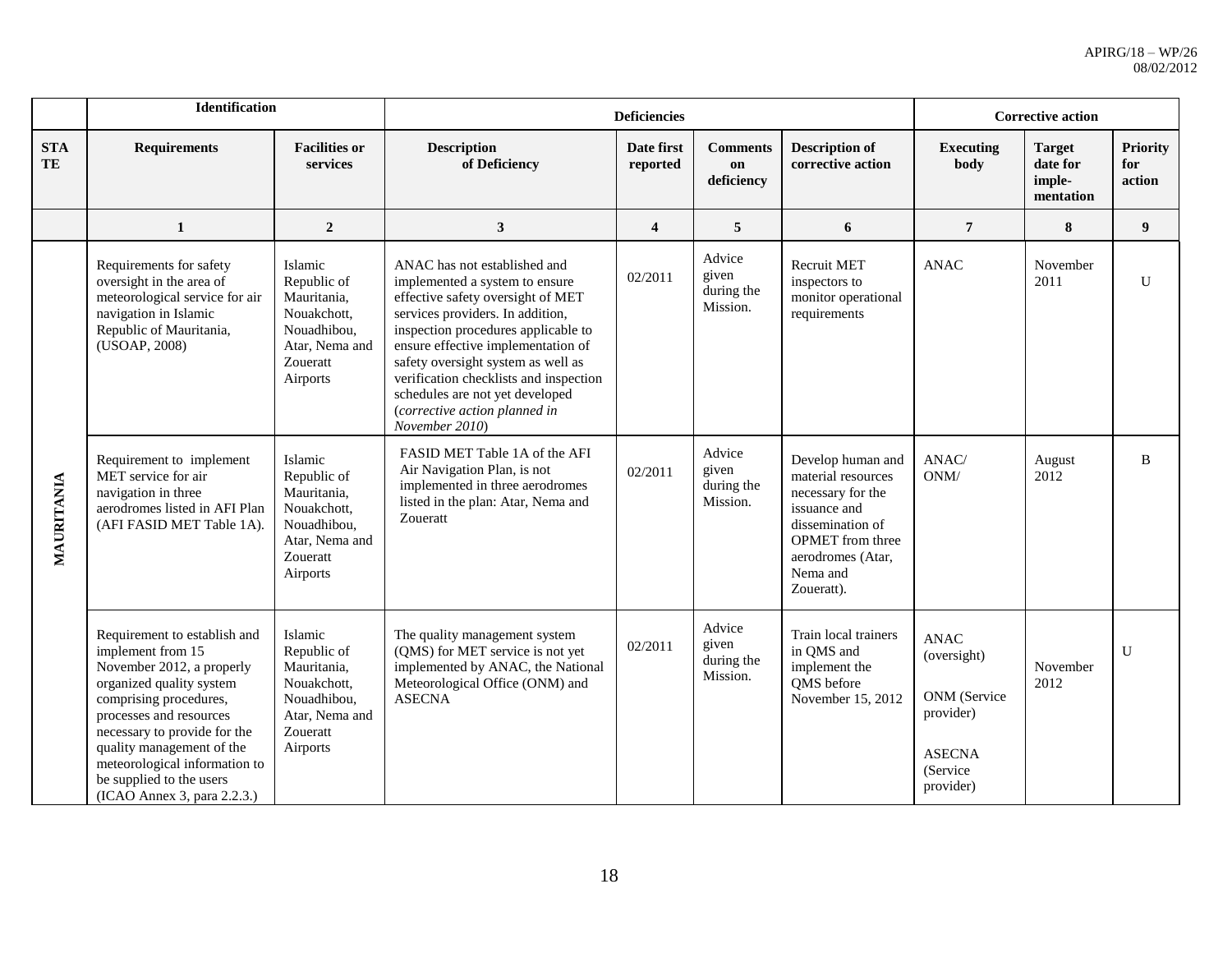|                  | Identification                                                                                                                                                                                                                                                                                                           |                                                                                                               |                                                                                                                                                                                                                                                                                                                                                                                            | <b>Deficiencies</b>     |                                           |                                                                                                                                                                            |                                                                                                   | <b>Corrective action</b>                         |                                  |
|------------------|--------------------------------------------------------------------------------------------------------------------------------------------------------------------------------------------------------------------------------------------------------------------------------------------------------------------------|---------------------------------------------------------------------------------------------------------------|--------------------------------------------------------------------------------------------------------------------------------------------------------------------------------------------------------------------------------------------------------------------------------------------------------------------------------------------------------------------------------------------|-------------------------|-------------------------------------------|----------------------------------------------------------------------------------------------------------------------------------------------------------------------------|---------------------------------------------------------------------------------------------------|--------------------------------------------------|----------------------------------|
| <b>STA</b><br>TE | <b>Requirements</b>                                                                                                                                                                                                                                                                                                      | <b>Facilities or</b><br>services                                                                              | <b>Description</b><br>of Deficiency                                                                                                                                                                                                                                                                                                                                                        | Date first<br>reported  | <b>Comments</b><br>on<br>deficiency       | <b>Description of</b><br>corrective action                                                                                                                                 | <b>Executing</b><br>body                                                                          | <b>Target</b><br>date for<br>imple-<br>mentation | <b>Priority</b><br>for<br>action |
|                  | $\mathbf 1$                                                                                                                                                                                                                                                                                                              | $\overline{2}$                                                                                                | $\mathbf{3}$                                                                                                                                                                                                                                                                                                                                                                               | $\overline{\mathbf{4}}$ | 5                                         | $\boldsymbol{6}$                                                                                                                                                           | $\overline{7}$                                                                                    | $\bf 8$                                          | $\boldsymbol{9}$                 |
|                  | Requirements for safety<br>oversight in the area of<br>meteorological service for air<br>navigation in Islamic<br>Republic of Mauritania,<br>(USOAP, 2008)                                                                                                                                                               | Islamic<br>Republic of<br>Mauritania,<br>Nouakchott,<br>Nouadhibou,<br>Atar, Nema and<br>Zoueratt<br>Airports | ANAC has not established and<br>implemented a system to ensure<br>effective safety oversight of MET<br>services providers. In addition,<br>inspection procedures applicable to<br>ensure effective implementation of<br>safety oversight system as well as<br>verification checklists and inspection<br>schedules are not yet developed<br>(corrective action planned in<br>November 2010) | 02/2011                 | Advice<br>given<br>during the<br>Mission. | <b>Recruit MET</b><br>inspectors to<br>monitor operational<br>requirements                                                                                                 | <b>ANAC</b>                                                                                       | November<br>2011                                 | $\mathbf{U}$                     |
| MAURITANIA       | Requirement to implement<br>MET service for air<br>navigation in three<br>aerodromes listed in AFI Plan<br>(AFI FASID MET Table 1A).                                                                                                                                                                                     | Islamic<br>Republic of<br>Mauritania,<br>Nouakchott,<br>Nouadhibou,<br>Atar, Nema and<br>Zoueratt<br>Airports | FASID MET Table 1A of the AFI<br>Air Navigation Plan, is not<br>implemented in three aerodromes<br>listed in the plan: Atar, Nema and<br>Zoueratt                                                                                                                                                                                                                                          | 02/2011                 | Advice<br>given<br>during the<br>Mission. | Develop human and<br>material resources<br>necessary for the<br>issuance and<br>dissemination of<br><b>OPMET</b> from three<br>aerodromes (Atar,<br>Nema and<br>Zoueratt). | ANAC/<br>$\mathrm{ONM}/$                                                                          | August<br>2012                                   | B                                |
|                  | Requirement to establish and<br>implement from 15<br>November 2012, a properly<br>organized quality system<br>comprising procedures,<br>processes and resources<br>necessary to provide for the<br>quality management of the<br>meteorological information to<br>be supplied to the users<br>(ICAO Annex 3, para 2.2.3.) | Islamic<br>Republic of<br>Mauritania,<br>Nouakchott,<br>Nouadhibou,<br>Atar, Nema and<br>Zoueratt<br>Airports | The quality management system<br>(QMS) for MET service is not yet<br>implemented by ANAC, the National<br>Meteorological Office (ONM) and<br><b>ASECNA</b>                                                                                                                                                                                                                                 | 02/2011                 | Advice<br>given<br>during the<br>Mission. | Train local trainers<br>in QMS and<br>implement the<br>QMS before<br>November 15, 2012                                                                                     | <b>ANAC</b><br>(oversight)<br>ONM (Service<br>provider)<br><b>ASECNA</b><br>(Service<br>provider) | November<br>2012                                 | U                                |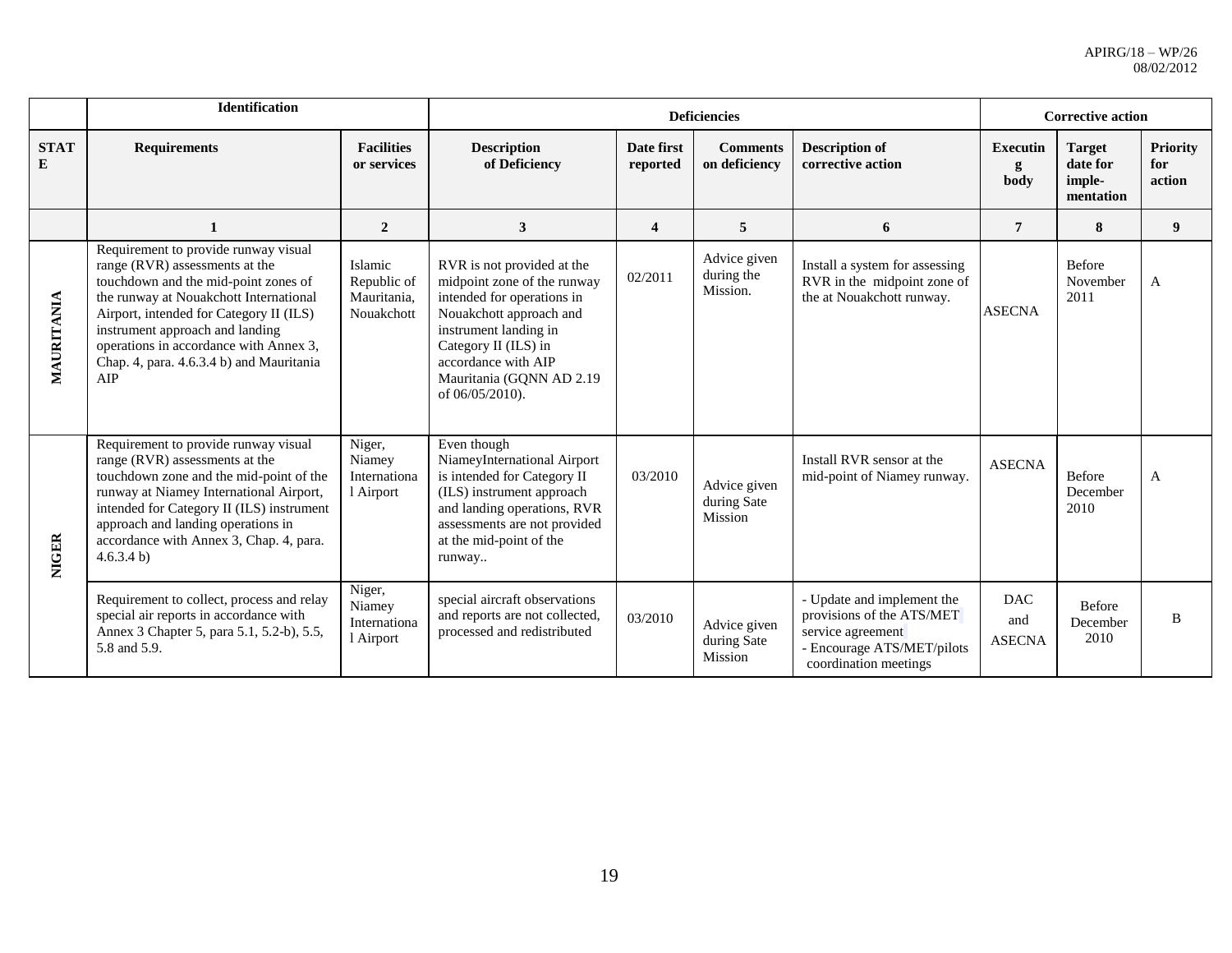|                  | <b>Identification</b>                                                                                                                                                                                                                                                                                                               |                                                     |                                                                                                                                                                                                                                           |                         | <b>Deficiencies</b>                    |                                                                                                                                     | <b>Corrective action</b>           |                                                  |                                  |
|------------------|-------------------------------------------------------------------------------------------------------------------------------------------------------------------------------------------------------------------------------------------------------------------------------------------------------------------------------------|-----------------------------------------------------|-------------------------------------------------------------------------------------------------------------------------------------------------------------------------------------------------------------------------------------------|-------------------------|----------------------------------------|-------------------------------------------------------------------------------------------------------------------------------------|------------------------------------|--------------------------------------------------|----------------------------------|
| <b>STAT</b><br>E | <b>Requirements</b>                                                                                                                                                                                                                                                                                                                 | <b>Facilities</b><br>or services                    | <b>Description</b><br>of Deficiency                                                                                                                                                                                                       | Date first<br>reported  | <b>Comments</b><br>on deficiency       | <b>Description of</b><br>corrective action                                                                                          | <b>Executin</b><br>body            | <b>Target</b><br>date for<br>imple-<br>mentation | <b>Priority</b><br>for<br>action |
|                  | 1                                                                                                                                                                                                                                                                                                                                   | $\overline{2}$                                      | 3                                                                                                                                                                                                                                         | $\overline{\mathbf{4}}$ | 5                                      | 6                                                                                                                                   | $\overline{7}$                     | 8                                                | 9                                |
| MAURITANIA       | Requirement to provide runway visual<br>range (RVR) assessments at the<br>touchdown and the mid-point zones of<br>the runway at Nouakchott International<br>Airport, intended for Category II (ILS)<br>instrument approach and landing<br>operations in accordance with Annex 3,<br>Chap. 4, para. 4.6.3.4 b) and Mauritania<br>AIP | Islamic<br>Republic of<br>Mauritania,<br>Nouakchott | RVR is not provided at the<br>midpoint zone of the runway<br>intended for operations in<br>Nouakchott approach and<br>instrument landing in<br>Category II (ILS) in<br>accordance with AIP<br>Mauritania (GQNN AD 2.19<br>of 06/05/2010). | 02/2011                 | Advice given<br>during the<br>Mission. | Install a system for assessing<br>RVR in the midpoint zone of<br>the at Nouakchott runway.                                          | <b>ASECNA</b>                      | <b>Before</b><br>November<br>2011                | A                                |
| <b>NIGER</b>     | Requirement to provide runway visual<br>range (RVR) assessments at the<br>touchdown zone and the mid-point of the<br>runway at Niamey International Airport,<br>intended for Category II (ILS) instrument<br>approach and landing operations in<br>accordance with Annex 3, Chap. 4, para.<br>4.6.3.4 b                             | Niger,<br>Niamey<br>Internationa<br>l Airport       | Even though<br>NiameyInternational Airport<br>is intended for Category II<br>(ILS) instrument approach<br>and landing operations, RVR<br>assessments are not provided<br>at the mid-point of the<br>runway                                | 03/2010                 | Advice given<br>during Sate<br>Mission | Install RVR sensor at the<br>mid-point of Niamey runway.                                                                            | <b>ASECNA</b>                      | <b>Before</b><br>December<br>2010                | $\mathsf{A}$                     |
|                  | Requirement to collect, process and relay<br>special air reports in accordance with<br>Annex 3 Chapter 5, para 5.1, 5.2-b), 5.5,<br>5.8 and 5.9.                                                                                                                                                                                    | Niger,<br>Niamey<br>Internationa<br>l Airport       | special aircraft observations<br>and reports are not collected,<br>processed and redistributed                                                                                                                                            | 03/2010                 | Advice given<br>during Sate<br>Mission | - Update and implement the<br>provisions of the ATS/MET<br>service agreement<br>- Encourage ATS/MET/pilots<br>coordination meetings | <b>DAC</b><br>and<br><b>ASECNA</b> | Before<br>December<br>2010                       | B                                |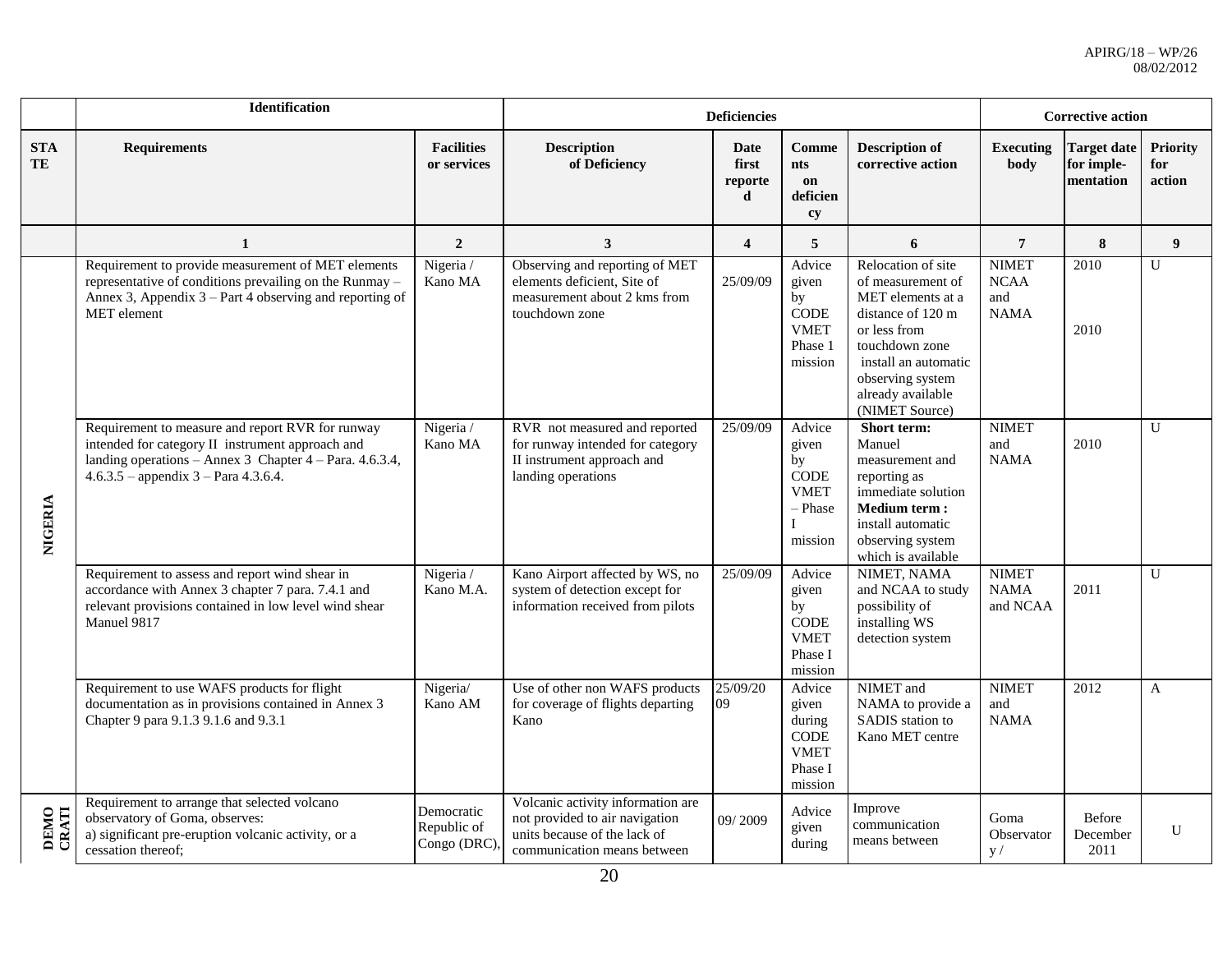|                         | <b>Identification</b>                                                                                                                                                                                     |                                          |                                                                                                                                    | <b>Deficiencies</b>                  |                                                                           |                                                                                                                                                                                                        |                                                   | <b>Corrective action</b>                      |                                  |
|-------------------------|-----------------------------------------------------------------------------------------------------------------------------------------------------------------------------------------------------------|------------------------------------------|------------------------------------------------------------------------------------------------------------------------------------|--------------------------------------|---------------------------------------------------------------------------|--------------------------------------------------------------------------------------------------------------------------------------------------------------------------------------------------------|---------------------------------------------------|-----------------------------------------------|----------------------------------|
| <b>STA</b><br><b>TE</b> | <b>Requirements</b>                                                                                                                                                                                       | <b>Facilities</b><br>or services         | <b>Description</b><br>of Deficiency                                                                                                | <b>Date</b><br>first<br>reporte<br>d | <b>Comme</b><br><b>nts</b><br>on<br>deficien<br>cy                        | <b>Description of</b><br>corrective action                                                                                                                                                             | <b>Executing</b><br>body                          | <b>Target date</b><br>for imple-<br>mentation | <b>Priority</b><br>for<br>action |
|                         | 1                                                                                                                                                                                                         | $\overline{2}$                           | 3                                                                                                                                  | $\overline{\mathbf{4}}$              | 5                                                                         | 6                                                                                                                                                                                                      | $\overline{7}$                                    | 8                                             | $\boldsymbol{9}$                 |
|                         | Requirement to provide measurement of MET elements<br>representative of conditions prevailing on the Runmay -<br>Annex 3, Appendix $3 - Part 4$ observing and reporting of<br><b>MET</b> element          | Nigeria /<br>Kano MA                     | Observing and reporting of MET<br>elements deficient, Site of<br>measurement about 2 kms from<br>touchdown zone                    | 25/09/09                             | Advice<br>given<br>by<br><b>CODE</b><br><b>VMET</b><br>Phase 1<br>mission | Relocation of site<br>of measurement of<br>MET elements at a<br>distance of 120 m<br>or less from<br>touchdown zone<br>install an automatic<br>observing system<br>already available<br>(NIMET Source) | <b>NIMET</b><br><b>NCAA</b><br>and<br><b>NAMA</b> | 2010<br>2010                                  | U                                |
| NIGERIA                 | Requirement to measure and report RVR for runway<br>intended for category II instrument approach and<br>landing operations - Annex 3 Chapter 4 - Para. 4.6.3.4,<br>$4.6.3.5$ – appendix 3 – Para 4.3.6.4. | Nigeria /<br>Kano MA                     | RVR not measured and reported<br>for runway intended for category<br>II instrument approach and<br>landing operations              | 25/09/09                             | Advice<br>given<br>by<br>$\rm{CODE}$<br><b>VMET</b><br>- Phase<br>mission | Short term:<br>Manuel<br>measurement and<br>reporting as<br>immediate solution<br><b>Medium term:</b><br>install automatic<br>observing system<br>which is available                                   | <b>NIMET</b><br>and<br><b>NAMA</b>                | 2010                                          | U                                |
|                         | Requirement to assess and report wind shear in<br>accordance with Annex 3 chapter 7 para. 7.4.1 and<br>relevant provisions contained in low level wind shear<br>Manuel 9817                               | Nigeria /<br>Kano M.A.                   | Kano Airport affected by WS, no<br>system of detection except for<br>information received from pilots                              | 25/09/09                             | Advice<br>given<br>by<br><b>CODE</b><br><b>VMET</b><br>Phase I<br>mission | NIMET, NAMA<br>and NCAA to study<br>possibility of<br>installing WS<br>detection system                                                                                                                | <b>NIMET</b><br><b>NAMA</b><br>and NCAA           | 2011                                          | $\mathbf{U}$                     |
|                         | Requirement to use WAFS products for flight<br>documentation as in provisions contained in Annex 3<br>Chapter 9 para 9.1.3 9.1.6 and 9.3.1                                                                | Nigeria/<br>Kano AM                      | Use of other non WAFS products<br>for coverage of flights departing<br>Kano                                                        | 25/09/20<br>09                       | Advice<br>given<br>during<br>CODE<br><b>VMET</b><br>Phase I<br>mission    | NIMET and<br>NAMA to provide a<br>SADIS station to<br>Kano MET centre                                                                                                                                  | <b>NIMET</b><br>and<br><b>NAMA</b>                | 2012                                          | A                                |
| DEMO<br>CRATI           | Requirement to arrange that selected volcano<br>observatory of Goma, observes:<br>a) significant pre-eruption volcanic activity, or a<br>cessation thereof:                                               | Democratic<br>Republic of<br>Congo (DRC) | Volcanic activity information are<br>not provided to air navigation<br>units because of the lack of<br>communication means between | 09/2009                              | Advice<br>given<br>during                                                 | Improve<br>communication<br>means between                                                                                                                                                              | Goma<br>Observator<br>y /                         | Before<br>December<br>2011                    | U                                |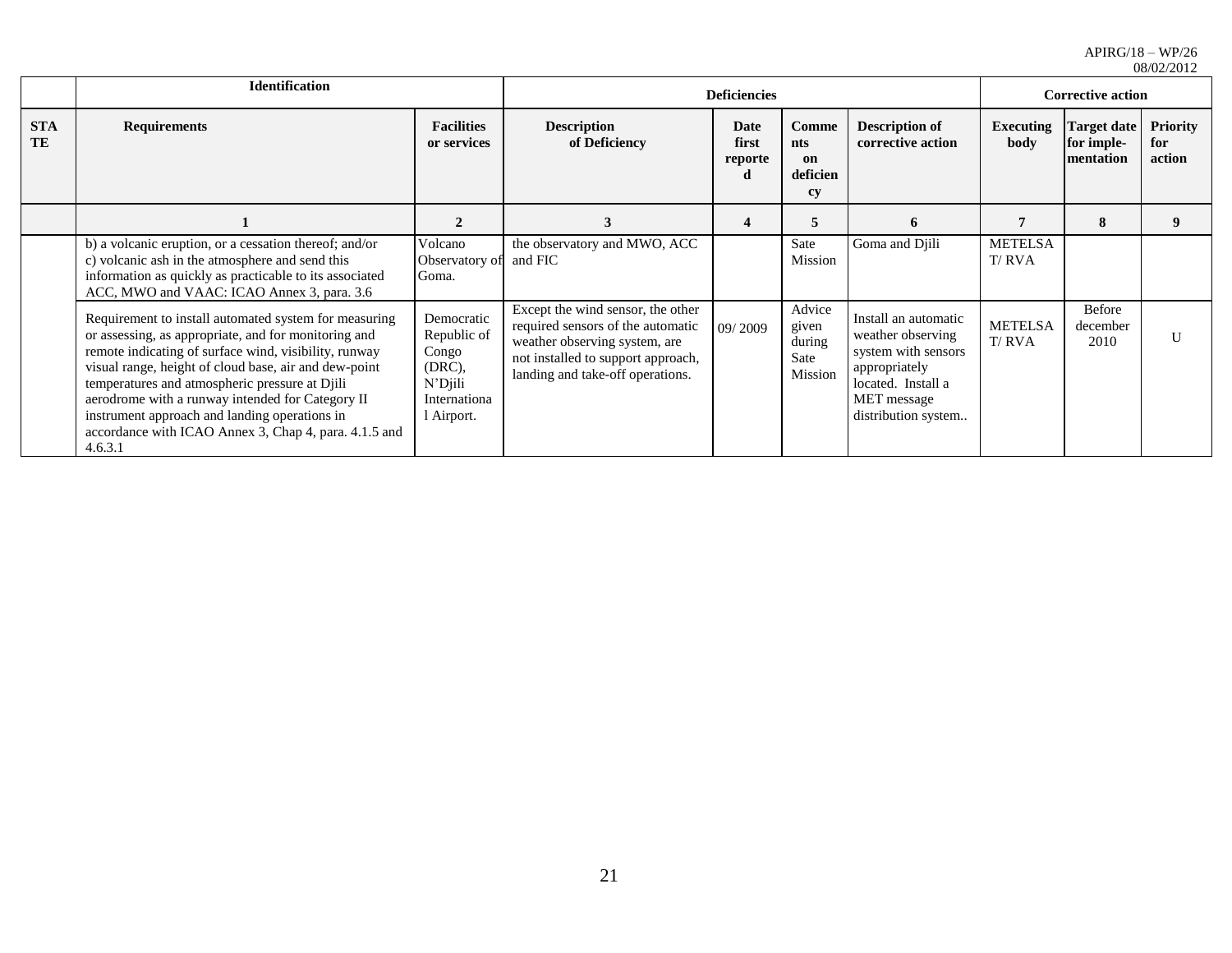|                  | <b>Identification</b>                                                                                                                                                                                                                                                                                                                                                                                                                                                                                                                               |                                  |                                                                                                                                                                                   | <b>Deficiencies</b>           |                                              |                                                                                                                                               | <b>Corrective action</b> |                                               |                                  |
|------------------|-----------------------------------------------------------------------------------------------------------------------------------------------------------------------------------------------------------------------------------------------------------------------------------------------------------------------------------------------------------------------------------------------------------------------------------------------------------------------------------------------------------------------------------------------------|----------------------------------|-----------------------------------------------------------------------------------------------------------------------------------------------------------------------------------|-------------------------------|----------------------------------------------|-----------------------------------------------------------------------------------------------------------------------------------------------|--------------------------|-----------------------------------------------|----------------------------------|
| <b>STA</b><br>TE | <b>Requirements</b>                                                                                                                                                                                                                                                                                                                                                                                                                                                                                                                                 | <b>Facilities</b><br>or services | <b>Description</b><br>of Deficiency                                                                                                                                               | Date<br>first<br>reporte<br>d | Comme<br>nts<br>on<br>deficien<br>cy         | <b>Description of</b><br>corrective action                                                                                                    | <b>Executing</b><br>body | <b>Target date</b><br>for imple-<br>mentation | <b>Priority</b><br>for<br>action |
|                  | 2<br>b) a volcanic eruption, or a cessation thereof; and/or<br>Volcano                                                                                                                                                                                                                                                                                                                                                                                                                                                                              |                                  | 3                                                                                                                                                                                 | 5<br>$\boldsymbol{4}$         |                                              | 6                                                                                                                                             |                          | 8                                             | 9                                |
|                  | c) volcanic ash in the atmosphere and send this<br>information as quickly as practicable to its associated<br>ACC, MWO and VAAC: ICAO Annex 3, para. 3.6                                                                                                                                                                                                                                                                                                                                                                                            | Observatory of<br>Goma.          | the observatory and MWO, ACC<br>and FIC                                                                                                                                           |                               | Sate<br>Mission                              | Goma and Djili                                                                                                                                | <b>METELSA</b><br>T/RVA  |                                               |                                  |
|                  | Democratic<br>Requirement to install automated system for measuring<br>or assessing, as appropriate, and for monitoring and<br>Republic of<br>remote indicating of surface wind, visibility, runway<br>Congo<br>visual range, height of cloud base, air and dew-point<br>(DRC),<br>N'Djili<br>temperatures and atmospheric pressure at Djili<br>aerodrome with a runway intended for Category II<br>Internationa<br>instrument approach and landing operations in<br>l Airport.<br>accordance with ICAO Annex 3, Chap 4, para. 4.1.5 and<br>4.6.3.1 |                                  | Except the wind sensor, the other<br>required sensors of the automatic<br>weather observing system, are<br>not installed to support approach,<br>landing and take-off operations. | 09/2009                       | Advice<br>given<br>during<br>Sate<br>Mission | Install an automatic<br>weather observing<br>system with sensors<br>appropriately<br>located. Install a<br>MET message<br>distribution system | <b>METELSA</b><br>T/RVA  | Before<br>december<br>2010                    | U                                |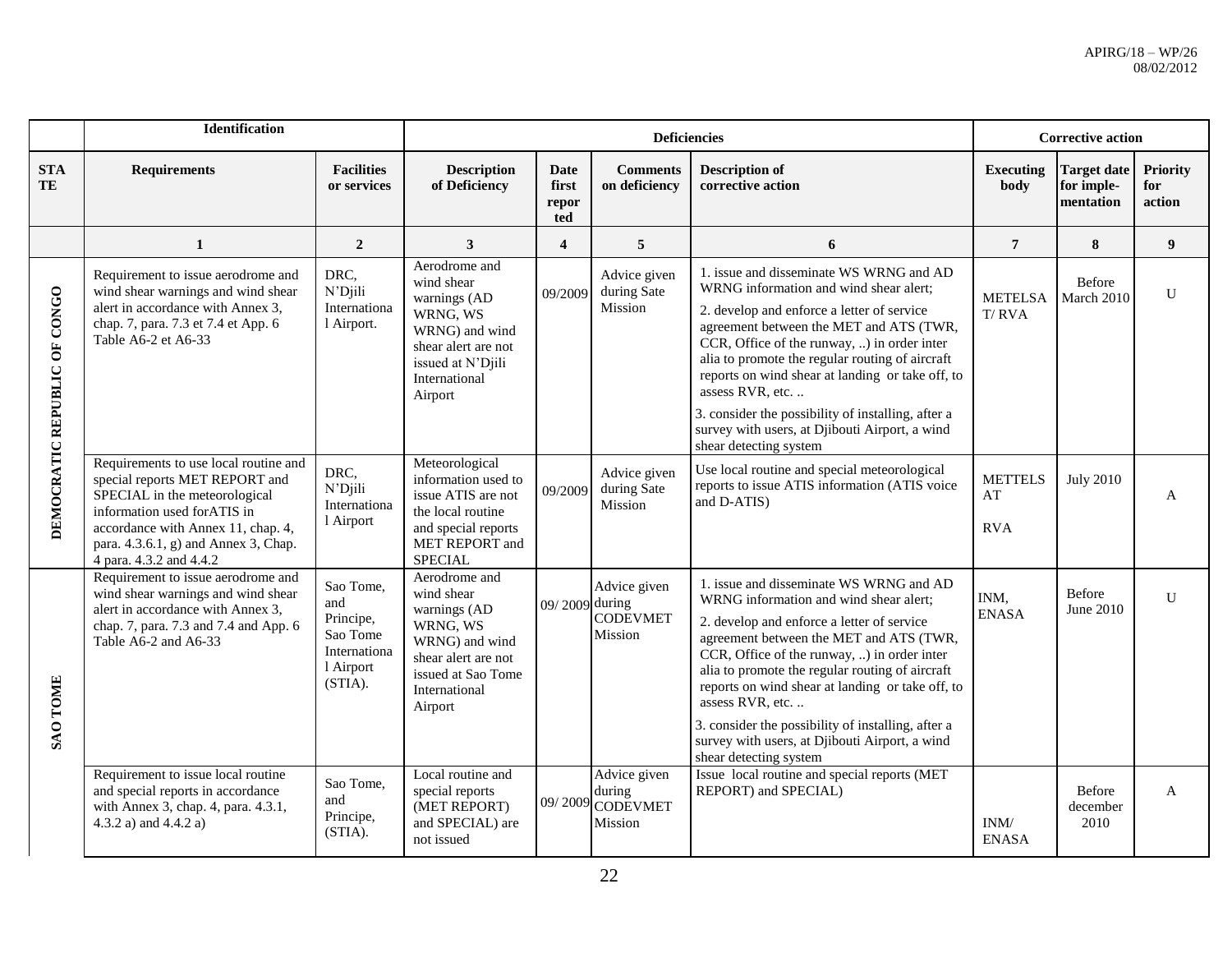|                              | Identification                                                                                                                                                                                                                                   |                                                                                   |                                                                                                                                                    |                               | <b>Deficiencies</b>                                   |                                                                                                                                                                                                                                                                                                                                                                                                                                                                                        |                                      | <b>Corrective action</b>                      |                                  |
|------------------------------|--------------------------------------------------------------------------------------------------------------------------------------------------------------------------------------------------------------------------------------------------|-----------------------------------------------------------------------------------|----------------------------------------------------------------------------------------------------------------------------------------------------|-------------------------------|-------------------------------------------------------|----------------------------------------------------------------------------------------------------------------------------------------------------------------------------------------------------------------------------------------------------------------------------------------------------------------------------------------------------------------------------------------------------------------------------------------------------------------------------------------|--------------------------------------|-----------------------------------------------|----------------------------------|
| <b>STA</b><br>TE             | <b>Requirements</b>                                                                                                                                                                                                                              | <b>Facilities</b><br>or services                                                  | <b>Description</b><br>of Deficiency                                                                                                                | Date<br>first<br>repor<br>ted | <b>Comments</b><br>on deficiency                      | <b>Description of</b><br>corrective action                                                                                                                                                                                                                                                                                                                                                                                                                                             | <b>Executing</b><br>body             | <b>Target date</b><br>for imple-<br>mentation | <b>Priority</b><br>for<br>action |
|                              | $\mathbf{1}$                                                                                                                                                                                                                                     | $\overline{2}$                                                                    | 3                                                                                                                                                  | $\overline{\mathbf{4}}$       | 5                                                     | 6                                                                                                                                                                                                                                                                                                                                                                                                                                                                                      | $\overline{7}$                       | 8                                             | $\boldsymbol{9}$                 |
| DEMOCRATIC REPUBLIC OF CONGO | Requirement to issue aerodrome and<br>wind shear warnings and wind shear<br>alert in accordance with Annex 3,<br>chap. 7, para. 7.3 et 7.4 et App. 6<br>Table A6-2 et A6-33                                                                      | DRC,<br>N'Djili<br>Internationa<br>l Airport.                                     | Aerodrome and<br>wind shear<br>warnings (AD<br>WRNG, WS<br>WRNG) and wind<br>shear alert are not<br>issued at N'Djili<br>International<br>Airport  | 09/2009                       | Advice given<br>during Sate<br>Mission                | 1. issue and disseminate WS WRNG and AD<br>WRNG information and wind shear alert;<br>2. develop and enforce a letter of service<br>agreement between the MET and ATS (TWR,<br>CCR, Office of the runway, ) in order inter<br>alia to promote the regular routing of aircraft<br>reports on wind shear at landing or take off, to<br>assess RVR, etc.                                                                                                                                   | <b>METELSA</b><br>T/RVA              | <b>Before</b><br>March 2010                   | ${\bf U}$                        |
|                              |                                                                                                                                                                                                                                                  |                                                                                   |                                                                                                                                                    |                               |                                                       | 3. consider the possibility of installing, after a<br>survey with users, at Djibouti Airport, a wind<br>shear detecting system                                                                                                                                                                                                                                                                                                                                                         |                                      |                                               |                                  |
|                              | Requirements to use local routine and<br>special reports MET REPORT and<br>SPECIAL in the meteorological<br>information used forATIS in<br>accordance with Annex 11, chap. 4,<br>para. 4.3.6.1, g) and Annex 3, Chap.<br>4 para. 4.3.2 and 4.4.2 | DRC,<br>N'Djili<br>Internationa<br>l Airport                                      | Meteorological<br>information used to<br>issue ATIS are not<br>the local routine<br>and special reports<br>MET REPORT and<br><b>SPECIAL</b>        | 09/2009                       | Advice given<br>during Sate<br>Mission                | Use local routine and special meteorological<br>reports to issue ATIS information (ATIS voice<br>and D-ATIS)                                                                                                                                                                                                                                                                                                                                                                           | <b>METTELS</b><br>AT<br><b>RVA</b>   | <b>July 2010</b>                              | $\mathbf{A}$                     |
| <b>SAO TOME</b>              | Requirement to issue aerodrome and<br>wind shear warnings and wind shear<br>alert in accordance with Annex 3,<br>chap. 7, para. 7.3 and 7.4 and App. 6<br>Table A6-2 and A6-33                                                                   | Sao Tome,<br>and<br>Principe,<br>Sao Tome<br>Internationa<br>l Airport<br>(STIA). | Aerodrome and<br>wind shear<br>warnings (AD<br>WRNG, WS<br>WRNG) and wind<br>shear alert are not<br>issued at Sao Tome<br>International<br>Airport | 09/2009 during                | Advice given<br><b>CODEVMET</b><br>Mission            | 1. issue and disseminate WS WRNG and AD<br>WRNG information and wind shear alert:<br>2. develop and enforce a letter of service<br>agreement between the MET and ATS (TWR,<br>CCR, Office of the runway, ) in order inter<br>alia to promote the regular routing of aircraft<br>reports on wind shear at landing or take off, to<br>assess RVR, etc.<br>3. consider the possibility of installing, after a<br>survey with users, at Djibouti Airport, a wind<br>shear detecting system | INM,<br><b>ENASA</b>                 | <b>Before</b><br>June 2010                    | $\mathbf{U}$                     |
|                              | Requirement to issue local routine<br>and special reports in accordance<br>with Annex 3, chap. 4, para. 4.3.1,<br>4.3.2 a) and 4.4.2 a)                                                                                                          | Sao Tome,<br>and<br>Principe,<br>(STIA).                                          | Local routine and<br>special reports<br>(MET REPORT)<br>and SPECIAL) are<br>not issued                                                             |                               | Advice given<br>during<br>09/2009 CODEVMET<br>Mission | Issue local routine and special reports (MET<br>REPORT) and SPECIAL)                                                                                                                                                                                                                                                                                                                                                                                                                   | $\text{INM}/\text{}$<br><b>ENASA</b> | Before<br>december<br>2010                    | A                                |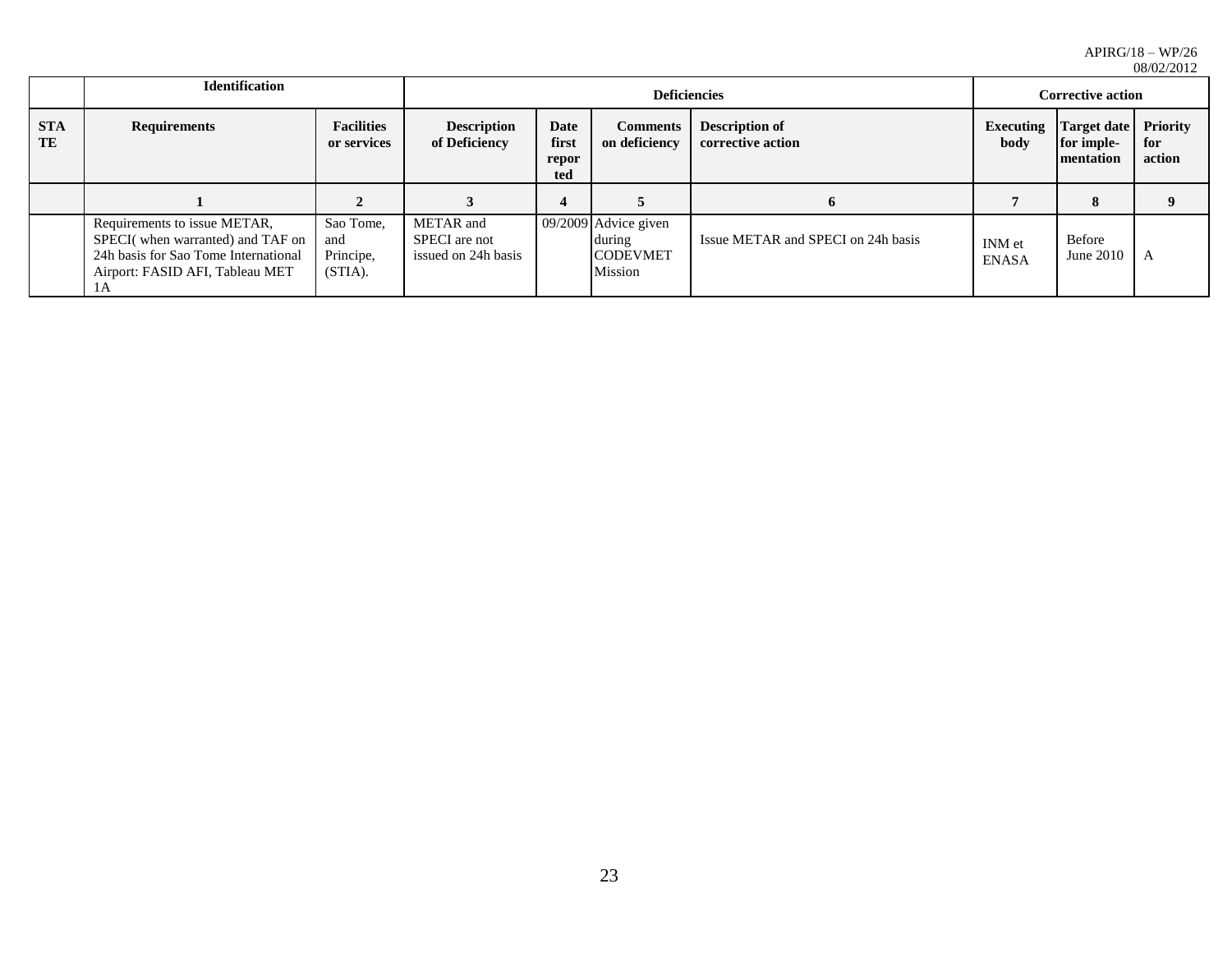|                  |                                                                                                                                                   |                                                                                                                                              |                                                   |                                            | 00/04/2014                                                   |                                                        |                               |                     |   |
|------------------|---------------------------------------------------------------------------------------------------------------------------------------------------|----------------------------------------------------------------------------------------------------------------------------------------------|---------------------------------------------------|--------------------------------------------|--------------------------------------------------------------|--------------------------------------------------------|-------------------------------|---------------------|---|
|                  | <b>Identification</b>                                                                                                                             |                                                                                                                                              |                                                   |                                            | <b>Deficiencies</b>                                          | <b>Corrective action</b>                               |                               |                     |   |
| <b>STA</b><br>TE | <b>Requirements</b>                                                                                                                               | <b>Facilities</b><br><b>Description</b><br>Date<br><b>Comments</b><br>first<br>of Deficiency<br>on deficiency<br>or services<br>repor<br>ted |                                                   | <b>Description of</b><br>corrective action | Executing<br>body                                            | <b>Target date</b> Priority<br>for imple-<br>mentation | for<br>action                 |                     |   |
|                  |                                                                                                                                                   |                                                                                                                                              |                                                   | 4                                          |                                                              | 6                                                      |                               | 8                   |   |
|                  | Requirements to issue METAR,<br>SPECI(when warranted) and TAF on<br>24h basis for Sao Tome International<br>Airport: FASID AFI, Tableau MET<br>ΙA | Sao Tome,<br>and<br>Principe,<br>(STIA).                                                                                                     | METAR and<br>SPECI are not<br>issued on 24h basis |                                            | 09/2009 Advice given<br>during<br><b>CODEVMET</b><br>Mission | Issue METAR and SPECI on 24h basis                     | <b>INM</b> et<br><b>ENASA</b> | Before<br>June 2010 | A |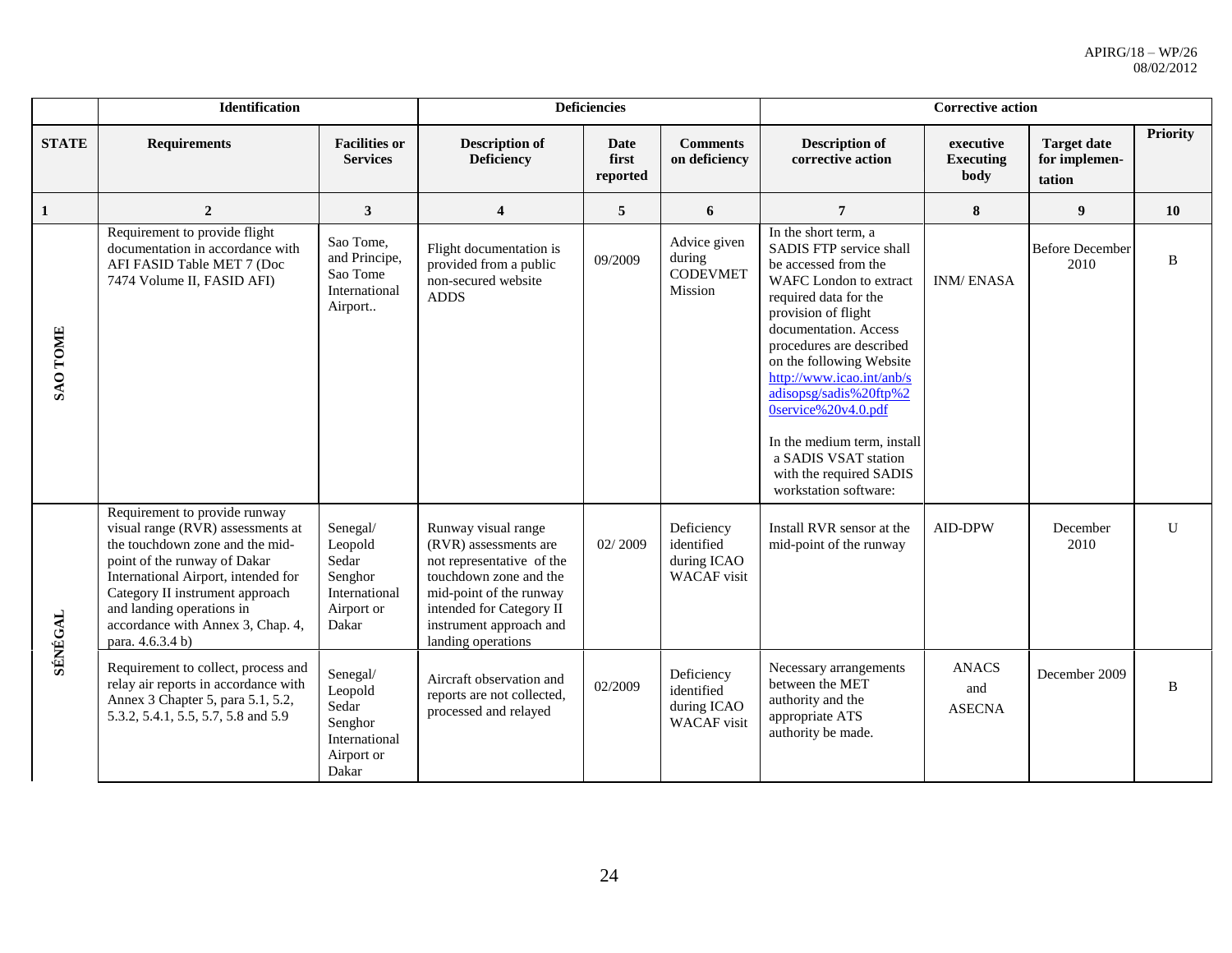|                 | Identification                                                                                                                                                                                                                                                                                        |                                                                                 |                                                                                                                                                                                                             | <b>Deficiencies</b>       |                                                               | <b>Corrective action</b>                                                                                                                                                                                                                                                                                                                                                                                                           |                                       |                                               |                 |  |
|-----------------|-------------------------------------------------------------------------------------------------------------------------------------------------------------------------------------------------------------------------------------------------------------------------------------------------------|---------------------------------------------------------------------------------|-------------------------------------------------------------------------------------------------------------------------------------------------------------------------------------------------------------|---------------------------|---------------------------------------------------------------|------------------------------------------------------------------------------------------------------------------------------------------------------------------------------------------------------------------------------------------------------------------------------------------------------------------------------------------------------------------------------------------------------------------------------------|---------------------------------------|-----------------------------------------------|-----------------|--|
| <b>STATE</b>    | <b>Requirements</b>                                                                                                                                                                                                                                                                                   | <b>Facilities or</b><br><b>Services</b>                                         | <b>Description of</b><br><b>Deficiency</b>                                                                                                                                                                  | Date<br>first<br>reported | <b>Comments</b><br>on deficiency                              | <b>Description of</b><br>corrective action                                                                                                                                                                                                                                                                                                                                                                                         | executive<br><b>Executing</b><br>body | <b>Target date</b><br>for implemen-<br>tation | <b>Priority</b> |  |
| 1               | $\overline{2}$                                                                                                                                                                                                                                                                                        | $\mathbf{3}$                                                                    | $\overline{\mathbf{4}}$                                                                                                                                                                                     | 5                         | 6                                                             | $\overline{7}$                                                                                                                                                                                                                                                                                                                                                                                                                     | 8                                     | $\boldsymbol{9}$                              | 10              |  |
| <b>SAO TOME</b> | Requirement to provide flight<br>documentation in accordance with<br>AFI FASID Table MET 7 (Doc<br>7474 Volume II, FASID AFI)                                                                                                                                                                         | Sao Tome,<br>and Principe,<br>Sao Tome<br>International<br>Airport              | Flight documentation is<br>provided from a public<br>non-secured website<br><b>ADDS</b>                                                                                                                     | 09/2009                   | Advice given<br>during<br><b>CODEVMET</b><br>Mission          | In the short term, a<br>SADIS FTP service shall<br>be accessed from the<br><b>WAFC</b> London to extract<br>required data for the<br>provision of flight<br>documentation. Access<br>procedures are described<br>on the following Website<br>http://www.icao.int/anb/s<br>adisopsg/sadis%20ftp%2<br>0service%20v4.0.pdf<br>In the medium term, install<br>a SADIS VSAT station<br>with the required SADIS<br>workstation software: | <b>INM/ENASA</b>                      | <b>Before December</b><br>2010                | B               |  |
| SÉNÉGAL         | Requirement to provide runway<br>visual range (RVR) assessments at<br>the touchdown zone and the mid-<br>point of the runway of Dakar<br>International Airport, intended for<br>Category II instrument approach<br>and landing operations in<br>accordance with Annex 3, Chap. 4,<br>para. 4.6.3.4 b) | Senegal/<br>Leopold<br>Sedar<br>Senghor<br>International<br>Airport or<br>Dakar | Runway visual range<br>(RVR) assessments are<br>not representative of the<br>touchdown zone and the<br>mid-point of the runway<br>intended for Category II<br>instrument approach and<br>landing operations | 02/2009                   | Deficiency<br>identified<br>during ICAO<br>WACAF visit        | Install RVR sensor at the<br>mid-point of the runway                                                                                                                                                                                                                                                                                                                                                                               | <b>AID-DPW</b>                        | December<br>2010                              | $\mathbf{U}$    |  |
|                 | Requirement to collect, process and<br>relay air reports in accordance with<br>Annex 3 Chapter 5, para 5.1, 5.2,<br>5.3.2, 5.4.1, 5.5, 5.7, 5.8 and 5.9                                                                                                                                               | Senegal/<br>Leopold<br>Sedar<br>Senghor<br>International<br>Airport or<br>Dakar | Aircraft observation and<br>reports are not collected,<br>processed and relayed                                                                                                                             | 02/2009                   | Deficiency<br>identified<br>during ICAO<br><b>WACAF</b> visit | Necessary arrangements<br>between the MET<br>authority and the<br>appropriate ATS<br>authority be made.                                                                                                                                                                                                                                                                                                                            | <b>ANACS</b><br>and<br><b>ASECNA</b>  | December 2009                                 | B               |  |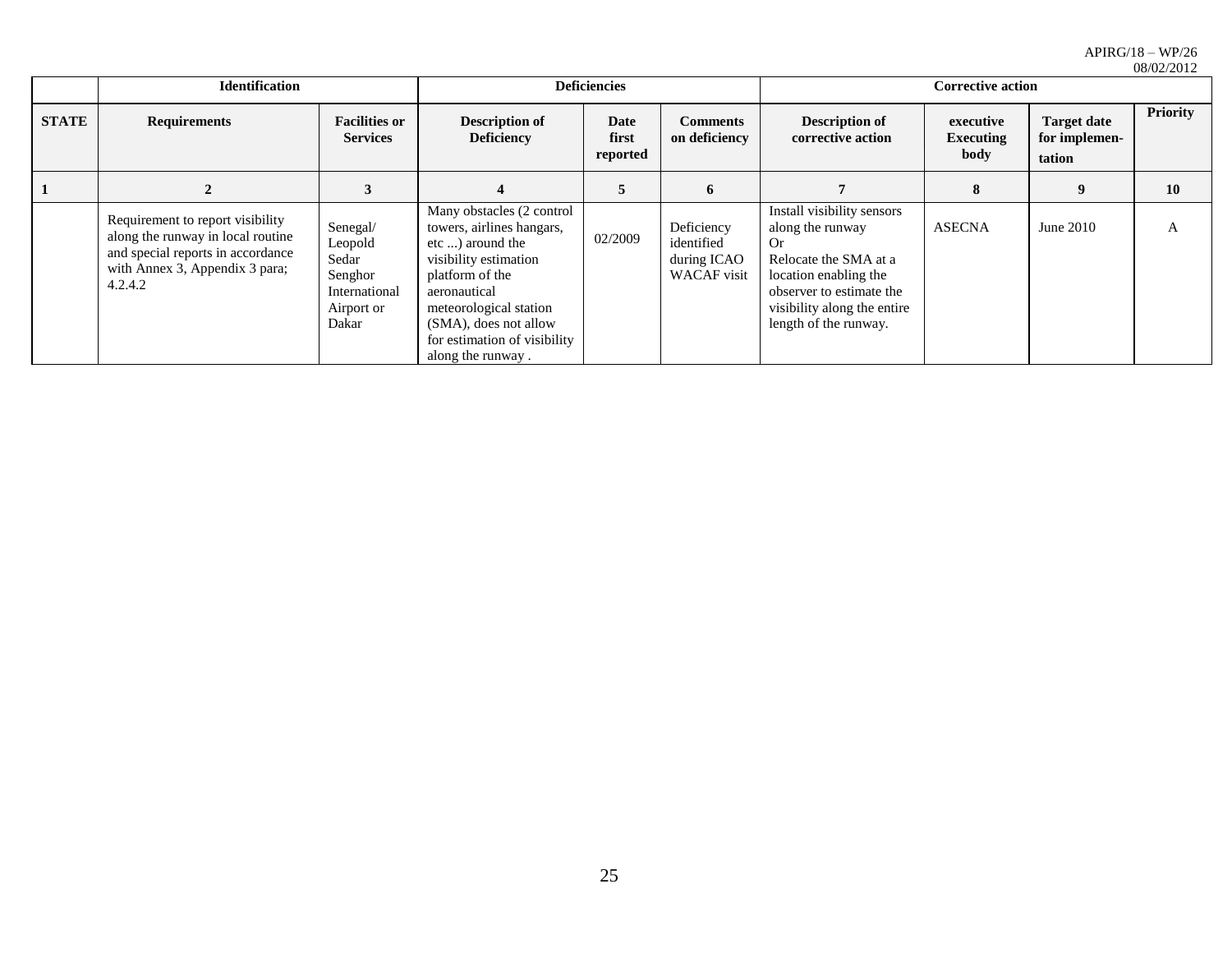|              | 00/04/4014                                                                                                                                              |                                                                                 |                                                                                                                                                                                                                                                |                           |                                                               |                                                                                                                                                                                             |                                       |                                               |                 |
|--------------|---------------------------------------------------------------------------------------------------------------------------------------------------------|---------------------------------------------------------------------------------|------------------------------------------------------------------------------------------------------------------------------------------------------------------------------------------------------------------------------------------------|---------------------------|---------------------------------------------------------------|---------------------------------------------------------------------------------------------------------------------------------------------------------------------------------------------|---------------------------------------|-----------------------------------------------|-----------------|
|              | <b>Identification</b>                                                                                                                                   | <b>Deficiencies</b>                                                             |                                                                                                                                                                                                                                                |                           | <b>Corrective action</b>                                      |                                                                                                                                                                                             |                                       |                                               |                 |
| <b>STATE</b> | <b>Requirements</b>                                                                                                                                     | <b>Facilities or</b><br><b>Services</b>                                         | <b>Description of</b><br><b>Deficiency</b>                                                                                                                                                                                                     | Date<br>first<br>reported | <b>Comments</b><br>on deficiency                              | <b>Description of</b><br>corrective action                                                                                                                                                  | executive<br><b>Executing</b><br>body | <b>Target date</b><br>for implemen-<br>tation | <b>Priority</b> |
|              |                                                                                                                                                         |                                                                                 |                                                                                                                                                                                                                                                |                           | 6                                                             |                                                                                                                                                                                             | 8                                     | 9                                             | 10              |
|              | Requirement to report visibility<br>along the runway in local routine<br>and special reports in accordance<br>with Annex 3, Appendix 3 para;<br>4.2.4.2 | Senegal/<br>Leopold<br>Sedar<br>Senghor<br>International<br>Airport or<br>Dakar | Many obstacles (2 control<br>towers, airlines hangars,<br>etc ) around the<br>visibility estimation<br>platform of the<br>aeronautical<br>meteorological station<br>(SMA), does not allow<br>for estimation of visibility<br>along the runway. | 02/2009                   | Deficiency<br>identified<br>during ICAO<br><b>WACAF</b> visit | Install visibility sensors<br>along the runway<br>Or.<br>Relocate the SMA at a<br>location enabling the<br>observer to estimate the<br>visibility along the entire<br>length of the runway. | <b>ASECNA</b>                         | June 2010                                     | A               |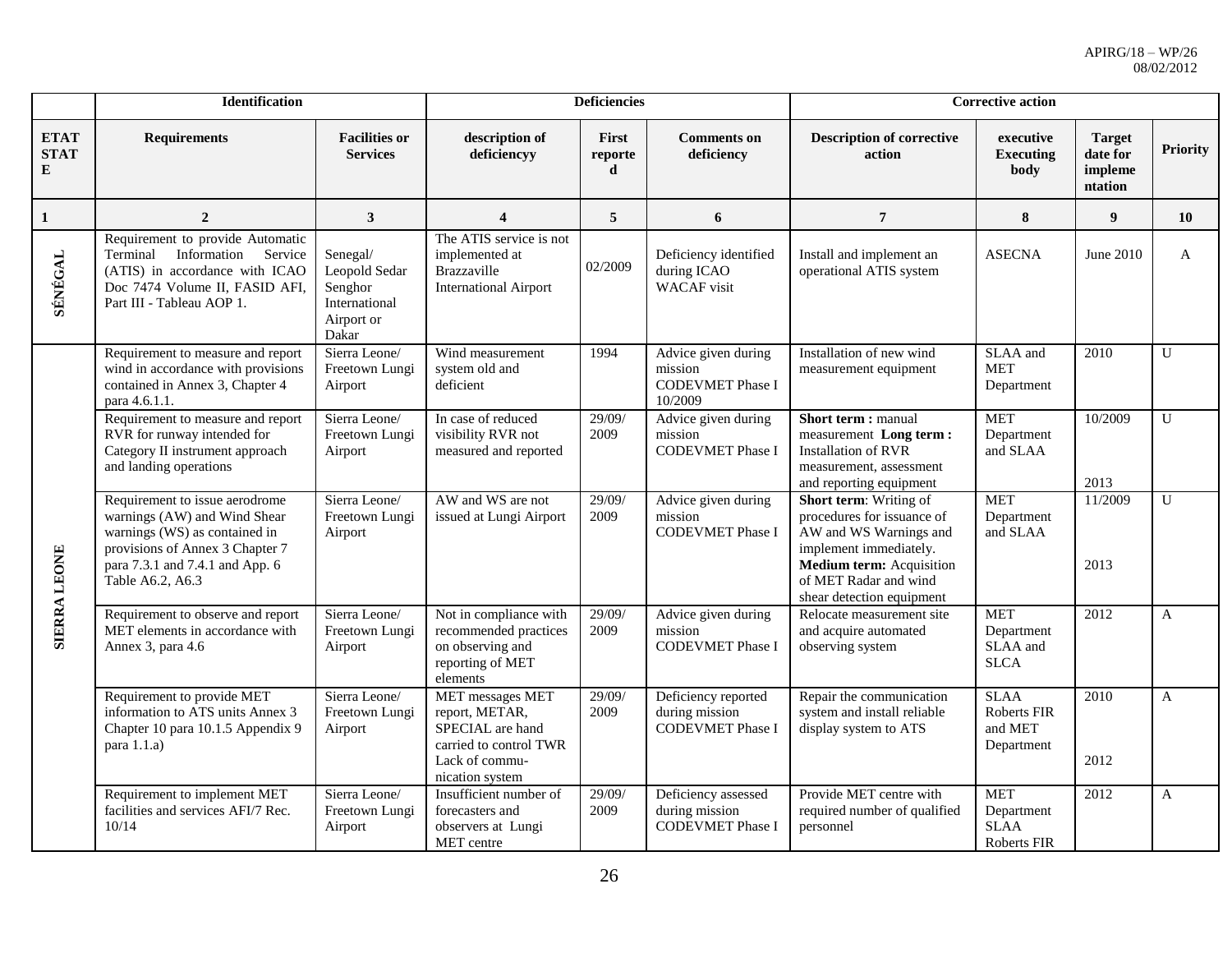|                                 | Identification                                                                                                                                                                            |                                                                              | <b>Deficiencies</b>                                                                                                   |                       | <b>Corrective action</b>                                             |                                                                                                                                                                                                   |                                                        |                                                 |                 |
|---------------------------------|-------------------------------------------------------------------------------------------------------------------------------------------------------------------------------------------|------------------------------------------------------------------------------|-----------------------------------------------------------------------------------------------------------------------|-----------------------|----------------------------------------------------------------------|---------------------------------------------------------------------------------------------------------------------------------------------------------------------------------------------------|--------------------------------------------------------|-------------------------------------------------|-----------------|
| <b>ETAT</b><br><b>STAT</b><br>E | <b>Requirements</b>                                                                                                                                                                       | <b>Facilities or</b><br><b>Services</b>                                      | description of<br>deficiencyy                                                                                         | First<br>reporte<br>d | <b>Comments on</b><br>deficiency                                     | <b>Description of corrective</b><br>action                                                                                                                                                        | executive<br><b>Executing</b><br>body                  | <b>Target</b><br>date for<br>impleme<br>ntation | <b>Priority</b> |
| $\mathbf{1}$                    | $\overline{2}$                                                                                                                                                                            | $\mathbf{3}$                                                                 | $\overline{\mathbf{4}}$                                                                                               | 5                     | 6                                                                    | $\overline{7}$                                                                                                                                                                                    | 8                                                      | 9                                               | 10              |
| <b>SÉNÉGAL</b>                  | Requirement to provide Automatic<br>Information<br>Service<br>Terminal<br>(ATIS) in accordance with ICAO<br>Doc 7474 Volume II, FASID AFI,<br>Part III - Tableau AOP 1.                   | Senegal/<br>Leopold Sedar<br>Senghor<br>International<br>Airport or<br>Dakar | The ATIS service is not<br>implemented at<br>Brazzaville<br><b>International Airport</b>                              | 02/2009               | Deficiency identified<br>during ICAO<br><b>WACAF</b> visit           | Install and implement an<br>operational ATIS system                                                                                                                                               | <b>ASECNA</b>                                          | June 2010                                       | $\mathbf{A}$    |
| <b>SIERRA LEONE</b>             | Requirement to measure and report<br>wind in accordance with provisions<br>contained in Annex 3, Chapter 4<br>para 4.6.1.1.                                                               | Sierra Leone/<br>Freetown Lungi<br>Airport                                   | Wind measurement<br>system old and<br>deficient                                                                       | 1994                  | Advice given during<br>mission<br><b>CODEVMET Phase I</b><br>10/2009 | Installation of new wind<br>measurement equipment                                                                                                                                                 | SLAA and<br><b>MET</b><br>Department                   | 2010                                            | U               |
|                                 | Requirement to measure and report<br>RVR for runway intended for<br>Category II instrument approach<br>and landing operations                                                             | Sierra Leone/<br>Freetown Lungi<br>Airport                                   | In case of reduced<br>visibility RVR not<br>measured and reported                                                     | 29/09/<br>2009        | Advice given during<br>mission<br><b>CODEVMET Phase I</b>            | Short term : manual<br>measurement Long term:<br><b>Installation of RVR</b><br>measurement, assessment<br>and reporting equipment                                                                 | <b>MET</b><br>Department<br>and SLAA                   | 10/2009<br>2013                                 | U               |
|                                 | Requirement to issue aerodrome<br>warnings (AW) and Wind Shear<br>warnings (WS) as contained in<br>provisions of Annex 3 Chapter 7<br>para 7.3.1 and 7.4.1 and App. 6<br>Table A6.2, A6.3 | Sierra Leone/<br>Freetown Lungi<br>Airport                                   | AW and WS are not<br>issued at Lungi Airport                                                                          | 29/09/<br>2009        | Advice given during<br>mission<br><b>CODEVMET Phase I</b>            | Short term: Writing of<br>procedures for issuance of<br>AW and WS Warnings and<br>implement immediately.<br><b>Medium term:</b> Acquisition<br>of MET Radar and wind<br>shear detection equipment | <b>MET</b><br>Department<br>and SLAA                   | 11/2009<br>2013                                 | U               |
|                                 | Requirement to observe and report<br>MET elements in accordance with<br>Annex 3, para 4.6                                                                                                 | Sierra Leone/<br>Freetown Lungi<br>Airport                                   | Not in compliance with<br>recommended practices<br>on observing and<br>reporting of MET<br>elements                   | 29/09/<br>2009        | Advice given during<br>mission<br><b>CODEVMET Phase I</b>            | Relocate measurement site<br>and acquire automated<br>observing system                                                                                                                            | <b>MET</b><br>Department<br>SLAA and<br><b>SLCA</b>    | 2012                                            | $\mathbf{A}$    |
|                                 | Requirement to provide MET<br>information to ATS units Annex 3<br>Chapter 10 para 10.1.5 Appendix 9<br>para 1.1.a)                                                                        | Sierra Leone/<br>Freetown Lungi<br>Airport                                   | MET messages MET<br>report, METAR,<br>SPECIAL are hand<br>carried to control TWR<br>Lack of commu-<br>nication system | 29/09/<br>2009        | Deficiency reported<br>during mission<br><b>CODEVMET Phase I</b>     | Repair the communication<br>system and install reliable<br>display system to ATS                                                                                                                  | <b>SLAA</b><br>Roberts FIR<br>and MET<br>Department    | 2010<br>2012                                    | A               |
|                                 | Requirement to implement MET<br>facilities and services AFI/7 Rec.<br>10/14                                                                                                               | Sierra Leone/<br>Freetown Lungi<br>Airport                                   | Insufficient number of<br>forecasters and<br>observers at Lungi<br>MET centre                                         | 29/09/<br>2009        | Deficiency assessed<br>during mission<br><b>CODEVMET Phase I</b>     | Provide MET centre with<br>required number of qualified<br>personnel                                                                                                                              | <b>MET</b><br>Department<br><b>SLAA</b><br>Roberts FIR | 2012                                            | $\mathbf{A}$    |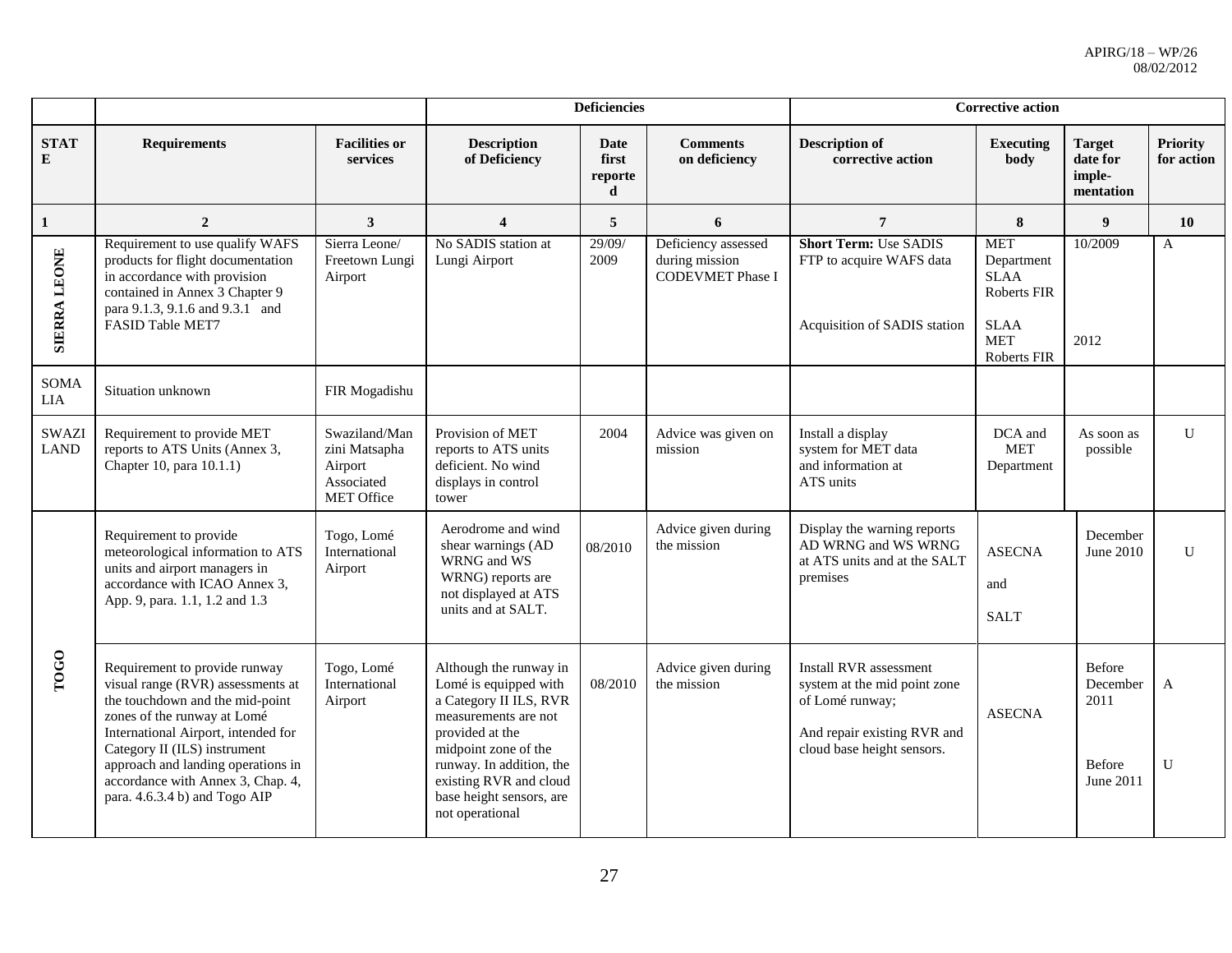|                             |                                                                                                                                                                                                                                                                                                                         |                                                                              | <b>Deficiencies</b>                                                                                                                                                                                                                               |                                      | <b>Corrective action</b>                                         |                                                                                                                                        |                                                                                                    |                                                   |                               |
|-----------------------------|-------------------------------------------------------------------------------------------------------------------------------------------------------------------------------------------------------------------------------------------------------------------------------------------------------------------------|------------------------------------------------------------------------------|---------------------------------------------------------------------------------------------------------------------------------------------------------------------------------------------------------------------------------------------------|--------------------------------------|------------------------------------------------------------------|----------------------------------------------------------------------------------------------------------------------------------------|----------------------------------------------------------------------------------------------------|---------------------------------------------------|-------------------------------|
| <b>STAT</b><br>E            | <b>Requirements</b>                                                                                                                                                                                                                                                                                                     | <b>Facilities or</b><br>services                                             | <b>Description</b><br>of Deficiency                                                                                                                                                                                                               | <b>Date</b><br>first<br>reporte<br>d | <b>Comments</b><br>on deficiency                                 | <b>Description of</b><br>corrective action                                                                                             | <b>Executing</b><br>body                                                                           | <b>Target</b><br>date for<br>imple-<br>mentation  | <b>Priority</b><br>for action |
| $\mathbf{1}$                | $\overline{2}$                                                                                                                                                                                                                                                                                                          | 3                                                                            | $\overline{\mathbf{4}}$                                                                                                                                                                                                                           | 5                                    | 6                                                                | $\overline{7}$                                                                                                                         | 8                                                                                                  | $\boldsymbol{9}$                                  | 10                            |
| <b>SIERRA LEONE</b>         | Requirement to use qualify WAFS<br>products for flight documentation<br>in accordance with provision<br>contained in Annex 3 Chapter 9<br>para 9.1.3, 9.1.6 and 9.3.1 and<br>FASID Table MET7                                                                                                                           | Sierra Leone/<br>Freetown Lungi<br>Airport                                   | No SADIS station at<br>Lungi Airport                                                                                                                                                                                                              | 29/09/<br>2009                       | Deficiency assessed<br>during mission<br><b>CODEVMET Phase I</b> | <b>Short Term: Use SADIS</b><br>FTP to acquire WAFS data<br>Acquisition of SADIS station                                               | <b>MET</b><br>Department<br><b>SLAA</b><br>Roberts FIR<br><b>SLAA</b><br><b>MET</b><br>Roberts FIR | 10/2009<br>2012                                   | A                             |
| <b>SOMA</b><br>LIA          | Situation unknown                                                                                                                                                                                                                                                                                                       | FIR Mogadishu                                                                |                                                                                                                                                                                                                                                   |                                      |                                                                  |                                                                                                                                        |                                                                                                    |                                                   |                               |
| <b>SWAZI</b><br><b>LAND</b> | Requirement to provide MET<br>reports to ATS Units (Annex 3,<br>Chapter 10, para 10.1.1)                                                                                                                                                                                                                                | Swaziland/Man<br>zini Matsapha<br>Airport<br>Associated<br><b>MET Office</b> | Provision of MET<br>reports to ATS units<br>deficient. No wind<br>displays in control<br>tower                                                                                                                                                    | 2004                                 | Advice was given on<br>mission                                   | Install a display<br>system for MET data<br>and information at<br>ATS units                                                            | DCA and<br><b>MET</b><br>Department                                                                | As soon as<br>possible                            | $\mathbf U$                   |
|                             | Requirement to provide<br>meteorological information to ATS<br>units and airport managers in<br>accordance with ICAO Annex 3,<br>App. 9, para. 1.1, 1.2 and 1.3                                                                                                                                                         | Togo, Lomé<br>International<br>Airport                                       | Aerodrome and wind<br>shear warnings (AD<br>WRNG and WS<br>WRNG) reports are<br>not displayed at ATS<br>units and at SALT.                                                                                                                        | 08/2010                              | Advice given during<br>the mission                               | Display the warning reports<br>AD WRNG and WS WRNG<br>at ATS units and at the SALT<br>premises                                         | <b>ASECNA</b><br>and<br><b>SALT</b>                                                                | December<br>June 2010                             | U                             |
| <b>TOGO</b>                 | Requirement to provide runway<br>visual range (RVR) assessments at<br>the touchdown and the mid-point<br>zones of the runway at Lomé<br>International Airport, intended for<br>Category II (ILS) instrument<br>approach and landing operations in<br>accordance with Annex 3, Chap. 4,<br>para. 4.6.3.4 b) and Togo AIP | Togo, Lomé<br>International<br>Airport                                       | Although the runway in<br>Lomé is equipped with<br>a Category II ILS, RVR<br>measurements are not<br>provided at the<br>midpoint zone of the<br>runway. In addition, the<br>existing RVR and cloud<br>base height sensors, are<br>not operational | 08/2010                              | Advice given during<br>the mission                               | Install RVR assessment<br>system at the mid point zone<br>of Lomé runway;<br>And repair existing RVR and<br>cloud base height sensors. | <b>ASECNA</b>                                                                                      | Before<br>December<br>2011<br>Before<br>June 2011 | A<br>$\mathbf{U}$             |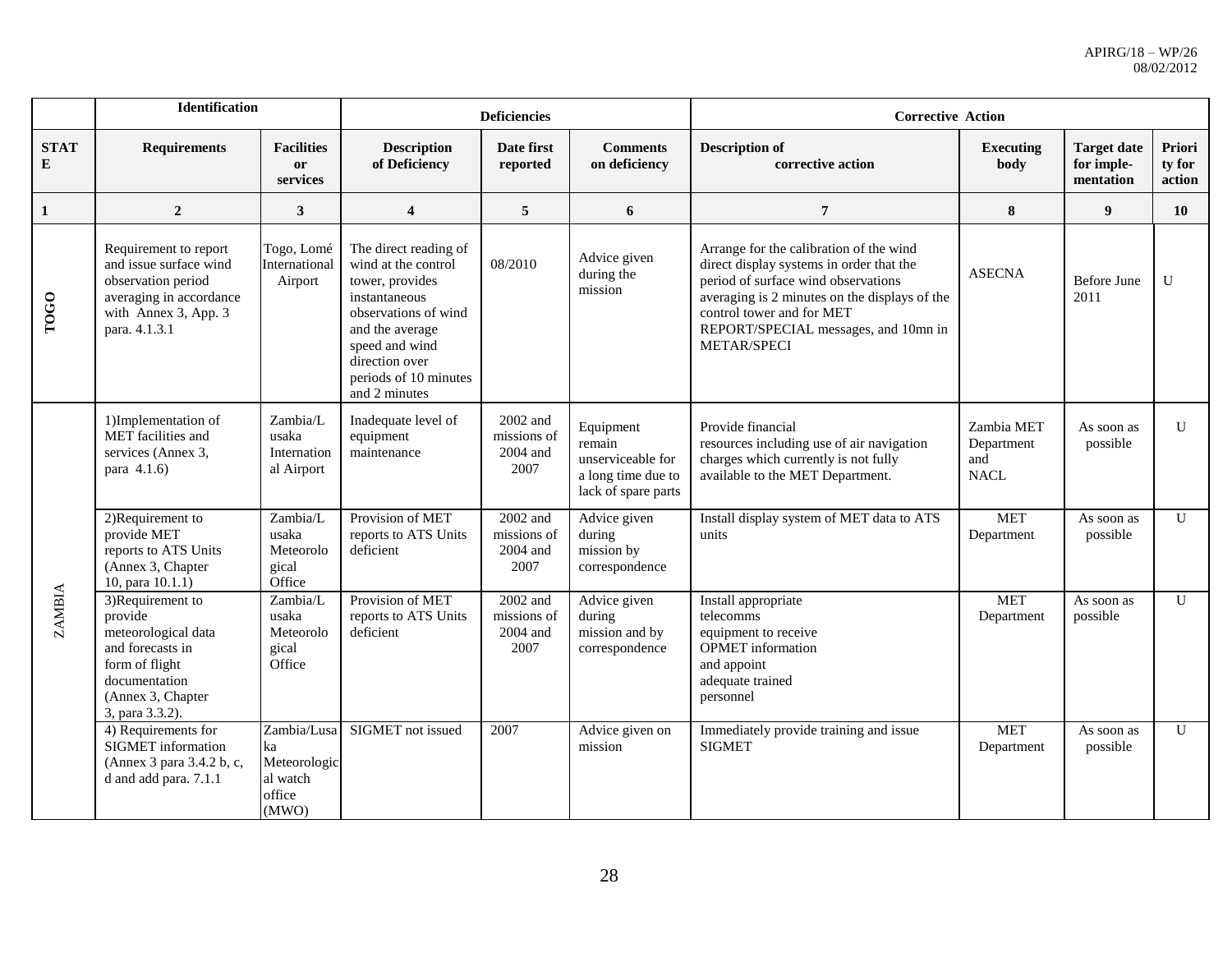|                  | <b>Identification</b>                                                                                                                             |                                                                  |                                                                                                                                                                                                           | <b>Deficiencies</b>                           |                                                                                       | <b>Corrective Action</b>                                                                                                                                                                                                                                        |                                                |                                               |                            |  |
|------------------|---------------------------------------------------------------------------------------------------------------------------------------------------|------------------------------------------------------------------|-----------------------------------------------------------------------------------------------------------------------------------------------------------------------------------------------------------|-----------------------------------------------|---------------------------------------------------------------------------------------|-----------------------------------------------------------------------------------------------------------------------------------------------------------------------------------------------------------------------------------------------------------------|------------------------------------------------|-----------------------------------------------|----------------------------|--|
| <b>STAT</b><br>E | <b>Requirements</b>                                                                                                                               | <b>Facilities</b><br><b>or</b><br>services                       | <b>Description</b><br>of Deficiency                                                                                                                                                                       | Date first<br>reported                        | <b>Comments</b><br>on deficiency                                                      | <b>Description of</b><br>corrective action                                                                                                                                                                                                                      | <b>Executing</b><br>body                       | <b>Target date</b><br>for imple-<br>mentation | Priori<br>ty for<br>action |  |
| 1                | $\overline{2}$                                                                                                                                    | $\mathbf{3}$                                                     | $\overline{\mathbf{4}}$                                                                                                                                                                                   | 5                                             | 6                                                                                     | $\overline{7}$                                                                                                                                                                                                                                                  | 8                                              | 9                                             | 10                         |  |
| TOGO             | Requirement to report<br>and issue surface wind<br>observation period<br>averaging in accordance<br>with Annex 3, App. 3<br>para. 4.1.3.1         | Togo, Lomé<br>International<br>Airport                           | The direct reading of<br>wind at the control<br>tower, provides<br>instantaneous<br>observations of wind<br>and the average<br>speed and wind<br>direction over<br>periods of 10 minutes<br>and 2 minutes | 08/2010                                       | Advice given<br>during the<br>mission                                                 | Arrange for the calibration of the wind<br>direct display systems in order that the<br>period of surface wind observations<br>averaging is 2 minutes on the displays of the<br>control tower and for MET<br>REPORT/SPECIAL messages, and 10mn in<br>METAR/SPECI | <b>ASECNA</b>                                  | Before June<br>2011                           | $\mathbf{U}$               |  |
|                  | 1)Implementation of<br>MET facilities and<br>services (Annex 3,<br>para 4.1.6)                                                                    | Zambia/L<br>usaka<br>Internation<br>al Airport                   | Inadequate level of<br>equipment<br>maintenance                                                                                                                                                           | 2002 and<br>missions of<br>2004 and<br>2007   | Equipment<br>remain<br>unserviceable for<br>a long time due to<br>lack of spare parts | Provide financial<br>resources including use of air navigation<br>charges which currently is not fully<br>available to the MET Department.                                                                                                                      | Zambia MET<br>Department<br>and<br><b>NACL</b> | As soon as<br>possible                        | U                          |  |
|                  | 2)Requirement to<br>provide MET<br>reports to ATS Units<br>(Annex 3, Chapter<br>10, para 10.1.1)                                                  | Zambia/L<br>usaka<br>Meteorolo<br>gical<br>Office                | Provision of MET<br>reports to ATS Units<br>deficient                                                                                                                                                     | $2002$ and<br>missions of<br>2004 and<br>2007 | Advice given<br>during<br>mission by<br>correspondence                                | Install display system of MET data to ATS<br>units                                                                                                                                                                                                              | <b>MET</b><br>Department                       | As soon as<br>possible                        | $\overline{U}$             |  |
| <b>ZAMBIA</b>    | 3)Requirement to<br>provide<br>meteorological data<br>and forecasts in<br>form of flight<br>documentation<br>(Annex 3, Chapter<br>3, para 3.3.2). | Zambia/L<br>usaka<br>Meteorolo<br>gical<br>Office                | Provision of MET<br>reports to ATS Units<br>deficient                                                                                                                                                     | 2002 and<br>missions of<br>2004 and<br>2007   | Advice given<br>during<br>mission and by<br>correspondence                            | Install appropriate<br>telecomms<br>equipment to receive<br><b>OPMET</b> information<br>and appoint<br>adequate trained<br>personnel                                                                                                                            | <b>MET</b><br>Department                       | As soon as<br>possible                        | $\mathbf{U}$               |  |
|                  | 4) Requirements for<br><b>SIGMET</b> information<br>(Annex 3 para 3.4.2 b, c,<br>d and add para. 7.1.1                                            | Zambia/Lusa<br>ka<br>Meteorologic<br>al watch<br>office<br>(MWO) | SIGMET not issued                                                                                                                                                                                         | 2007                                          | Advice given on<br>mission                                                            | Immediately provide training and issue<br><b>SIGMET</b>                                                                                                                                                                                                         | <b>MET</b><br>Department                       | As soon as<br>possible                        | U                          |  |